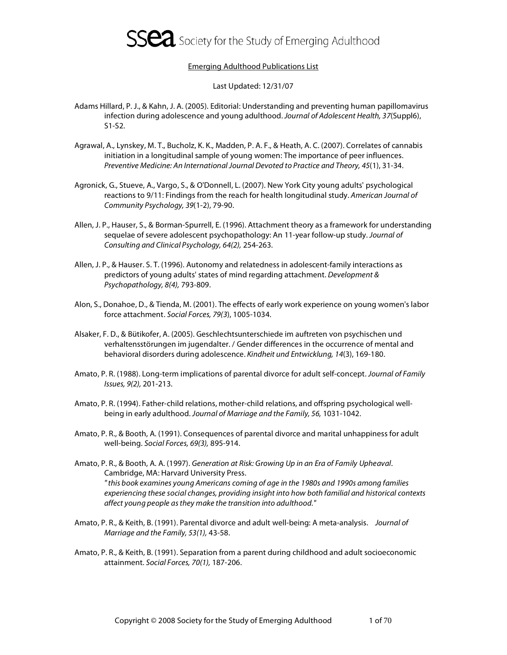

#### Emerging Adulthood Publications List

Last Updated: 12/31/07

- Adams Hillard, P. J., & Kahn, J. A. (2005). Editorial: Understanding and preventing human papillomavirus infection during adolescence and young adulthood. Journal of Adolescent Health, 37(Suppl6), S1-S2.
- Agrawal, A., Lynskey, M. T., Bucholz, K. K., Madden, P. A. F., & Heath, A. C. (2007). Correlates of cannabis initiation in a longitudinal sample of young women: The importance of peer influences. Preventive Medicine: An International Journal Devoted to Practice and Theory, 45(1), 31-34.
- Agronick, G., Stueve, A., Vargo, S., & O'Donnell, L. (2007). New York City young adults' psychological reactions to 9/11: Findings from the reach for health longitudinal study. American Journal of Community Psychology, 39(1-2), 79-90.
- Allen, J. P., Hauser, S., & Borman-Spurrell, E. (1996). Attachment theory as a framework for understanding sequelae of severe adolescent psychopathology: An 11-year follow-up study. Journal of Consulting and Clinical Psychology, 64(2), 254-263.
- Allen, J. P., & Hauser. S. T. (1996). Autonomy and relatedness in adolescent-family interactions as predictors of young adults' states of mind regarding attachment. Development & Psychopathology, 8(4), 793-809.
- Alon, S., Donahoe, D., & Tienda, M. (2001). The effects of early work experience on young women's labor force attachment. Social Forces, 79(3), 1005-1034.
- Alsaker, F. D., & Bütikofer, A. (2005). Geschlechtsunterschiede im auftreten von psychischen und verhaltensstörungen im jugendalter. / Gender differences in the occurrence of mental and behavioral disorders during adolescence. Kindheit und Entwicklung, 14(3), 169-180.
- Amato, P. R. (1988). Long-term implications of parental divorce for adult self-concept. Journal of Family Issues, 9(2), 201-213.
- Amato, P. R. (1994). Father-child relations, mother-child relations, and offspring psychological wellbeing in early adulthood. Journal of Marriage and the Family, 56, 1031-1042.
- Amato, P. R., & Booth, A. (1991). Consequences of parental divorce and marital unhappiness for adult well-being. Social Forces, 69(3), 895-914.
- Amato, P. R., & Booth, A. A. (1997). Generation at Risk: Growing Up in an Era of Family Upheaval. Cambridge, MA: Harvard University Press. " this book examines young Americans coming of age in the 1980s and 1990s among families experiencing these social changes, providing insight into how both familial and historical contexts affect young people as they make the transition into adulthood."
- Amato, P. R., & Keith, B. (1991). Parental divorce and adult well-being: A meta-analysis. Journal of Marriage and the Family, 53(1), 43-58.
- Amato, P. R., & Keith, B. (1991). Separation from a parent during childhood and adult socioeconomic attainment. Social Forces, 70(1), 187-206.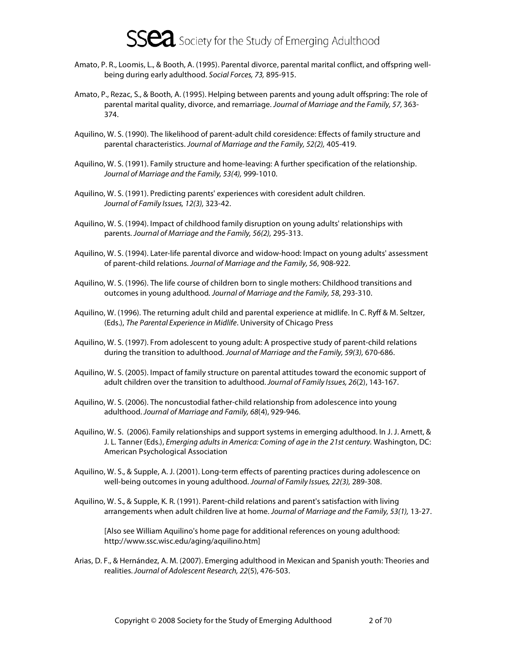

- Amato, P. R., Loomis, L., & Booth, A. (1995). Parental divorce, parental marital conflict, and offspring wellbeing during early adulthood. Social Forces, 73, 895-915.
- Amato, P., Rezac, S., & Booth, A. (1995). Helping between parents and young adult offspring: The role of parental marital quality, divorce, and remarriage. Journal of Marriage and the Family, 57, 363-374.
- Aquilino, W. S. (1990). The likelihood of parent-adult child coresidence: Effects of family structure and parental characteristics. Journal of Marriage and the Family, 52(2), 405-419.
- Aquilino, W. S. (1991). Family structure and home-leaving: A further specification of the relationship. Journal of Marriage and the Family, 53(4), 999-1010.
- Aquilino, W. S. (1991). Predicting parents' experiences with coresident adult children. Journal of Family Issues, 12(3), 323-42.
- Aquilino, W. S. (1994). Impact of childhood family disruption on young adults' relationships with parents. Journal of Marriage and the Family, 56(2), 295-313.
- Aquilino, W. S. (1994). Later-life parental divorce and widow-hood: Impact on young adults' assessment of parent-child relations. Journal of Marriage and the Family, 56, 908-922.
- Aquilino, W. S. (1996). The life course of children born to single mothers: Childhood transitions and outcomes in young adulthood. Journal of Marriage and the Family, 58, 293-310.
- Aquilino, W. (1996). The returning adult child and parental experience at midlife. In C. Ryff & M. Seltzer, (Eds.), The Parental Experience in Midlife. University of Chicago Press
- Aquilino, W. S. (1997). From adolescent to young adult: A prospective study of parent-child relations during the transition to adulthood. Journal of Marriage and the Family, 59(3), 670-686.
- Aquilino, W. S. (2005). Impact of family structure on parental attitudes toward the economic support of adult children over the transition to adulthood. Journal of Family Issues, 26(2), 143-167.
- Aquilino, W. S. (2006). The noncustodial father-child relationship from adolescence into young adulthood. Journal of Marriage and Family, 68(4), 929-946.
- Aquilino, W. S. (2006). Family relationships and support systems in emerging adulthood. In J. J. Arnett, & J. L. Tanner (Eds.), Emerging adults in America: Coming of age in the 21st century. Washington, DC: American Psychological Association
- Aquilino, W. S., & Supple, A. J. (2001). Long-term effects of parenting practices during adolescence on well-being outcomes in young adulthood. Journal of Family Issues, 22(3), 289-308.
- Aquilino, W. S., & Supple, K. R. (1991). Parent-child relations and parent's satisfaction with living arrangements when adult children live at home. Journal of Marriage and the Family, 53(1), 13-27.

[Also see William Aquilino's home page for additional references on young adulthood: http://www.ssc.wisc.edu/aging/aquilino.htm]

Arias, D. F., & Hernández, A. M. (2007). Emerging adulthood in Mexican and Spanish youth: Theories and realities. Journal of Adolescent Research, 22(5), 476-503.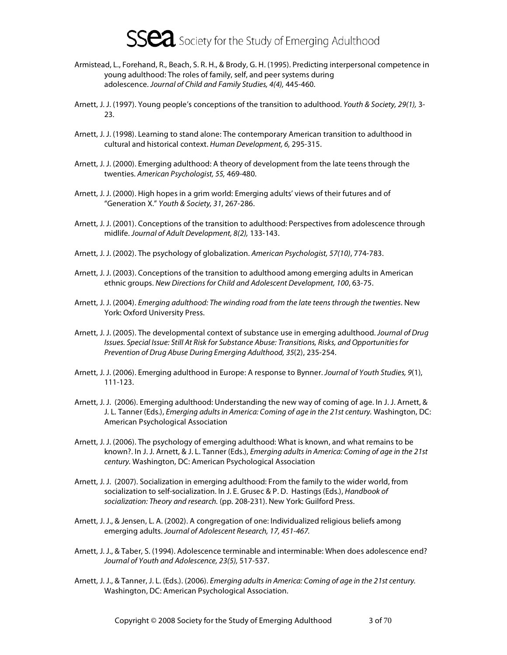- Armistead, L., Forehand, R., Beach, S. R. H., & Brody, G. H. (1995). Predicting interpersonal competence in young adulthood: The roles of family, self, and peer systems during adolescence. Journal of Child and Family Studies, 4(4), 445-460.
- Arnett, J. J. (1997). Young people's conceptions of the transition to adulthood. Youth & Society, 29(1), 3-23.
- Arnett, J. J. (1998). Learning to stand alone: The contemporary American transition to adulthood in cultural and historical context. Human Development, 6, 295-315.
- Arnett, J. J. (2000). Emerging adulthood: A theory of development from the late teens through the twenties. American Psychologist, 55, 469-480.
- Arnett, J. J. (2000). High hopes in a grim world: Emerging adults' views of their futures and of "Generation X." Youth & Society, 31, 267-286.
- Arnett, J. J. (2001). Conceptions of the transition to adulthood: Perspectives from adolescence through midlife. Journal of Adult Development, 8(2), 133-143.
- Arnett, J. J. (2002). The psychology of globalization. American Psychologist, 57(10), 774-783.
- Arnett, J. J. (2003). Conceptions of the transition to adulthood among emerging adults in American ethnic groups. New Directions for Child and Adolescent Development, 100, 63-75.
- Arnett, J. J. (2004). Emerging adulthood: The winding road from the late teens through the twenties. New York: Oxford University Press.
- Arnett, J. J. (2005). The developmental context of substance use in emerging adulthood. Journal of Drug Issues. Special Issue: Still At Risk for Substance Abuse: Transitions, Risks, and Opportunities for Prevention of Drug Abuse During Emerging Adulthood, 35(2), 235-254.
- Arnett, J. J. (2006). Emerging adulthood in Europe: A response to Bynner. Journal of Youth Studies, 9(1), 111-123.
- Arnett, J. J. (2006). Emerging adulthood: Understanding the new way of coming of age. In J. J. Arnett, & J. L. Tanner (Eds.), Emerging adults in America: Coming of age in the 21st century. Washington, DC: American Psychological Association
- Arnett, J. J. (2006). The psychology of emerging adulthood: What is known, and what remains to be known?. In J. J. Arnett, & J. L. Tanner (Eds.), Emerging adults in America: Coming of age in the 21st century. Washington, DC: American Psychological Association
- Arnett, J. J. (2007). Socialization in emerging adulthood: From the family to the wider world, from socialization to self-socialization. In J. E. Grusec & P. D. Hastings (Eds.), Handbook of socialization: Theory and research. (pp. 208-231). New York: Guilford Press.
- Arnett, J. J., & Jensen, L. A. (2002). A congregation of one: Individualized religious beliefs among emerging adults. Journal of Adolescent Research, 17, 451-467.
- Arnett, J. J., & Taber, S. (1994). Adolescence terminable and interminable: When does adolescence end? Journal of Youth and Adolescence, 23(5), 517-537.
- Arnett, J. J., & Tanner, J. L. (Eds.). (2006). Emerging adults in America: Coming of age in the 21st century. Washington, DC: American Psychological Association.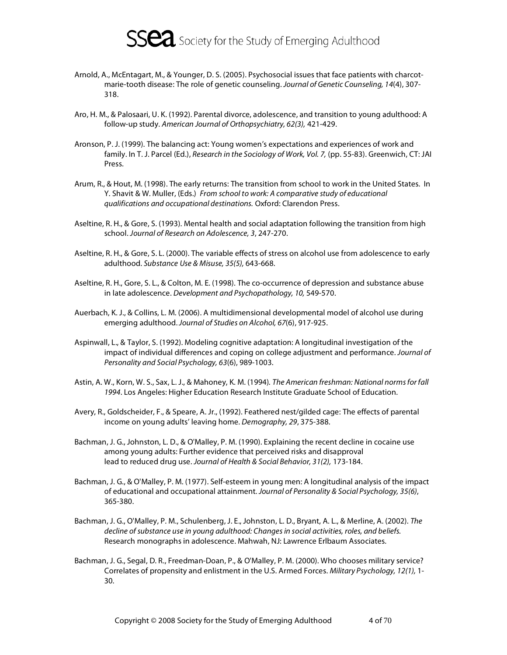

- Arnold, A., McEntagart, M., & Younger, D. S. (2005). Psychosocial issues that face patients with charcotmarie-tooth disease: The role of genetic counseling. Journal of Genetic Counseling, 14(4), 307- 318.
- Aro, H. M., & Palosaari, U. K. (1992). Parental divorce, adolescence, and transition to young adulthood: A follow-up study. American Journal of Orthopsychiatry, 62(3), 421-429.
- Aronson, P. J. (1999). The balancing act: Young women's expectations and experiences of work and family. In T. J. Parcel (Ed.), Research in the Sociology of Work, Vol. 7, (pp. 55-83). Greenwich, CT: JAI Press.
- Arum, R., & Hout, M. (1998). The early returns: The transition from school to work in the United States. In Y. Shavit & W. Muller, (Eds.) From school to work: A comparative study of educational qualifications and occupational destinations. Oxford: Clarendon Press.
- Aseltine, R. H., & Gore, S. (1993). Mental health and social adaptation following the transition from high school. Journal of Research on Adolescence, 3, 247-270.
- Aseltine, R. H., & Gore, S. L. (2000). The variable effects of stress on alcohol use from adolescence to early adulthood. Substance Use & Misuse, 35(5), 643-668.
- Aseltine, R. H., Gore, S. L., & Colton, M. E. (1998). The co-occurrence of depression and substance abuse in late adolescence. Development and Psychopathology, 10, 549-570.
- Auerbach, K. J., & Collins, L. M. (2006). A multidimensional developmental model of alcohol use during emerging adulthood. Journal of Studies on Alcohol, 67(6), 917-925.
- Aspinwall, L., & Taylor, S. (1992). Modeling cognitive adaptation: A longitudinal investigation of the impact of individual differences and coping on college adjustment and performance. Journal of Personality and Social Psychology, 63(6), 989-1003.
- Astin, A. W., Korn, W. S., Sax, L. J., & Mahoney, K. M. (1994). The American freshman: National norms for fall 1994. Los Angeles: Higher Education Research Institute Graduate School of Education.
- Avery, R., Goldscheider, F., & Speare, A. Jr., (1992). Feathered nest/gilded cage: The effects of parental income on young adults' leaving home. Demography, 29, 375-388.
- Bachman, J. G., Johnston, L. D., & O'Malley, P. M. (1990). Explaining the recent decline in cocaine use among young adults: Further evidence that perceived risks and disapproval lead to reduced drug use. Journal of Health & Social Behavior, 31(2), 173-184.
- Bachman, J. G., & O'Malley, P. M. (1977). Self-esteem in young men: A longitudinal analysis of the impact of educational and occupational attainment. Journal of Personality & Social Psychology, 35(6), 365-380.
- Bachman, J. G., O'Malley, P. M., Schulenberg, J. E., Johnston, L. D., Bryant, A. L., & Merline, A. (2002). The decline of substance use in young adulthood: Changes in social activities, roles, and beliefs. Research monographs in adolescence. Mahwah, NJ: Lawrence Erlbaum Associates.
- Bachman, J. G., Segal, D. R., Freedman-Doan, P., & O'Malley, P. M. (2000). Who chooses military service? Correlates of propensity and enlistment in the U.S. Armed Forces. Military Psychology, 12(1), 1- 30.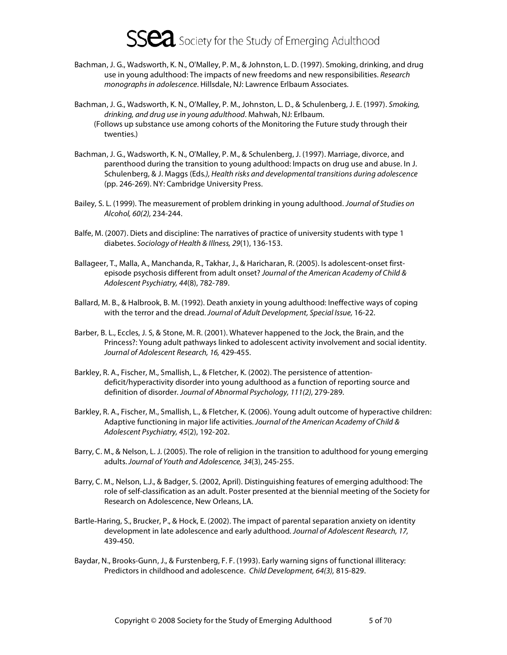- Bachman, J. G., Wadsworth, K. N., O'Malley, P. M., & Johnston, L. D. (1997). Smoking, drinking, and drug use in young adulthood: The impacts of new freedoms and new responsibilities. Research monographs in adolescence. Hillsdale, NJ: Lawrence Erlbaum Associates.
- Bachman, J. G., Wadsworth, K. N., O'Malley, P. M., Johnston, L. D., & Schulenberg, J. E. (1997). Smoking, drinking, and drug use in young adulthood. Mahwah, NJ: Erlbaum. (Follows up substance use among cohorts of the Monitoring the Future study through their twenties.)
- Bachman, J. G., Wadsworth, K. N., O'Malley, P. M., & Schulenberg, J. (1997). Marriage, divorce, and parenthood during the transition to young adulthood: Impacts on drug use and abuse. In J. Schulenberg, & J. Maggs (Eds.), Health risks and developmental transitions during adolescence (pp. 246-269). NY: Cambridge University Press.
- Bailey, S. L. (1999). The measurement of problem drinking in young adulthood. Journal of Studies on Alcohol, 60(2), 234-244.
- Balfe, M. (2007). Diets and discipline: The narratives of practice of university students with type 1 diabetes. Sociology of Health & Illness, 29(1), 136-153.
- Ballageer, T., Malla, A., Manchanda, R., Takhar, J., & Haricharan, R. (2005). Is adolescent-onset firstepisode psychosis different from adult onset? Journal of the American Academy of Child & Adolescent Psychiatry, 44(8), 782-789.
- Ballard, M. B., & Halbrook, B. M. (1992). Death anxiety in young adulthood: Ineffective ways of coping with the terror and the dread. Journal of Adult Development, Special Issue, 16-22.
- Barber, B. L., Eccles, J. S, & Stone, M. R. (2001). Whatever happened to the Jock, the Brain, and the Princess?: Young adult pathways linked to adolescent activity involvement and social identity. Journal of Adolescent Research, 16, 429-455.
- Barkley, R. A., Fischer, M., Smallish, L., & Fletcher, K. (2002). The persistence of attentiondeficit/hyperactivity disorder into young adulthood as a function of reporting source and definition of disorder. Journal of Abnormal Psychology, 111(2), 279-289.
- Barkley, R. A., Fischer, M., Smallish, L., & Fletcher, K. (2006). Young adult outcome of hyperactive children: Adaptive functioning in major life activities. Journal of the American Academy of Child & Adolescent Psychiatry, 45(2), 192-202.
- Barry, C. M., & Nelson, L. J. (2005). The role of religion in the transition to adulthood for young emerging adults. Journal of Youth and Adolescence, 34(3), 245-255.
- Barry, C. M., Nelson, L.J., & Badger, S. (2002, April). Distinguishing features of emerging adulthood: The role of self-classification as an adult. Poster presented at the biennial meeting of the Society for Research on Adolescence, New Orleans, LA.
- Bartle-Haring, S., Brucker, P., & Hock, E. (2002). The impact of parental separation anxiety on identity development in late adolescence and early adulthood. Journal of Adolescent Research, 17, 439-450.
- Baydar, N., Brooks-Gunn, J., & Furstenberg, F. F. (1993). Early warning signs of functional illiteracy: Predictors in childhood and adolescence. Child Development, 64(3), 815-829.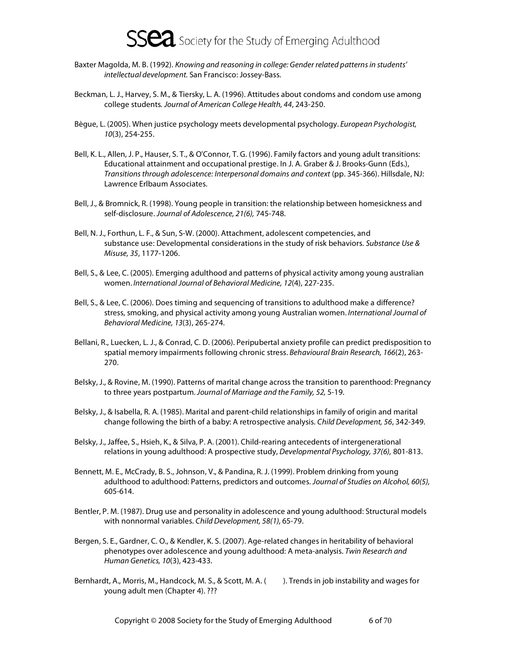

- Baxter Magolda, M. B. (1992). Knowing and reasoning in college: Gender related patterns in students' intellectual development. San Francisco: Jossey-Bass.
- Beckman, L. J., Harvey, S. M., & Tiersky, L. A. (1996). Attitudes about condoms and condom use among college students. Journal of American College Health, 44, 243-250.
- Bègue, L. (2005). When justice psychology meets developmental psychology. European Psychologist, 10(3), 254-255.
- Bell, K. L., Allen, J. P., Hauser, S. T., & O'Connor, T. G. (1996). Family factors and young adult transitions: Educational attainment and occupational prestige. In J. A. Graber & J. Brooks-Gunn (Eds.), Transitions through adolescence: Interpersonal domains and context (pp. 345-366). Hillsdale, NJ: Lawrence Erlbaum Associates.
- Bell, J., & Bromnick, R. (1998). Young people in transition: the relationship between homesickness and self-disclosure. Journal of Adolescence, 21(6), 745-748.
- Bell, N. J., Forthun, L. F., & Sun, S-W. (2000). Attachment, adolescent competencies, and substance use: Developmental considerations in the study of risk behaviors. Substance Use & Misuse, 35, 1177-1206.
- Bell, S., & Lee, C. (2005). Emerging adulthood and patterns of physical activity among young australian women. International Journal of Behavioral Medicine, 12(4), 227-235.
- Bell, S., & Lee, C. (2006). Does timing and sequencing of transitions to adulthood make a difference? stress, smoking, and physical activity among young Australian women. International Journal of Behavioral Medicine, 13(3), 265-274.
- Bellani, R., Luecken, L. J., & Conrad, C. D. (2006). Peripubertal anxiety profile can predict predisposition to spatial memory impairments following chronic stress. Behavioural Brain Research, 166(2), 263-270.
- Belsky, J., & Rovine, M. (1990). Patterns of marital change across the transition to parenthood: Pregnancy to three years postpartum. Journal of Marriage and the Family, 52, 5-19.
- Belsky, J., & Isabella, R. A. (1985). Marital and parent-child relationships in family of origin and marital change following the birth of a baby: A retrospective analysis. Child Development, 56, 342-349.
- Belsky, J., Jaffee, S., Hsieh, K., & Silva, P. A. (2001). Child-rearing antecedents of intergenerational relations in young adulthood: A prospective study, Developmental Psychology, 37(6), 801-813.
- Bennett, M. E., McCrady, B. S., Johnson, V., & Pandina, R. J. (1999). Problem drinking from young adulthood to adulthood: Patterns, predictors and outcomes. Journal of Studies on Alcohol, 60(5), 605-614.
- Bentler, P. M. (1987). Drug use and personality in adolescence and young adulthood: Structural models with nonnormal variables. Child Development, 58(1), 65-79.
- Bergen, S. E., Gardner, C. O., & Kendler, K. S. (2007). Age-related changes in heritability of behavioral phenotypes over adolescence and young adulthood: A meta-analysis. Twin Research and Human Genetics, 10(3), 423-433.
- Bernhardt, A., Morris, M., Handcock, M. S., & Scott, M. A. (). Trends in job instability and wages for young adult men (Chapter 4). ???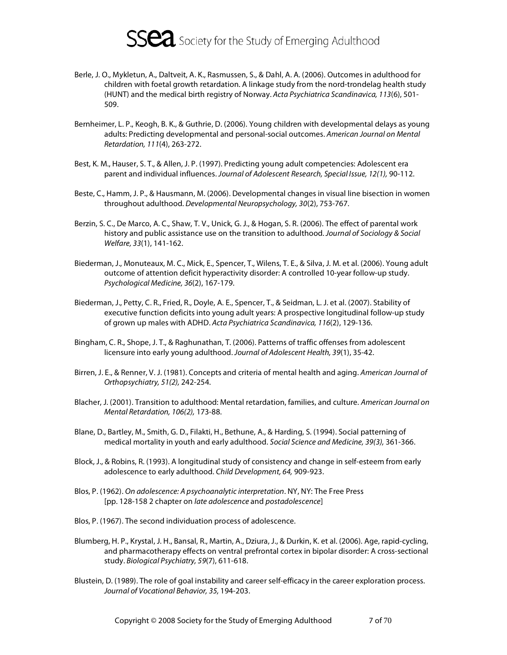

- Berle, J. O., Mykletun, A., Daltveit, A. K., Rasmussen, S., & Dahl, A. A. (2006). Outcomes in adulthood for children with foetal growth retardation. A linkage study from the nord-trondelag health study (HUNT) and the medical birth registry of Norway. Acta Psychiatrica Scandinavica, 113(6), 501- 509.
- Bernheimer, L. P., Keogh, B. K., & Guthrie, D. (2006). Young children with developmental delays as young adults: Predicting developmental and personal-social outcomes. American Journal on Mental Retardation, 111(4), 263-272.
- Best, K. M., Hauser, S. T., & Allen, J. P. (1997). Predicting young adult competencies: Adolescent era parent and individual influences. Journal of Adolescent Research, Special Issue, 12(1), 90-112.
- Beste, C., Hamm, J. P., & Hausmann, M. (2006). Developmental changes in visual line bisection in women throughout adulthood. Developmental Neuropsychology, 30(2), 753-767.
- Berzin, S. C., De Marco, A. C., Shaw, T. V., Unick, G. J., & Hogan, S. R. (2006). The effect of parental work history and public assistance use on the transition to adulthood. Journal of Sociology & Social Welfare, 33(1), 141-162.
- Biederman, J., Monuteaux, M. C., Mick, E., Spencer, T., Wilens, T. E., & Silva, J. M. et al. (2006). Young adult outcome of attention deficit hyperactivity disorder: A controlled 10-year follow-up study. Psychological Medicine, 36(2), 167-179.
- Biederman, J., Petty, C. R., Fried, R., Doyle, A. E., Spencer, T., & Seidman, L. J. et al. (2007). Stability of executive function deficits into young adult years: A prospective longitudinal follow-up study of grown up males with ADHD. Acta Psychiatrica Scandinavica, 116(2), 129-136.
- Bingham, C. R., Shope, J. T., & Raghunathan, T. (2006). Patterns of traffic offenses from adolescent licensure into early young adulthood. Journal of Adolescent Health, 39(1), 35-42.
- Birren, J. E., & Renner, V. J. (1981). Concepts and criteria of mental health and aging. American Journal of Orthopsychiatry, 51(2), 242-254.
- Blacher, J. (2001). Transition to adulthood: Mental retardation, families, and culture. American Journal on Mental Retardation, 106(2), 173-88.
- Blane, D., Bartley, M., Smith, G. D., Filakti, H., Bethune, A., & Harding, S. (1994). Social patterning of medical mortality in youth and early adulthood. Social Science and Medicine, 39(3), 361-366.
- Block, J., & Robins, R. (1993). A longitudinal study of consistency and change in self-esteem from early adolescence to early adulthood. Child Development, 64, 909-923.
- Blos, P. (1962). On adolescence: A psychoanalytic interpretation. NY, NY: The Free Press [pp. 128-158 2 chapter on late adolescence and postadolescence]
- Blos, P. (1967). The second individuation process of adolescence.
- Blumberg, H. P., Krystal, J. H., Bansal, R., Martin, A., Dziura, J., & Durkin, K. et al. (2006). Age, rapid-cycling, and pharmacotherapy effects on ventral prefrontal cortex in bipolar disorder: A cross-sectional study. Biological Psychiatry, 59(7), 611-618.
- Blustein, D. (1989). The role of goal instability and career self-efficacy in the career exploration process. Journal of Vocational Behavior, 35, 194-203.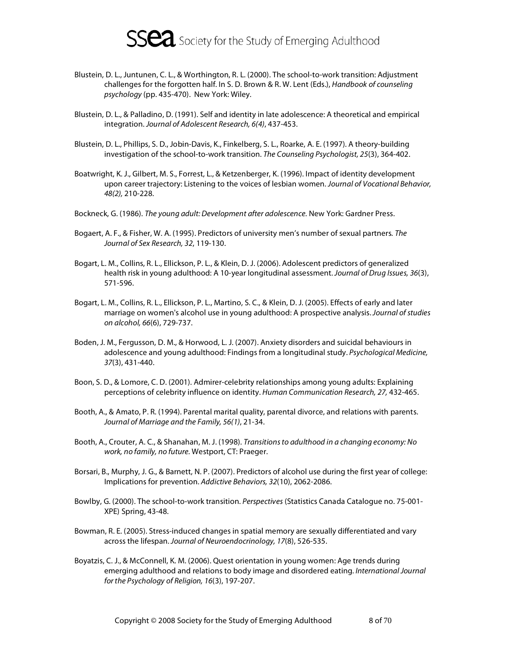

- Blustein, D. L., Juntunen, C. L., & Worthington, R. L. (2000). The school-to-work transition: Adjustment challenges for the forgotten half. In S. D. Brown & R. W. Lent (Eds.), Handbook of counseling psychology (pp. 435-470). New York: Wiley.
- Blustein, D. L., & Palladino, D. (1991). Self and identity in late adolescence: A theoretical and empirical integration. Journal of Adolescent Research, 6(4), 437-453.
- Blustein, D. L., Phillips, S. D., Jobin-Davis, K., Finkelberg, S. L., Roarke, A. E. (1997). A theory-building investigation of the school-to-work transition. The Counseling Psychologist, 25(3), 364-402.
- Boatwright, K. J., Gilbert, M. S., Forrest, L., & Ketzenberger, K. (1996). Impact of identity development upon career trajectory: Listening to the voices of lesbian women. Journal of Vocational Behavior, 48(2), 210-228.
- Bockneck, G. (1986). The young adult: Development after adolescence. New York: Gardner Press.
- Bogaert, A. F., & Fisher, W. A. (1995). Predictors of university men's number of sexual partners. The Journal of Sex Research, 32, 119-130.
- Bogart, L. M., Collins, R. L., Ellickson, P. L., & Klein, D. J. (2006). Adolescent predictors of generalized health risk in young adulthood: A 10-year longitudinal assessment. Journal of Drug Issues, 36(3), 571-596.
- Bogart, L. M., Collins, R. L., Ellickson, P. L., Martino, S. C., & Klein, D. J. (2005). Effects of early and later marriage on women's alcohol use in young adulthood: A prospective analysis. Journal of studies on alcohol, 66(6), 729-737.
- Boden, J. M., Fergusson, D. M., & Horwood, L. J. (2007). Anxiety disorders and suicidal behaviours in adolescence and young adulthood: Findings from a longitudinal study. Psychological Medicine, 37(3), 431-440.
- Boon, S. D., & Lomore, C. D. (2001). Admirer-celebrity relationships among young adults: Explaining perceptions of celebrity influence on identity. Human Communication Research, 27, 432-465.
- Booth, A., & Amato, P. R. (1994). Parental marital quality, parental divorce, and relations with parents. Journal of Marriage and the Family, 56(1), 21-34.
- Booth, A., Crouter, A. C., & Shanahan, M. J. (1998). Transitions to adulthood in a changing economy: No work, no family, no future. Westport, CT: Praeger.
- Borsari, B., Murphy, J. G., & Barnett, N. P. (2007). Predictors of alcohol use during the first year of college: Implications for prevention. Addictive Behaviors, 32(10), 2062-2086.
- Bowlby, G. (2000). The school-to-work transition. Perspectives (Statistics Canada Catalogue no. 75-001- XPE) Spring, 43-48.
- Bowman, R. E. (2005). Stress-induced changes in spatial memory are sexually differentiated and vary across the lifespan. Journal of Neuroendocrinology, 17(8), 526-535.
- Boyatzis, C. J., & McConnell, K. M. (2006). Quest orientation in young women: Age trends during emerging adulthood and relations to body image and disordered eating. International Journal for the Psychology of Religion, 16(3), 197-207.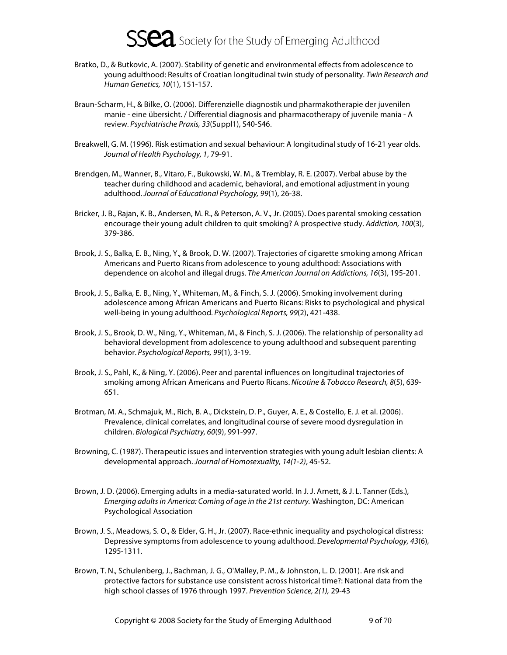- Bratko, D., & Butkovic, A. (2007). Stability of genetic and environmental effects from adolescence to young adulthood: Results of Croatian longitudinal twin study of personality. Twin Research and Human Genetics, 10(1), 151-157.
- Braun-Scharm, H., & Bilke, O. (2006). Differenzielle diagnostik und pharmakotherapie der juvenilen manie - eine übersicht. / Differential diagnosis and pharmacotherapy of juvenile mania - A review. Psychiatrische Praxis, 33(Suppl1), S40-S46.
- Breakwell, G. M. (1996). Risk estimation and sexual behaviour: A longitudinal study of 16-21 year olds. Journal of Health Psychology, 1, 79-91.
- Brendgen, M., Wanner, B., Vitaro, F., Bukowski, W. M., & Tremblay, R. E. (2007). Verbal abuse by the teacher during childhood and academic, behavioral, and emotional adjustment in young adulthood. Journal of Educational Psychology, 99(1), 26-38.
- Bricker, J. B., Rajan, K. B., Andersen, M. R., & Peterson, A. V., Jr. (2005). Does parental smoking cessation encourage their young adult children to quit smoking? A prospective study. Addiction, 100(3), 379-386.
- Brook, J. S., Balka, E. B., Ning, Y., & Brook, D. W. (2007). Trajectories of cigarette smoking among African Americans and Puerto Ricans from adolescence to young adulthood: Associations with dependence on alcohol and illegal drugs. The American Journal on Addictions, 16(3), 195-201.
- Brook, J. S., Balka, E. B., Ning, Y., Whiteman, M., & Finch, S. J. (2006). Smoking involvement during adolescence among African Americans and Puerto Ricans: Risks to psychological and physical well-being in young adulthood. Psychological Reports, 99(2), 421-438.
- Brook, J. S., Brook, D. W., Ning, Y., Whiteman, M., & Finch, S. J. (2006). The relationship of personality ad behavioral development from adolescence to young adulthood and subsequent parenting behavior. Psychological Reports, 99(1), 3-19.
- Brook, J. S., Pahl, K., & Ning, Y. (2006). Peer and parental influences on longitudinal trajectories of smoking among African Americans and Puerto Ricans. Nicotine & Tobacco Research, 8(5), 639- 651.
- Brotman, M. A., Schmajuk, M., Rich, B. A., Dickstein, D. P., Guyer, A. E., & Costello, E. J. et al. (2006). Prevalence, clinical correlates, and longitudinal course of severe mood dysregulation in children. Biological Psychiatry, 60(9), 991-997.
- Browning, C. (1987). Therapeutic issues and intervention strategies with young adult lesbian clients: A developmental approach. Journal of Homosexuality, 14(1-2), 45-52.
- Brown, J. D. (2006). Emerging adults in a media-saturated world. In J. J. Arnett, & J. L. Tanner (Eds.), Emerging adults in America: Coming of age in the 21st century. Washington, DC: American Psychological Association
- Brown, J. S., Meadows, S. O., & Elder, G. H., Jr. (2007). Race-ethnic inequality and psychological distress: Depressive symptoms from adolescence to young adulthood. Developmental Psychology, 43(6), 1295-1311.
- Brown, T. N., Schulenberg, J., Bachman, J. G., O'Malley, P. M., & Johnston, L. D. (2001). Are risk and protective factors for substance use consistent across historical time?: National data from the high school classes of 1976 through 1997. Prevention Science, 2(1), 29-43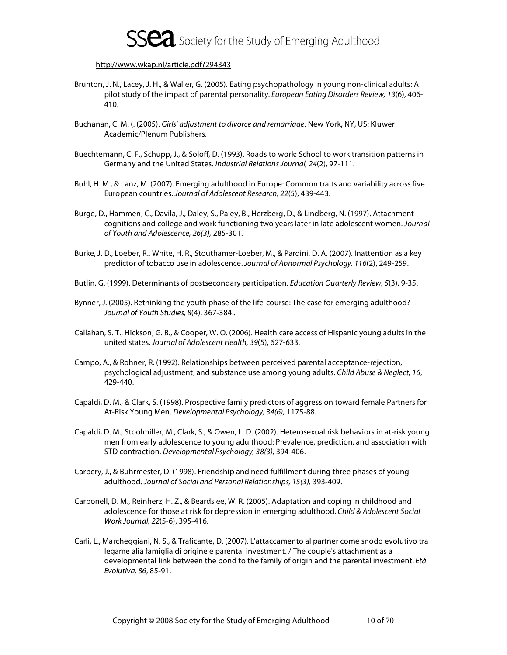

#### http://www.wkap.nl/article.pdf?294343

- Brunton, J. N., Lacey, J. H., & Waller, G. (2005). Eating psychopathology in young non-clinical adults: A pilot study of the impact of parental personality. European Eating Disorders Review, 13(6), 406- 410.
- Buchanan, C. M. (. (2005). Girls' adjustment to divorce and remarriage. New York, NY, US: Kluwer Academic/Plenum Publishers.
- Buechtemann, C. F., Schupp, J., & Soloff, D. (1993). Roads to work: School to work transition patterns in Germany and the United States. Industrial Relations Journal, 24(2), 97-111.
- Buhl, H. M., & Lanz, M. (2007). Emerging adulthood in Europe: Common traits and variability across five European countries. Journal of Adolescent Research, 22(5), 439-443.
- Burge, D., Hammen, C., Davila, J., Daley, S., Paley, B., Herzberg, D., & Lindberg, N. (1997). Attachment cognitions and college and work functioning two years later in late adolescent women. Journal of Youth and Adolescence, 26(3), 285-301.
- Burke, J. D., Loeber, R., White, H. R., Stouthamer-Loeber, M., & Pardini, D. A. (2007). Inattention as a key predictor of tobacco use in adolescence. Journal of Abnormal Psychology, 116(2), 249-259.
- Butlin, G. (1999). Determinants of postsecondary participation. Education Quarterly Review, 5(3), 9-35.
- Bynner, J. (2005). Rethinking the youth phase of the life-course: The case for emerging adulthood? Journal of Youth Studies, 8(4), 367-384..
- Callahan, S. T., Hickson, G. B., & Cooper, W. O. (2006). Health care access of Hispanic young adults in the united states. Journal of Adolescent Health, 39(5), 627-633.
- Campo, A., & Rohner, R. (1992). Relationships between perceived parental acceptance-rejection, psychological adjustment, and substance use among young adults. Child Abuse & Neglect, 16, 429-440.
- Capaldi, D. M., & Clark, S. (1998). Prospective family predictors of aggression toward female Partners for At-Risk Young Men. Developmental Psychology, 34(6), 1175-88.
- Capaldi, D. M., Stoolmiller, M., Clark, S., & Owen, L. D. (2002). Heterosexual risk behaviors in at-risk young men from early adolescence to young adulthood: Prevalence, prediction, and association with STD contraction. Developmental Psychology, 38(3), 394-406.
- Carbery, J., & Buhrmester, D. (1998). Friendship and need fulfillment during three phases of young adulthood. Journal of Social and Personal Relationships, 15(3), 393-409.
- Carbonell, D. M., Reinherz, H. Z., & Beardslee, W. R. (2005). Adaptation and coping in childhood and adolescence for those at risk for depression in emerging adulthood. Child & Adolescent Social Work Journal, 22(5-6), 395-416.
- Carli, L., Marcheggiani, N. S., & Traficante, D. (2007). L'attaccamento al partner come snodo evolutivo tra legame alia famiglia di origine e parental investment. / The couple's attachment as a developmental link between the bond to the family of origin and the parental investment. Età Evolutiva, 86, 85-91.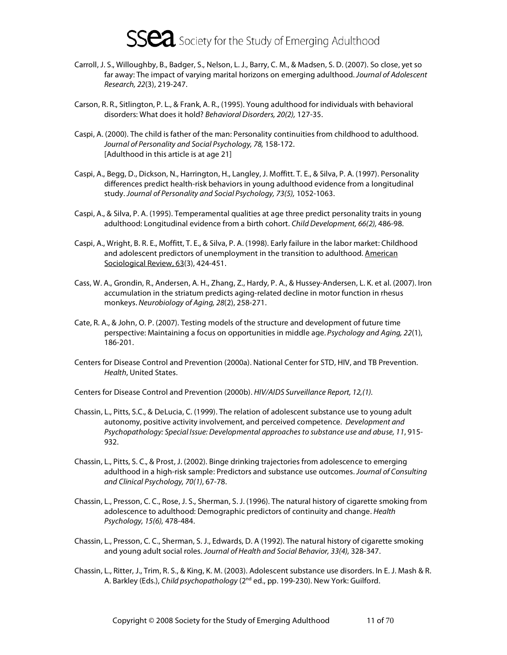- Carroll, J. S., Willoughby, B., Badger, S., Nelson, L. J., Barry, C. M., & Madsen, S. D. (2007). So close, yet so far away: The impact of varying marital horizons on emerging adulthood. Journal of Adolescent Research, 22(3), 219-247.
- Carson, R. R., Sitlington, P. L., & Frank, A. R., (1995). Young adulthood for individuals with behavioral disorders: What does it hold? Behavioral Disorders, 20(2), 127-35.
- Caspi, A. (2000). The child is father of the man: Personality continuities from childhood to adulthood. Journal of Personality and Social Psychology, 78, 158-172. [Adulthood in this article is at age 21]
- Caspi, A., Begg, D., Dickson, N., Harrington, H., Langley, J. Moffitt. T. E., & Silva, P. A. (1997). Personality differences predict health-risk behaviors in young adulthood evidence from a longitudinal study. Journal of Personality and Social Psychology, 73(5), 1052-1063.
- Caspi, A., & Silva, P. A. (1995). Temperamental qualities at age three predict personality traits in young adulthood: Longitudinal evidence from a birth cohort. Child Development, 66(2), 486-98.
- Caspi, A., Wright, B. R. E., Moffitt, T. E., & Silva, P. A. (1998). Early failure in the labor market: Childhood and adolescent predictors of unemployment in the transition to adulthood. American Sociological Review, 63(3), 424-451.
- Cass, W. A., Grondin, R., Andersen, A. H., Zhang, Z., Hardy, P. A., & Hussey-Andersen, L. K. et al. (2007). Iron accumulation in the striatum predicts aging-related decline in motor function in rhesus monkeys. Neurobiology of Aging, 28(2), 258-271.
- Cate, R. A., & John, O. P. (2007). Testing models of the structure and development of future time perspective: Maintaining a focus on opportunities in middle age. Psychology and Aging, 22(1), 186-201.
- Centers for Disease Control and Prevention (2000a). National Center for STD, HIV, and TB Prevention. Health, United States.
- Centers for Disease Control and Prevention (2000b). HIV/AIDS Surveillance Report, 12,(1).
- Chassin, L., Pitts, S.C., & DeLucia, C. (1999). The relation of adolescent substance use to young adult autonomy, positive activity involvement, and perceived competence. Development and Psychopathology: Special Issue: Developmental approaches to substance use and abuse, 11, 915- 932.
- Chassin, L., Pitts, S. C., & Prost, J. (2002). Binge drinking trajectories from adolescence to emerging adulthood in a high-risk sample: Predictors and substance use outcomes. Journal of Consulting and Clinical Psychology, 70(1), 67-78.
- Chassin, L., Presson, C. C., Rose, J. S., Sherman, S. J. (1996). The natural history of cigarette smoking from adolescence to adulthood: Demographic predictors of continuity and change. Health Psychology, 15(6), 478-484.
- Chassin, L., Presson, C. C., Sherman, S. J., Edwards, D. A (1992). The natural history of cigarette smoking and young adult social roles. Journal of Health and Social Behavior, 33(4), 328-347.
- Chassin, L., Ritter, J., Trim, R. S., & King, K. M. (2003). Adolescent substance use disorders. In E. J. Mash & R. A. Barkley (Eds.), Child psychopathology (2<sup>nd</sup> ed., pp. 199-230). New York: Guilford.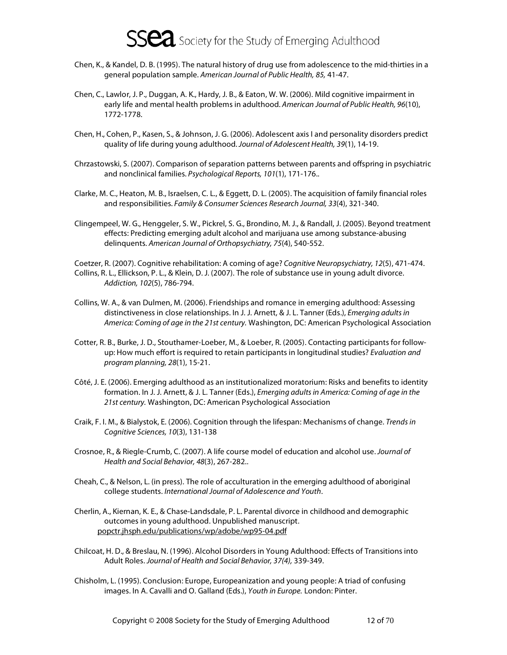

- Chen, K., & Kandel, D. B. (1995). The natural history of drug use from adolescence to the mid-thirties in a general population sample. American Journal of Public Health, 85, 41-47.
- Chen, C., Lawlor, J. P., Duggan, A. K., Hardy, J. B., & Eaton, W. W. (2006). Mild cognitive impairment in early life and mental health problems in adulthood. American Journal of Public Health, 96(10), 1772-1778.
- Chen, H., Cohen, P., Kasen, S., & Johnson, J. G. (2006). Adolescent axis I and personality disorders predict quality of life during young adulthood. Journal of Adolescent Health, 39(1), 14-19.
- Chrzastowski, S. (2007). Comparison of separation patterns between parents and offspring in psychiatric and nonclinical families. Psychological Reports, 101(1), 171-176..
- Clarke, M. C., Heaton, M. B., Israelsen, C. L., & Eggett, D. L. (2005). The acquisition of family financial roles and responsibilities. Family & Consumer Sciences Research Journal, 33(4), 321-340.
- Clingempeel, W. G., Henggeler, S. W., Pickrel, S. G., Brondino, M. J., & Randall, J. (2005). Beyond treatment effects: Predicting emerging adult alcohol and marijuana use among substance-abusing delinquents. American Journal of Orthopsychiatry, 75(4), 540-552.

Coetzer, R. (2007). Cognitive rehabilitation: A coming of age? Cognitive Neuropsychiatry, 12(5), 471-474. Collins, R. L., Ellickson, P. L., & Klein, D. J. (2007). The role of substance use in young adult divorce. Addiction, 102(5), 786-794.

- Collins, W. A., & van Dulmen, M. (2006). Friendships and romance in emerging adulthood: Assessing distinctiveness in close relationships. In J. J. Arnett, & J. L. Tanner (Eds.), Emerging adults in America: Coming of age in the 21st century. Washington, DC: American Psychological Association
- Cotter, R. B., Burke, J. D., Stouthamer-Loeber, M., & Loeber, R. (2005). Contacting participants for followup: How much effort is required to retain participants in longitudinal studies? Evaluation and program planning, 28(1), 15-21.
- Côté, J. E. (2006). Emerging adulthood as an institutionalized moratorium: Risks and benefits to identity formation. In J. J. Arnett, & J. L. Tanner (Eds.), Emerging adults in America: Coming of age in the 21st century. Washington, DC: American Psychological Association
- Craik, F. I. M., & Bialystok, E. (2006). Cognition through the lifespan: Mechanisms of change. Trends in Cognitive Sciences, 10(3), 131-138
- Crosnoe, R., & Riegle-Crumb, C. (2007). A life course model of education and alcohol use. Journal of Health and Social Behavior, 48(3), 267-282..
- Cheah, C., & Nelson, L. (in press). The role of acculturation in the emerging adulthood of aboriginal college students. International Journal of Adolescence and Youth.
- Cherlin, A., Kiernan, K. E., & Chase-Landsdale, P. L. Parental divorce in childhood and demographic outcomes in young adulthood. Unpublished manuscript. popctr.jhsph.edu/publications/wp/adobe/wp95-04.pdf
- Chilcoat, H. D., & Breslau, N. (1996). Alcohol Disorders in Young Adulthood: Effects of Transitions into Adult Roles. Journal of Health and Social Behavior, 37(4), 339-349.
- Chisholm, L. (1995). Conclusion: Europe, Europeanization and young people: A triad of confusing images. In A. Cavalli and O. Galland (Eds.), Youth in Europe. London: Pinter.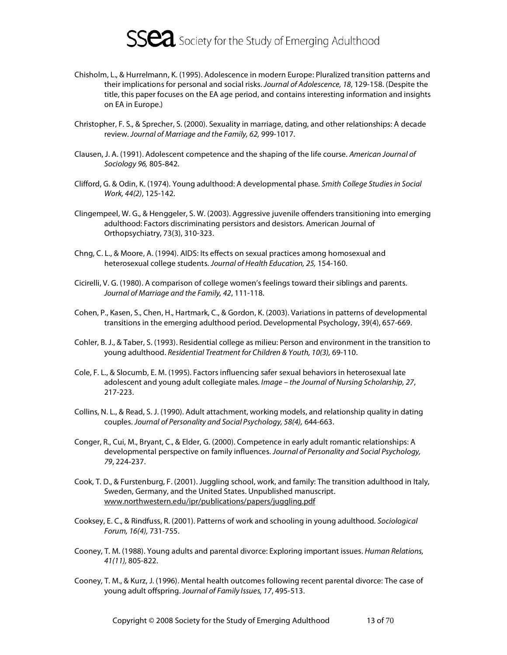

- Chisholm, L., & Hurrelmann, K. (1995). Adolescence in modern Europe: Pluralized transition patterns and their implications for personal and social risks. Journal of Adolescence, 18, 129-158. (Despite the title, this paper focuses on the EA age period, and contains interesting information and insights on EA in Europe.)
- Christopher, F. S., & Sprecher, S. (2000). Sexuality in marriage, dating, and other relationships: A decade review. Journal of Marriage and the Family, 62, 999-1017.
- Clausen, J. A. (1991). Adolescent competence and the shaping of the life course. American Journal of Sociology 96, 805-842.
- Clifford, G. & Odin, K. (1974). Young adulthood: A developmental phase. Smith College Studies in Social Work, 44(2), 125-142.
- Clingempeel, W. G., & Henggeler, S. W. (2003). Aggressive juvenile offenders transitioning into emerging adulthood: Factors discriminating persistors and desistors. American Journal of Orthopsychiatry, 73(3), 310-323.
- Chng, C. L., & Moore, A. (1994). AIDS: Its effects on sexual practices among homosexual and heterosexual college students. Journal of Health Education, 25, 154-160.
- Cicirelli, V. G. (1980). A comparison of college women's feelings toward their siblings and parents. Journal of Marriage and the Family, 42, 111-118.
- Cohen, P., Kasen, S., Chen, H., Hartmark, C., & Gordon, K. (2003). Variations in patterns of developmental transitions in the emerging adulthood period. Developmental Psychology, 39(4), 657-669.
- Cohler, B. J., & Taber, S. (1993). Residential college as milieu: Person and environment in the transition to young adulthood. Residential Treatment for Children & Youth, 10(3), 69-110.
- Cole, F. L., & Slocumb, E. M. (1995). Factors influencing safer sexual behaviors in heterosexual late adolescent and young adult collegiate males. Image - the Journal of Nursing Scholarship, 27, 217-223.
- Collins, N. L., & Read, S. J. (1990). Adult attachment, working models, and relationship quality in dating couples. Journal of Personality and Social Psychology, 58(4), 644-663.
- Conger, R., Cui, M., Bryant, C., & Elder, G. (2000). Competence in early adult romantic relationships: A developmental perspective on family influences. Journal of Personality and Social Psychology, 79, 224-237.
- Cook, T. D., & Furstenburg, F. (2001). Juggling school, work, and family: The transition adulthood in Italy, Sweden, Germany, and the United States. Unpublished manuscript. www.northwestern.edu/ipr/publications/papers/juggling.pdf
- Cooksey, E. C., & Rindfuss, R. (2001). Patterns of work and schooling in young adulthood. Sociological Forum, 16(4), 731-755.
- Cooney, T. M. (1988). Young adults and parental divorce: Exploring important issues. Human Relations, 41(11), 805-822.
- Cooney, T. M., & Kurz, J. (1996). Mental health outcomes following recent parental divorce: The case of young adult offspring. Journal of Family Issues, 17, 495-513.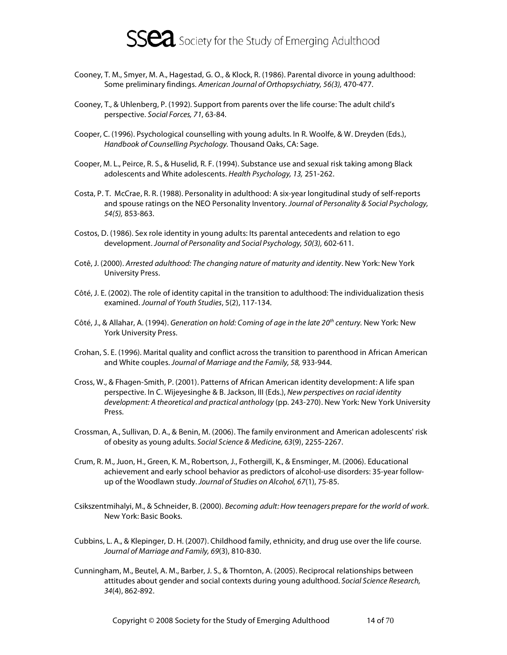

- Cooney, T. M., Smyer, M. A., Hagestad, G. O., & Klock, R. (1986). Parental divorce in young adulthood: Some preliminary findings. American Journal of Orthopsychiatry, 56(3), 470-477.
- Cooney, T., & Uhlenberg, P. (1992). Support from parents over the life course: The adult child's perspective. Social Forces, 71, 63-84.
- Cooper, C. (1996). Psychological counselling with young adults. In R. Woolfe, & W. Dreyden (Eds.), Handbook of Counselling Psychology. Thousand Oaks, CA: Sage.
- Cooper, M. L., Peirce, R. S., & Huselid, R. F. (1994). Substance use and sexual risk taking among Black adolescents and White adolescents. Health Psychology, 13, 251-262.
- Costa, P. T. McCrae, R. R. (1988). Personality in adulthood: A six-year longitudinal study of self-reports and spouse ratings on the NEO Personality Inventory. Journal of Personality & Social Psychology, 54(5), 853-863.
- Costos, D. (1986). Sex role identity in young adults: Its parental antecedents and relation to ego development. Journal of Personality and Social Psychology, 50(3), 602-611.
- Cotê, J. (2000). Arrested adulthood: The changing nature of maturity and identity. New York: New York University Press.
- Côté, J. E. (2002). The role of identity capital in the transition to adulthood: The individualization thesis examined. Journal of Youth Studies, 5(2), 117-134.
- Côté, J., & Allahar, A. (1994). Generation on hold: Coming of age in the late 20<sup>th</sup> century. New York: New York University Press.
- Crohan, S. E. (1996). Marital quality and conflict across the transition to parenthood in African American and White couples. Journal of Marriage and the Family, 58, 933-944.
- Cross, W., & Fhagen-Smith, P. (2001). Patterns of African American identity development: A life span perspective. In C. Wijeyesinghe & B. Jackson, III (Eds.), New perspectives on racial identity development: A theoretical and practical anthology (pp. 243-270). New York: New York University Press.
- Crossman, A., Sullivan, D. A., & Benin, M. (2006). The family environment and American adolescents' risk of obesity as young adults. Social Science & Medicine, 63(9), 2255-2267.
- Crum, R. M., Juon, H., Green, K. M., Robertson, J., Fothergill, K., & Ensminger, M. (2006). Educational achievement and early school behavior as predictors of alcohol-use disorders: 35-year followup of the Woodlawn study. Journal of Studies on Alcohol, 67(1), 75-85.
- Csikszentmihalyi, M., & Schneider, B. (2000). Becoming adult: How teenagers prepare for the world of work. New York: Basic Books.
- Cubbins, L. A., & Klepinger, D. H. (2007). Childhood family, ethnicity, and drug use over the life course. Journal of Marriage and Family, 69(3), 810-830.
- Cunningham, M., Beutel, A. M., Barber, J. S., & Thornton, A. (2005). Reciprocal relationships between attitudes about gender and social contexts during young adulthood. Social Science Research, 34(4), 862-892.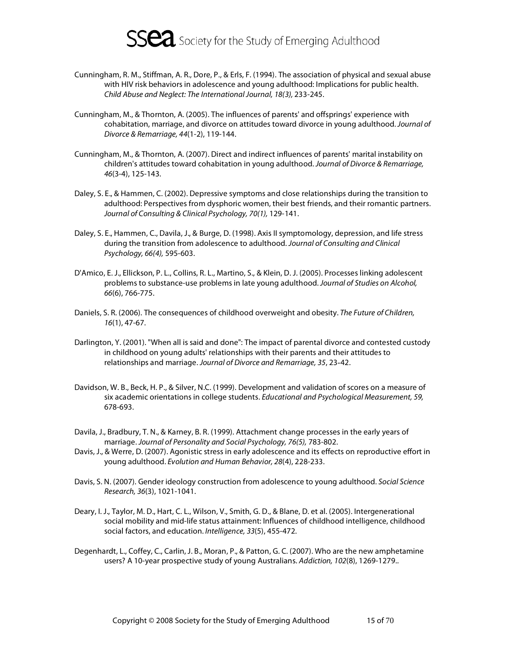

- Cunningham, R. M., Stiffman, A. R., Dore, P., & Erls, F. (1994). The association of physical and sexual abuse with HIV risk behaviors in adolescence and young adulthood: Implications for public health. Child Abuse and Neglect: The International Journal, 18(3), 233-245.
- Cunningham, M., & Thornton, A. (2005). The influences of parents' and offsprings' experience with cohabitation, marriage, and divorce on attitudes toward divorce in young adulthood. Journal of Divorce & Remarriage, 44(1-2), 119-144.
- Cunningham, M., & Thornton, A. (2007). Direct and indirect influences of parents' marital instability on children's attitudes toward cohabitation in young adulthood. Journal of Divorce & Remarriage, 46(3-4), 125-143.
- Daley, S. E., & Hammen, C. (2002). Depressive symptoms and close relationships during the transition to adulthood: Perspectives from dysphoric women, their best friends, and their romantic partners. Journal of Consulting & Clinical Psychology, 70(1), 129-141.
- Daley, S. E., Hammen, C., Davila, J., & Burge, D. (1998). Axis II symptomology, depression, and life stress during the transition from adolescence to adulthood. Journal of Consulting and Clinical Psychology, 66(4), 595-603.
- D'Amico, E. J., Ellickson, P. L., Collins, R. L., Martino, S., & Klein, D. J. (2005). Processes linking adolescent problems to substance-use problems in late young adulthood. Journal of Studies on Alcohol, 66(6), 766-775.
- Daniels, S. R. (2006). The consequences of childhood overweight and obesity. The Future of Children, 16(1), 47-67.
- Darlington, Y. (2001). "When all is said and done": The impact of parental divorce and contested custody in childhood on young adults' relationships with their parents and their attitudes to relationships and marriage. Journal of Divorce and Remarriage, 35, 23-42.
- Davidson, W. B., Beck, H. P., & Silver, N.C. (1999). Development and validation of scores on a measure of six academic orientations in college students. Educational and Psychological Measurement, 59, 678-693.
- Davila, J., Bradbury, T. N., & Karney, B. R. (1999). Attachment change processes in the early years of marriage. Journal of Personality and Social Psychology, 76(5), 783-802.
- Davis, J., & Werre, D. (2007). Agonistic stress in early adolescence and its effects on reproductive effort in young adulthood. Evolution and Human Behavior, 28(4), 228-233.
- Davis, S. N. (2007). Gender ideology construction from adolescence to young adulthood. Social Science Research, 36(3), 1021-1041.
- Deary, I. J., Taylor, M. D., Hart, C. L., Wilson, V., Smith, G. D., & Blane, D. et al. (2005). Intergenerational social mobility and mid-life status attainment: Influences of childhood intelligence, childhood social factors, and education. Intelligence, 33(5), 455-472.
- Degenhardt, L., Coffey, C., Carlin, J. B., Moran, P., & Patton, G. C. (2007). Who are the new amphetamine users? A 10-year prospective study of young Australians. Addiction, 102(8), 1269-1279..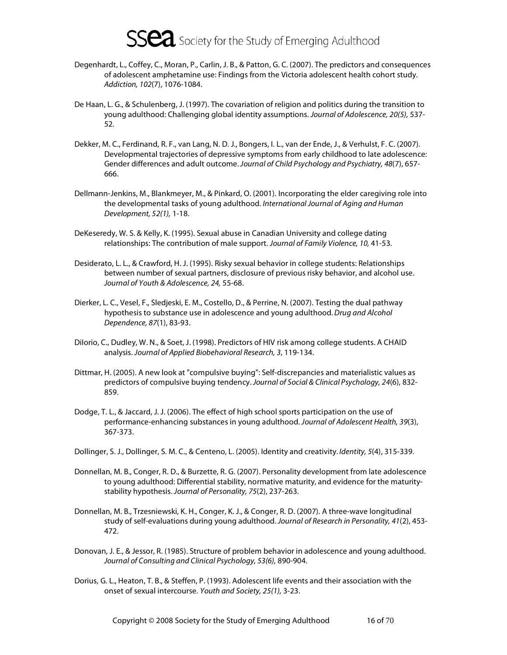- Degenhardt, L., Coffey, C., Moran, P., Carlin, J. B., & Patton, G. C. (2007). The predictors and consequences of adolescent amphetamine use: Findings from the Victoria adolescent health cohort study. Addiction, 102(7), 1076-1084.
- De Haan, L. G., & Schulenberg, J. (1997). The covariation of religion and politics during the transition to young adulthood: Challenging global identity assumptions. Journal of Adolescence, 20(5), 537- 52.
- Dekker, M. C., Ferdinand, R. F., van Lang, N. D. J., Bongers, I. L., van der Ende, J., & Verhulst, F. C. (2007). Developmental trajectories of depressive symptoms from early childhood to late adolescence: Gender differences and adult outcome. Journal of Child Psychology and Psychiatry, 48(7), 657- 666.
- Dellmann-Jenkins, M., Blankmeyer, M., & Pinkard, O. (2001). Incorporating the elder caregiving role into the developmental tasks of young adulthood. International Journal of Aging and Human Development, 52(1), 1-18.
- DeKeseredy, W. S. & Kelly, K. (1995). Sexual abuse in Canadian University and college dating relationships: The contribution of male support. Journal of Family Violence, 10, 41-53.
- Desiderato, L. L., & Crawford, H. J. (1995). Risky sexual behavior in college students: Relationships between number of sexual partners, disclosure of previous risky behavior, and alcohol use. Journal of Youth & Adolescence, 24, 55-68.
- Dierker, L. C., Vesel, F., Sledjeski, E. M., Costello, D., & Perrine, N. (2007). Testing the dual pathway hypothesis to substance use in adolescence and young adulthood. Drug and Alcohol Dependence, 87(1), 83-93.
- DiIorio, C., Dudley, W. N., & Soet, J. (1998). Predictors of HIV risk among college students. A CHAID analysis. Journal of Applied Biobehavioral Research, 3, 119-134.
- Dittmar, H. (2005). A new look at "compulsive buying": Self-discrepancies and materialistic values as predictors of compulsive buying tendency. Journal of Social & Clinical Psychology, 24(6), 832- 859.
- Dodge, T. L., & Jaccard, J. J. (2006). The effect of high school sports participation on the use of performance-enhancing substances in young adulthood. Journal of Adolescent Health, 39(3), 367-373.
- Dollinger, S. J., Dollinger, S. M. C., & Centeno, L. (2005). Identity and creativity. Identity, 5(4), 315-339.
- Donnellan, M. B., Conger, R. D., & Burzette, R. G. (2007). Personality development from late adolescence to young adulthood: Differential stability, normative maturity, and evidence for the maturitystability hypothesis. Journal of Personality, 75(2), 237-263.
- Donnellan, M. B., Trzesniewski, K. H., Conger, K. J., & Conger, R. D. (2007). A three-wave longitudinal study of self-evaluations during young adulthood. Journal of Research in Personality, 41(2), 453- 472.
- Donovan, J. E., & Jessor, R. (1985). Structure of problem behavior in adolescence and young adulthood. Journal of Consulting and Clinical Psychology, 53(6), 890-904.
- Dorius, G. L., Heaton, T. B., & Steffen, P. (1993). Adolescent life events and their association with the onset of sexual intercourse. Youth and Society, 25(1), 3-23.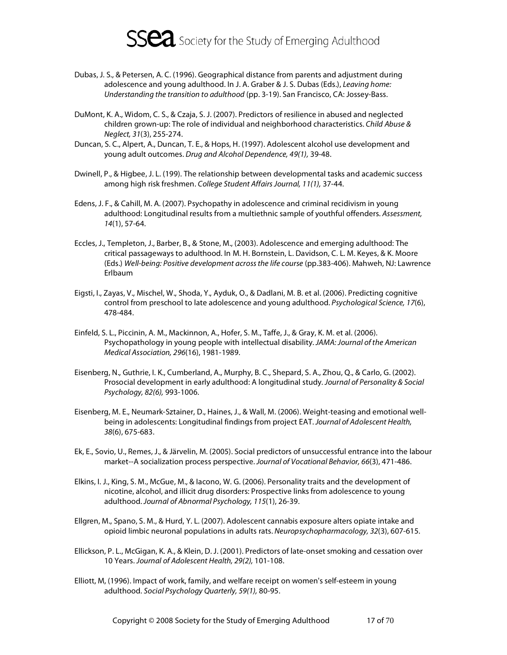

- Dubas, J. S., & Petersen, A. C. (1996). Geographical distance from parents and adjustment during adolescence and young adulthood. In J. A. Graber & J. S. Dubas (Eds.), Leaving home: Understanding the transition to adulthood (pp. 3-19). San Francisco, CA: Jossey-Bass.
- DuMont, K. A., Widom, C. S., & Czaja, S. J. (2007). Predictors of resilience in abused and neglected children grown-up: The role of individual and neighborhood characteristics. Child Abuse & Neglect, 31(3), 255-274.
- Duncan, S. C., Alpert, A., Duncan, T. E., & Hops, H. (1997). Adolescent alcohol use development and young adult outcomes. Drug and Alcohol Dependence, 49(1), 39-48.
- Dwinell, P., & Higbee, J. L. (199). The relationship between developmental tasks and academic success among high risk freshmen. College Student Affairs Journal, 11(1), 37-44.
- Edens, J. F., & Cahill, M. A. (2007). Psychopathy in adolescence and criminal recidivism in young adulthood: Longitudinal results from a multiethnic sample of youthful offenders. Assessment, 14(1), 57-64.
- Eccles, J., Templeton, J., Barber, B., & Stone, M., (2003). Adolescence and emerging adulthood: The critical passageways to adulthood. In M. H. Bornstein, L. Davidson, C. L. M. Keyes, & K. Moore (Eds.) Well-being: Positive development across the life course (pp.383-406). Mahweh, NJ: Lawrence Erlbaum
- Eigsti, I., Zayas, V., Mischel, W., Shoda, Y., Ayduk, O., & Dadlani, M. B. et al. (2006). Predicting cognitive control from preschool to late adolescence and young adulthood. Psychological Science, 17(6), 478-484.
- Einfeld, S. L., Piccinin, A. M., Mackinnon, A., Hofer, S. M., Taffe, J., & Gray, K. M. et al. (2006). Psychopathology in young people with intellectual disability. JAMA: Journal of the American Medical Association, 296(16), 1981-1989.
- Eisenberg, N., Guthrie, I. K., Cumberland, A., Murphy, B. C., Shepard, S. A., Zhou, Q., & Carlo, G. (2002). Prosocial development in early adulthood: A longitudinal study. Journal of Personality & Social Psychology, 82(6), 993-1006.
- Eisenberg, M. E., Neumark-Sztainer, D., Haines, J., & Wall, M. (2006). Weight-teasing and emotional wellbeing in adolescents: Longitudinal findings from project EAT. Journal of Adolescent Health, 38(6), 675-683.
- Ek, E., Sovio, U., Remes, J., & Järvelin, M. (2005). Social predictors of unsuccessful entrance into the labour market--A socialization process perspective. Journal of Vocational Behavior, 66(3), 471-486.
- Elkins, I. J., King, S. M., McGue, M., & Iacono, W. G. (2006). Personality traits and the development of nicotine, alcohol, and illicit drug disorders: Prospective links from adolescence to young adulthood. Journal of Abnormal Psychology, 115(1), 26-39.
- Ellgren, M., Spano, S. M., & Hurd, Y. L. (2007). Adolescent cannabis exposure alters opiate intake and opioid limbic neuronal populations in adults rats. Neuropsychopharmacology, 32(3), 607-615.
- Ellickson, P. L., McGigan, K. A., & Klein, D. J. (2001). Predictors of late-onset smoking and cessation over 10 Years. Journal of Adolescent Health, 29(2), 101-108.
- Elliott, M, (1996). Impact of work, family, and welfare receipt on women's self-esteem in young adulthood. Social Psychology Quarterly, 59(1), 80-95.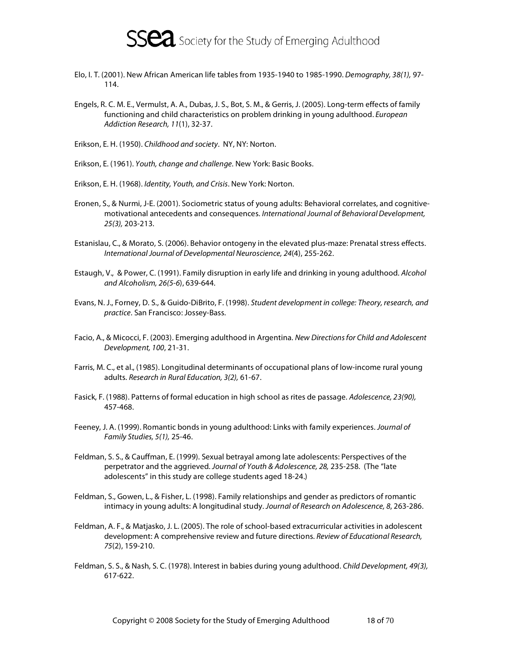

- Elo, I. T. (2001). New African American life tables from 1935-1940 to 1985-1990. Demography, 38(1), 97- 114.
- Engels, R. C. M. E., Vermulst, A. A., Dubas, J. S., Bot, S. M., & Gerris, J. (2005). Long-term effects of family functioning and child characteristics on problem drinking in young adulthood. European Addiction Research, 11(1), 32-37.
- Erikson, E. H. (1950). Childhood and society. NY, NY: Norton.
- Erikson, E. (1961). Youth, change and challenge. New York: Basic Books.
- Erikson, E. H. (1968). Identity, Youth, and Crisis. New York: Norton.
- Eronen, S., & Nurmi, J-E. (2001). Sociometric status of young adults: Behavioral correlates, and cognitivemotivational antecedents and consequences. International Journal of Behavioral Development, 25(3), 203-213.
- Estanislau, C., & Morato, S. (2006). Behavior ontogeny in the elevated plus-maze: Prenatal stress effects. International Journal of Developmental Neuroscience, 24(4), 255-262.
- Estaugh, V., & Power, C. (1991). Family disruption in early life and drinking in young adulthood. Alcohol and Alcoholism, 26(5-6), 639-644.
- Evans, N. J., Forney, D. S., & Guido-DiBrito, F. (1998). Student development in college: Theory, research, and practice. San Francisco: Jossey-Bass.
- Facio, A., & Micocci, F. (2003). Emerging adulthood in Argentina. New Directions for Child and Adolescent Development, 100, 21-31.
- Farris, M. C., et al., (1985). Longitudinal determinants of occupational plans of low-income rural young adults. Research in Rural Education, 3(2), 61-67.
- Fasick, F. (1988). Patterns of formal education in high school as rites de passage. Adolescence, 23(90), 457-468.
- Feeney, J. A. (1999). Romantic bonds in young adulthood: Links with family experiences. Journal of Family Studies, 5(1), 25-46.
- Feldman, S. S., & Cauffman, E. (1999). Sexual betrayal among late adolescents: Perspectives of the perpetrator and the aggrieved. Journal of Youth & Adolescence, 28, 235-258. (The "late adolescents" in this study are college students aged 18-24.)
- Feldman, S., Gowen, L., & Fisher, L. (1998). Family relationships and gender as predictors of romantic intimacy in young adults: A longitudinal study. Journal of Research on Adolescence, 8, 263-286.
- Feldman, A. F., & Matjasko, J. L. (2005). The role of school-based extracurricular activities in adolescent development: A comprehensive review and future directions. Review of Educational Research, 75(2), 159-210.
- Feldman, S. S., & Nash, S. C. (1978). Interest in babies during young adulthood. Child Development, 49(3), 617-622.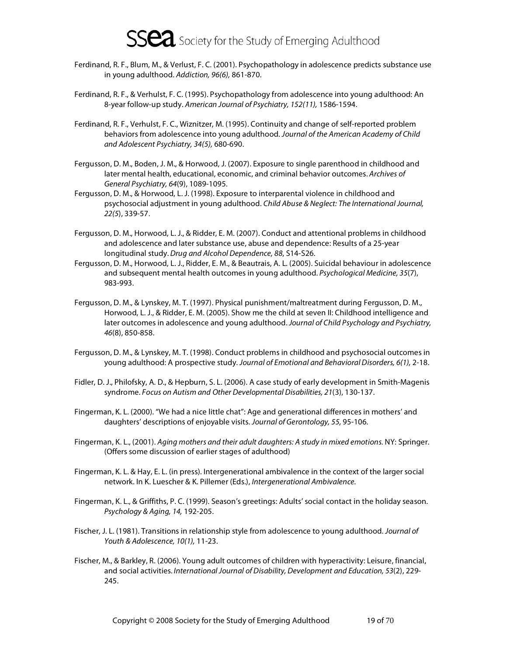- Ferdinand, R. F., Blum, M., & Verlust, F. C. (2001). Psychopathology in adolescence predicts substance use in young adulthood. Addiction, 96(6), 861-870.
- Ferdinand, R. F., & Verhulst, F. C. (1995). Psychopathology from adolescence into young adulthood: An 8-year follow-up study. American Journal of Psychiatry, 152(11), 1586-1594.
- Ferdinand, R. F., Verhulst, F. C., Wiznitzer, M. (1995). Continuity and change of self-reported problem behaviors from adolescence into young adulthood. Journal of the American Academy of Child and Adolescent Psychiatry, 34(5), 680-690.
- Fergusson, D. M., Boden, J. M., & Horwood, J. (2007). Exposure to single parenthood in childhood and later mental health, educational, economic, and criminal behavior outcomes. Archives of General Psychiatry, 64(9), 1089-1095.
- Fergusson, D. M., & Horwood, L. J. (1998). Exposure to interparental violence in childhood and psychosocial adjustment in young adulthood. Child Abuse & Neglect: The International Journal, 22(5), 339-57.
- Fergusson, D. M., Horwood, L. J., & Ridder, E. M. (2007). Conduct and attentional problems in childhood and adolescence and later substance use, abuse and dependence: Results of a 25-year longitudinal study. Drug and Alcohol Dependence, 88, S14-S26.
- Fergusson, D. M., Horwood, L. J., Ridder, E. M., & Beautrais, A. L. (2005). Suicidal behaviour in adolescence and subsequent mental health outcomes in young adulthood. Psychological Medicine, 35(7), 983-993.
- Fergusson, D. M., & Lynskey, M. T. (1997). Physical punishment/maltreatment during Fergusson, D. M., Horwood, L. J., & Ridder, E. M. (2005). Show me the child at seven II: Childhood intelligence and later outcomes in adolescence and young adulthood. Journal of Child Psychology and Psychiatry, 46(8), 850-858.
- Fergusson, D. M., & Lynskey, M. T. (1998). Conduct problems in childhood and psychosocial outcomes in young adulthood: A prospective study. Journal of Emotional and Behavioral Disorders, 6(1), 2-18.
- Fidler, D. J., Philofsky, A. D., & Hepburn, S. L. (2006). A case study of early development in Smith-Magenis syndrome. Focus on Autism and Other Developmental Disabilities, 21(3), 130-137.
- Fingerman, K. L. (2000). "We had a nice little chat": Age and generational differences in mothers' and daughters' descriptions of enjoyable visits. Journal of Gerontology, 55, 95-106.
- Fingerman, K. L., (2001). Aging mothers and their adult daughters: A study in mixed emotions. NY: Springer. (Offers some discussion of earlier stages of adulthood)
- Fingerman, K. L. & Hay, E. L. (in press). Intergenerational ambivalence in the context of the larger social network. In K. Luescher & K. Pillemer (Eds.), Intergenerational Ambivalence.
- Fingerman, K. L., & Griffiths, P. C. (1999). Season's greetings: Adults' social contact in the holiday season. Psychology & Aging, 14, 192-205.
- Fischer, J. L. (1981). Transitions in relationship style from adolescence to young adulthood. Journal of Youth & Adolescence, 10(1), 11-23.
- Fischer, M., & Barkley, R. (2006). Young adult outcomes of children with hyperactivity: Leisure, financial, and social activities. International Journal of Disability, Development and Education, 53(2), 229- 245.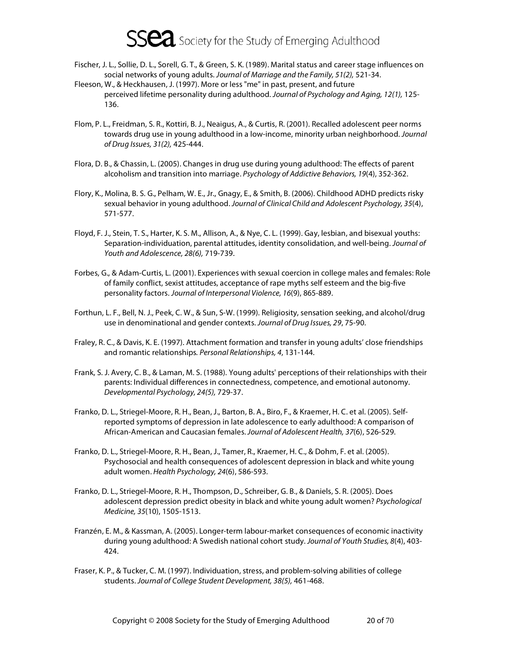- Fischer, J. L., Sollie, D. L., Sorell, G. T., & Green, S. K. (1989). Marital status and career stage influences on social networks of young adults. Journal of Marriage and the Family, 51(2), 521-34.
- Fleeson, W., & Heckhausen, J. (1997). More or less "me" in past, present, and future perceived lifetime personality during adulthood. Journal of Psychology and Aging, 12(1), 125- 136.
- Flom, P. L., Freidman, S. R., Kottiri, B. J., Neaigus, A., & Curtis, R. (2001). Recalled adolescent peer norms towards drug use in young adulthood in a low-income, minority urban neighborhood. Journal of Drug Issues, 31(2), 425-444.
- Flora, D. B., & Chassin, L. (2005). Changes in drug use during young adulthood: The effects of parent alcoholism and transition into marriage. Psychology of Addictive Behaviors, 19(4), 352-362.
- Flory, K., Molina, B. S. G., Pelham, W. E., Jr., Gnagy, E., & Smith, B. (2006). Childhood ADHD predicts risky sexual behavior in young adulthood. Journal of Clinical Child and Adolescent Psychology, 35(4), 571-577.
- Floyd, F. J., Stein, T. S., Harter, K. S. M., Allison, A., & Nye, C. L. (1999). Gay, lesbian, and bisexual youths: Separation-individuation, parental attitudes, identity consolidation, and well-being. Journal of Youth and Adolescence, 28(6), 719-739.
- Forbes, G., & Adam-Curtis, L. (2001). Experiences with sexual coercion in college males and females: Role of family conflict, sexist attitudes, acceptance of rape myths self esteem and the big-five personality factors. Journal of Interpersonal Violence, 16(9), 865-889.
- Forthun, L. F., Bell, N. J., Peek, C. W., & Sun, S-W. (1999). Religiosity, sensation seeking, and alcohol/drug use in denominational and gender contexts. Journal of Drug Issues, 29, 75-90.
- Fraley, R. C., & Davis, K. E. (1997). Attachment formation and transfer in young adults' close friendships and romantic relationships. Personal Relationships, 4, 131-144.
- Frank, S. J. Avery, C. B., & Laman, M. S. (1988). Young adults' perceptions of their relationships with their parents: Individual differences in connectedness, competence, and emotional autonomy. Developmental Psychology, 24(5), 729-37.
- Franko, D. L., Striegel-Moore, R. H., Bean, J., Barton, B. A., Biro, F., & Kraemer, H. C. et al. (2005). Selfreported symptoms of depression in late adolescence to early adulthood: A comparison of African-American and Caucasian females. Journal of Adolescent Health, 37(6), 526-529.
- Franko, D. L., Striegel-Moore, R. H., Bean, J., Tamer, R., Kraemer, H. C., & Dohm, F. et al. (2005). Psychosocial and health consequences of adolescent depression in black and white young adult women. Health Psychology, 24(6), 586-593.
- Franko, D. L., Striegel-Moore, R. H., Thompson, D., Schreiber, G. B., & Daniels, S. R. (2005). Does adolescent depression predict obesity in black and white young adult women? Psychological Medicine, 35(10), 1505-1513.
- Franzén, E. M., & Kassman, A. (2005). Longer-term labour-market consequences of economic inactivity during young adulthood: A Swedish national cohort study. Journal of Youth Studies, 8(4), 403- 424.
- Fraser, K. P., & Tucker, C. M. (1997). Individuation, stress, and problem-solving abilities of college students. Journal of College Student Development, 38(5), 461-468.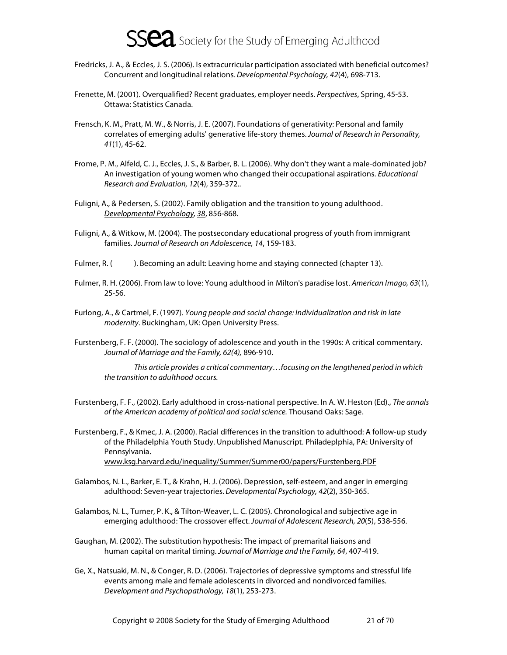

- Fredricks, J. A., & Eccles, J. S. (2006). Is extracurricular participation associated with beneficial outcomes? Concurrent and longitudinal relations. Developmental Psychology, 42(4), 698-713.
- Frenette, M. (2001). Overqualified? Recent graduates, employer needs. Perspectives, Spring, 45-53. Ottawa: Statistics Canada.
- Frensch, K. M., Pratt, M. W., & Norris, J. E. (2007). Foundations of generativity: Personal and family correlates of emerging adults' generative life-story themes. Journal of Research in Personality, 41(1), 45-62.
- Frome, P. M., Alfeld, C. J., Eccles, J. S., & Barber, B. L. (2006). Why don't they want a male-dominated job? An investigation of young women who changed their occupational aspirations. Educational Research and Evaluation, 12(4), 359-372..
- Fuligni, A., & Pedersen, S. (2002). Family obligation and the transition to young adulthood. Developmental Psychology, 38, 856-868.
- Fuligni, A., & Witkow, M. (2004). The postsecondary educational progress of youth from immigrant families. Journal of Research on Adolescence, 14, 159-183.
- Fulmer, R. (). Becoming an adult: Leaving home and staying connected (chapter 13).
- Fulmer, R. H. (2006). From law to love: Young adulthood in Milton's paradise lost. American Imago, 63(1), 25-56.
- Furlong, A., & Cartmel, F. (1997). Young people and social change: Individualization and risk in late modernity. Buckingham, UK: Open University Press.
- Furstenberg, F. F. (2000). The sociology of adolescence and youth in the 1990s: A critical commentary. Journal of Marriage and the Family, 62(4), 896-910.

This article provides a critical commentary…focusing on the lengthened period in which the transition to adulthood occurs.

- Furstenberg, F. F., (2002). Early adulthood in cross-national perspective. In A. W. Heston (Ed)., The annals of the American academy of political and social science. Thousand Oaks: Sage.
- Furstenberg, F., & Kmec, J. A. (2000). Racial differences in the transition to adulthood: A follow-up study of the Philadelphia Youth Study. Unpublished Manuscript. Philadeplphia, PA: University of Pennsylvania. www.ksg.harvard.edu/inequality/Summer/Summer00/papers/Furstenberg.PDF
- Galambos, N. L., Barker, E. T., & Krahn, H. J. (2006). Depression, self-esteem, and anger in emerging adulthood: Seven-year trajectories. Developmental Psychology, 42(2), 350-365.
- Galambos, N. L., Turner, P. K., & Tilton-Weaver, L. C. (2005). Chronological and subjective age in emerging adulthood: The crossover effect. Journal of Adolescent Research, 20(5), 538-556.
- Gaughan, M. (2002). The substitution hypothesis: The impact of premarital liaisons and human capital on marital timing. Journal of Marriage and the Family, 64, 407-419.
- Ge, X., Natsuaki, M. N., & Conger, R. D. (2006). Trajectories of depressive symptoms and stressful life events among male and female adolescents in divorced and nondivorced families. Development and Psychopathology, 18(1), 253-273.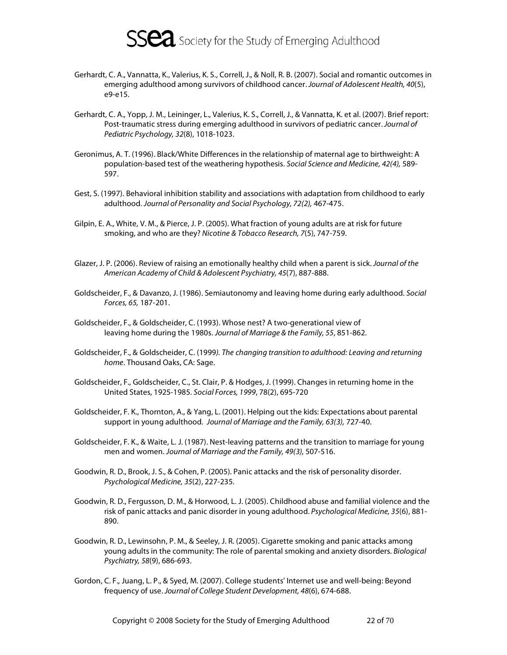

- Gerhardt, C. A., Vannatta, K., Valerius, K. S., Correll, J., & Noll, R. B. (2007). Social and romantic outcomes in emerging adulthood among survivors of childhood cancer. Journal of Adolescent Health, 40(5), e9-e15.
- Gerhardt, C. A., Yopp, J. M., Leininger, L., Valerius, K. S., Correll, J., & Vannatta, K. et al. (2007). Brief report: Post-traumatic stress during emerging adulthood in survivors of pediatric cancer. Journal of Pediatric Psychology, 32(8), 1018-1023.
- Geronimus, A. T. (1996). Black/White Differences in the relationship of maternal age to birthweight: A population-based test of the weathering hypothesis. Social Science and Medicine, 42(4), 589- 597.
- Gest, S. (1997). Behavioral inhibition stability and associations with adaptation from childhood to early adulthood. Journal of Personality and Social Psychology, 72(2), 467-475.
- Gilpin, E. A., White, V. M., & Pierce, J. P. (2005). What fraction of young adults are at risk for future smoking, and who are they? Nicotine & Tobacco Research, 7(5), 747-759.
- Glazer, J. P. (2006). Review of raising an emotionally healthy child when a parent is sick. Journal of the American Academy of Child & Adolescent Psychiatry, 45(7), 887-888.
- Goldscheider, F., & Davanzo, J. (1986). Semiautonomy and leaving home during early adulthood. Social Forces, 65, 187-201.
- Goldscheider, F., & Goldscheider, C. (1993). Whose nest? A two-generational view of leaving home during the 1980s. Journal of Marriage & the Family, 55, 851-862.
- Goldscheider, F., & Goldscheider, C. (1999). The changing transition to adulthood: Leaving and returning home. Thousand Oaks, CA: Sage.
- Goldscheider, F., Goldscheider, C., St. Clair, P. & Hodges, J. (1999). Changes in returning home in the United States, 1925-1985. Social Forces, 1999, 78(2), 695-720
- Goldscheider, F. K., Thornton, A., & Yang, L. (2001). Helping out the kids: Expectations about parental support in young adulthood. Journal of Marriage and the Family, 63(3), 727-40.
- Goldscheider, F. K., & Waite, L. J. (1987). Nest-leaving patterns and the transition to marriage for young men and women. Journal of Marriage and the Family, 49(3), 507-516.
- Goodwin, R. D., Brook, J. S., & Cohen, P. (2005). Panic attacks and the risk of personality disorder. Psychological Medicine, 35(2), 227-235.
- Goodwin, R. D., Fergusson, D. M., & Horwood, L. J. (2005). Childhood abuse and familial violence and the risk of panic attacks and panic disorder in young adulthood. Psychological Medicine, 35(6), 881- 890.
- Goodwin, R. D., Lewinsohn, P. M., & Seeley, J. R. (2005). Cigarette smoking and panic attacks among young adults in the community: The role of parental smoking and anxiety disorders. Biological Psychiatry, 58(9), 686-693.
- Gordon, C. F., Juang, L. P., & Syed, M. (2007). College students' Internet use and well-being: Beyond frequency of use. Journal of College Student Development, 48(6), 674-688.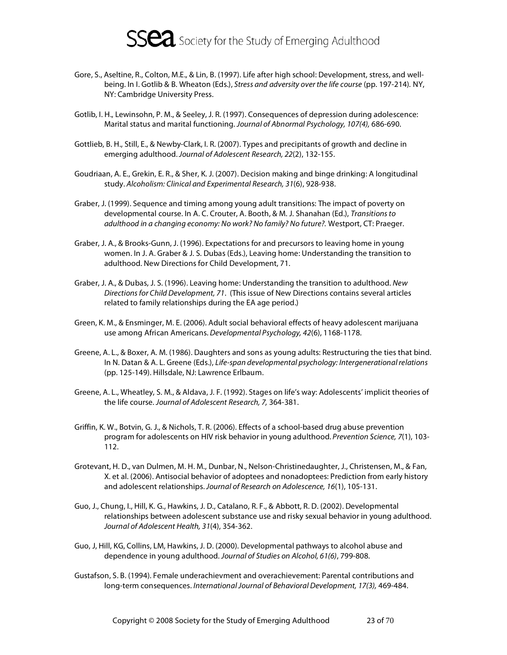

- Gore, S., Aseltine, R., Colton, M.E., & Lin, B. (1997). Life after high school: Development, stress, and wellbeing. In I. Gotlib & B. Wheaton (Eds.), Stress and adversity over the life course (pp. 197-214). NY, NY: Cambridge University Press.
- Gotlib, I. H., Lewinsohn, P. M., & Seeley, J. R. (1997). Consequences of depression during adolescence: Marital status and marital functioning. Journal of Abnormal Psychology, 107(4), 686-690.
- Gottlieb, B. H., Still, E., & Newby-Clark, I. R. (2007). Types and precipitants of growth and decline in emerging adulthood. Journal of Adolescent Research, 22(2), 132-155.
- Goudriaan, A. E., Grekin, E. R., & Sher, K. J. (2007). Decision making and binge drinking: A longitudinal study. Alcoholism: Clinical and Experimental Research, 31(6), 928-938.
- Graber, J. (1999). Sequence and timing among young adult transitions: The impact of poverty on developmental course. In A. C. Crouter, A. Booth, & M. J. Shanahan (Ed.), Transitions to adulthood in a changing economy: No work? No family? No future?. Westport, CT: Praeger.
- Graber, J. A., & Brooks-Gunn, J. (1996). Expectations for and precursors to leaving home in young women. In J. A. Graber & J. S. Dubas (Eds.), Leaving home: Understanding the transition to adulthood. New Directions for Child Development, 71.
- Graber, J. A., & Dubas, J. S. (1996). Leaving home: Understanding the transition to adulthood. New Directions for Child Development, 71. (This issue of New Directions contains several articles related to family relationships during the EA age period.)
- Green, K. M., & Ensminger, M. E. (2006). Adult social behavioral effects of heavy adolescent marijuana use among African Americans. Developmental Psychology, 42(6), 1168-1178.
- Greene, A. L., & Boxer, A. M. (1986). Daughters and sons as young adults: Restructuring the ties that bind. In N. Datan & A. L. Greene (Eds.), Life-span developmental psychology: Intergenerational relations (pp. 125-149). Hillsdale, NJ: Lawrence Erlbaum.
- Greene, A. L., Wheatley, S. M., & Aldava, J. F. (1992). Stages on life's way: Adolescents' implicit theories of the life course. Journal of Adolescent Research, 7, 364-381.
- Griffin, K. W., Botvin, G. J., & Nichols, T. R. (2006). Effects of a school-based drug abuse prevention program for adolescents on HIV risk behavior in young adulthood. Prevention Science, 7(1), 103-112.
- Grotevant, H. D., van Dulmen, M. H. M., Dunbar, N., Nelson-Christinedaughter, J., Christensen, M., & Fan, X. et al. (2006). Antisocial behavior of adoptees and nonadoptees: Prediction from early history and adolescent relationships. Journal of Research on Adolescence, 16(1), 105-131.
- Guo, J., Chung, I., Hill, K. G., Hawkins, J. D., Catalano, R. F., & Abbott, R. D. (2002). Developmental relationships between adolescent substance use and risky sexual behavior in young adulthood. Journal of Adolescent Health, 31(4), 354-362.
- Guo, J, Hill, KG, Collins, LM, Hawkins, J. D. (2000). Developmental pathways to alcohol abuse and dependence in young adulthood. Journal of Studies on Alcohol, 61(6), 799-808.
- Gustafson, S. B. (1994). Female underachievment and overachievement: Parental contributions and long-term consequences. International Journal of Behavioral Development, 17(3), 469-484.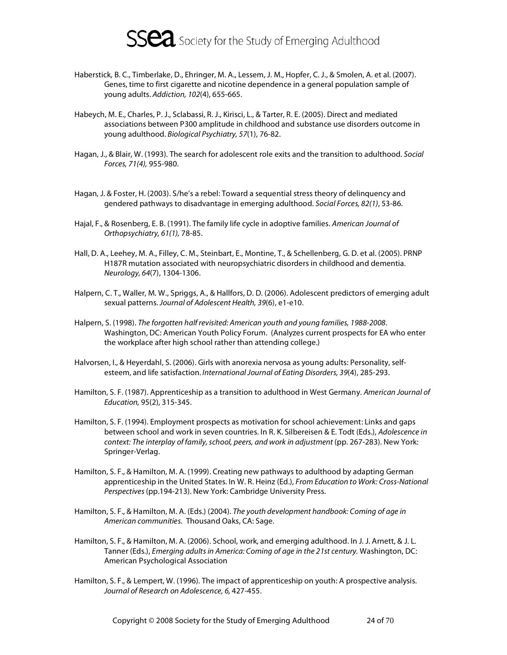

- Haberstick, B. C., Timberlake, D., Ehringer, M. A., Lessem, J. M., Hopfer, C. J., & Smolen, A. et al. (2007). Genes, time to first cigarette and nicotine dependence in a general population sample of young adults. Addiction, 102(4), 655-665.
- Habeych, M. E., Charles, P. J., Sclabassi, R. J., Kirisci, L., & Tarter, R. E. (2005). Direct and mediated associations between P300 amplitude in childhood and substance use disorders outcome in young adulthood. Biological Psychiatry, 57(1), 76-82.
- Hagan, J., & Blair, W. (1993). The search for adolescent role exits and the transition to adulthood. Social Forces, 71(4), 955-980.
- Hagan, J. & Foster, H. (2003). S/he's a rebel: Toward a sequential stress theory of delinquency and gendered pathways to disadvantage in emerging adulthood. Social Forces, 82(1), 53-86.
- Hajal, F., & Rosenberg, E. B. (1991). The family life cycle in adoptive families. American Journal of Orthopsychiatry, 61(1), 78-85.
- Hall, D. A., Leehey, M. A., Filley, C. M., Steinbart, E., Montine, T., & Schellenberg, G. D. et al. (2005). PRNP H187R mutation associated with neuropsychiatric disorders in childhood and dementia. Neurology, 64(7), 1304-1306.
- Halpern, C. T., Waller, M. W., Spriggs, A., & Hallfors, D. D. (2006). Adolescent predictors of emerging adult sexual patterns. Journal of Adolescent Health, 39(6), e1-e10.
- Halpern, S. (1998). The forgotten half revisited: American youth and young families, 1988-2008. Washington, DC: American Youth Policy Forum. (Analyzes current prospects for EA who enter the workplace after high school rather than attending college.)
- Halvorsen, I., & Heyerdahl, S. (2006). Girls with anorexia nervosa as young adults: Personality, selfesteem, and life satisfaction. International Journal of Eating Disorders, 39(4), 285-293.
- Hamilton, S. F. (1987). Apprenticeship as a transition to adulthood in West Germany. American Journal of Education, 95(2), 315-345.
- Hamilton, S. F. (1994). Employment prospects as motivation for school achievement: Links and gaps between school and work in seven countries. In R. K. Silbereisen & E. Todt (Eds.), Adolescence in context: The interplay of family, school, peers, and work in adjustment (pp. 267-283). New York: Springer-Verlag.
- Hamilton, S. F., & Hamilton, M. A. (1999). Creating new pathways to adulthood by adapting German apprenticeship in the United States. In W. R. Heinz (Ed.), From Education to Work: Cross-National Perspectives (pp.194-213). New York: Cambridge University Press.
- Hamilton, S. F., & Hamilton, M. A. (Eds.) (2004). The youth development handbook: Coming of age in American communities. Thousand Oaks, CA: Sage.
- Hamilton, S. F., & Hamilton, M. A. (2006). School, work, and emerging adulthood. In J. J. Arnett, & J. L. Tanner (Eds.), Emerging adults in America: Coming of age in the 21st century. Washington, DC: American Psychological Association
- Hamilton, S. F., & Lempert, W. (1996). The impact of apprenticeship on youth: A prospective analysis. Journal of Research on Adolescence, 6, 427-455.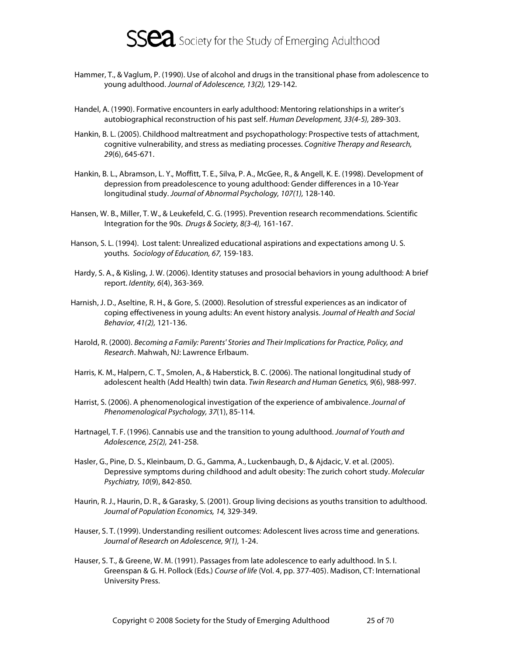

- Hammer, T., & Vaglum, P. (1990). Use of alcohol and drugs in the transitional phase from adolescence to young adulthood. Journal of Adolescence, 13(2), 129-142.
- Handel, A. (1990). Formative encounters in early adulthood: Mentoring relationships in a writer's autobiographical reconstruction of his past self. Human Development, 33(4-5), 289-303.
- Hankin, B. L. (2005). Childhood maltreatment and psychopathology: Prospective tests of attachment, cognitive vulnerability, and stress as mediating processes. Cognitive Therapy and Research, 29(6), 645-671.
- Hankin, B. L., Abramson, L. Y., Moffitt, T. E., Silva, P. A., McGee, R., & Angell, K. E. (1998). Development of depression from preadolescence to young adulthood: Gender differences in a 10-Year longitudinal study. Journal of Abnormal Psychology, 107(1), 128-140.
- Hansen, W. B., Miller, T. W., & Leukefeld, C. G. (1995). Prevention research recommendations. Scientific Integration for the 90s. Drugs & Society, 8(3-4), 161-167.
- Hanson, S. L. (1994). Lost talent: Unrealized educational aspirations and expectations among U. S. youths. Sociology of Education, 67, 159-183.
- Hardy, S. A., & Kisling, J. W. (2006). Identity statuses and prosocial behaviors in young adulthood: A brief report. Identity, 6(4), 363-369.
- Harnish, J. D., Aseltine, R. H., & Gore, S. (2000). Resolution of stressful experiences as an indicator of coping effectiveness in young adults: An event history analysis. Journal of Health and Social Behavior, 41(2), 121-136.
- Harold, R. (2000). Becoming a Family: Parents' Stories and Their Implications for Practice, Policy, and Research. Mahwah, NJ: Lawrence Erlbaum.
- Harris, K. M., Halpern, C. T., Smolen, A., & Haberstick, B. C. (2006). The national longitudinal study of adolescent health (Add Health) twin data. Twin Research and Human Genetics, 9(6), 988-997.
- Harrist, S. (2006). A phenomenological investigation of the experience of ambivalence. Journal of Phenomenological Psychology, 37(1), 85-114.
- Hartnagel, T. F. (1996). Cannabis use and the transition to young adulthood. Journal of Youth and Adolescence, 25(2), 241-258.
- Hasler, G., Pine, D. S., Kleinbaum, D. G., Gamma, A., Luckenbaugh, D., & Ajdacic, V. et al. (2005). Depressive symptoms during childhood and adult obesity: The zurich cohort study. Molecular Psychiatry, 10(9), 842-850.
- Haurin, R. J., Haurin, D. R., & Garasky, S. (2001). Group living decisions as youths transition to adulthood. Journal of Population Economics, 14, 329-349.
- Hauser, S. T. (1999). Understanding resilient outcomes: Adolescent lives across time and generations. Journal of Research on Adolescence, 9(1), 1-24.
- Hauser, S. T., & Greene, W. M. (1991). Passages from late adolescence to early adulthood. In S. I. Greenspan & G. H. Pollock (Eds.) Course of life (Vol. 4, pp. 377-405). Madison, CT: International University Press.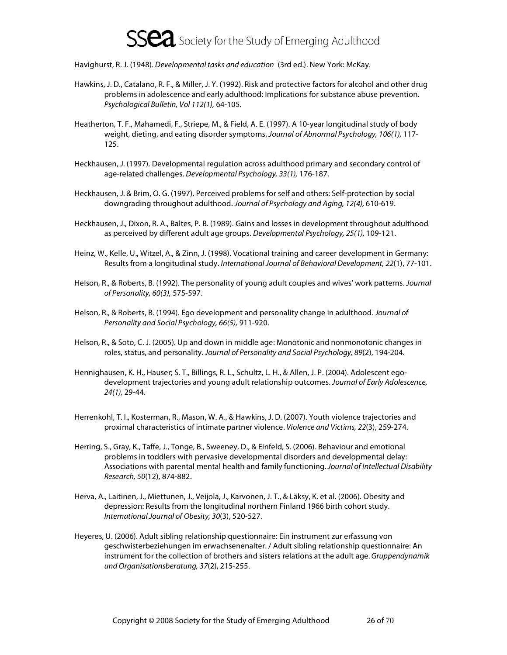Havighurst, R. J. (1948). Developmental tasks and education (3rd ed.). New York: McKay.

- Hawkins, J. D., Catalano, R. F., & Miller, J. Y. (1992). Risk and protective factors for alcohol and other drug problems in adolescence and early adulthood: Implications for substance abuse prevention. Psychological Bulletin, Vol 112(1), 64-105.
- Heatherton, T. F., Mahamedi, F., Striepe, M., & Field, A. E. (1997). A 10-year longitudinal study of body weight, dieting, and eating disorder symptoms, Journal of Abnormal Psychology, 106(1), 117- 125.
- Heckhausen, J. (1997). Developmental regulation across adulthood primary and secondary control of age-related challenges. Developmental Psychology, 33(1), 176-187.
- Heckhausen, J. & Brim, O. G. (1997). Perceived problems for self and others: Self-protection by social downgrading throughout adulthood. Journal of Psychology and Aging, 12(4), 610-619.
- Heckhausen, J., Dixon, R. A., Baltes, P. B. (1989). Gains and losses in development throughout adulthood as perceived by different adult age groups. Developmental Psychology, 25(1), 109-121.
- Heinz, W., Kelle, U., Witzel, A., & Zinn, J. (1998). Vocational training and career development in Germany: Results from a longitudinal study. International Journal of Behavioral Development, 22(1), 77-101.
- Helson, R., & Roberts, B. (1992). The personality of young adult couples and wives' work patterns. Journal of Personality, 60(3), 575-597.
- Helson, R., & Roberts, B. (1994). Ego development and personality change in adulthood. Journal of Personality and Social Psychology, 66(5), 911-920.
- Helson, R., & Soto, C. J. (2005). Up and down in middle age: Monotonic and nonmonotonic changes in roles, status, and personality. Journal of Personality and Social Psychology, 89(2), 194-204.
- Hennighausen, K. H., Hauser; S. T., Billings, R. L., Schultz, L. H., & Allen, J. P. (2004). Adolescent egodevelopment trajectories and young adult relationship outcomes. Journal of Early Adolescence, 24(1), 29-44.
- Herrenkohl, T. I., Kosterman, R., Mason, W. A., & Hawkins, J. D. (2007). Youth violence trajectories and proximal characteristics of intimate partner violence. Violence and Victims, 22(3), 259-274.
- Herring, S., Gray, K., Taffe, J., Tonge, B., Sweeney, D., & Einfeld, S. (2006). Behaviour and emotional problems in toddlers with pervasive developmental disorders and developmental delay: Associations with parental mental health and family functioning. Journal of Intellectual Disability Research, 50(12), 874-882.
- Herva, A., Laitinen, J., Miettunen, J., Veijola, J., Karvonen, J. T., & Läksy, K. et al. (2006). Obesity and depression: Results from the longitudinal northern Finland 1966 birth cohort study. International Journal of Obesity, 30(3), 520-527.
- Heyeres, U. (2006). Adult sibling relationship questionnaire: Ein instrument zur erfassung von geschwisterbeziehungen im erwachsenenalter. / Adult sibling relationship questionnaire: An instrument for the collection of brothers and sisters relations at the adult age. Gruppendynamik und Organisationsberatung, 37(2), 215-255.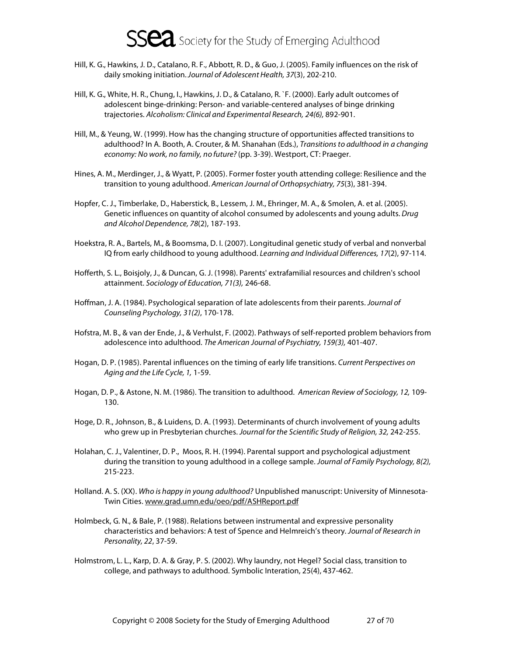- Hill, K. G., Hawkins, J. D., Catalano, R. F., Abbott, R. D., & Guo, J. (2005). Family influences on the risk of daily smoking initiation. Journal of Adolescent Health, 37(3), 202-210.
- Hill, K. G., White, H. R., Chung, I., Hawkins, J. D., & Catalano, R. `F. (2000). Early adult outcomes of adolescent binge-drinking: Person- and variable-centered analyses of binge drinking trajectories. Alcoholism: Clinical and Experimental Research, 24(6), 892-901.
- Hill, M., & Yeung, W. (1999). How has the changing structure of opportunities affected transitions to adulthood? In A. Booth, A. Crouter, & M. Shanahan (Eds.), Transitions to adulthood in a changing economy: No work, no family, no future? (pp. 3-39). Westport, CT: Praeger.
- Hines, A. M., Merdinger, J., & Wyatt, P. (2005). Former foster youth attending college: Resilience and the transition to young adulthood. American Journal of Orthopsychiatry, 75(3), 381-394.
- Hopfer, C. J., Timberlake, D., Haberstick, B., Lessem, J. M., Ehringer, M. A., & Smolen, A. et al. (2005). Genetic influences on quantity of alcohol consumed by adolescents and young adults. Drug and Alcohol Dependence, 78(2), 187-193.
- Hoekstra, R. A., Bartels, M., & Boomsma, D. I. (2007). Longitudinal genetic study of verbal and nonverbal IQ from early childhood to young adulthood. Learning and Individual Differences, 17(2), 97-114.
- Hofferth, S. L., Boisjoly, J., & Duncan, G. J. (1998). Parents' extrafamilial resources and children's school attainment. Sociology of Education, 71(3), 246-68.
- Hoffman, J. A. (1984). Psychological separation of late adolescents from their parents. Journal of Counseling Psychology, 31(2), 170-178.
- Hofstra, M. B., & van der Ende, J., & Verhulst, F. (2002). Pathways of self-reported problem behaviors from adolescence into adulthood. The American Journal of Psychiatry, 159(3), 401-407.
- Hogan, D. P. (1985). Parental influences on the timing of early life transitions. Current Perspectives on Aging and the Life Cycle, 1, 1-59.
- Hogan, D. P., & Astone, N. M. (1986). The transition to adulthood. American Review of Sociology, 12, 109- 130.
- Hoge, D. R., Johnson, B., & Luidens, D. A. (1993). Determinants of church involvement of young adults who grew up in Presbyterian churches. Journal for the Scientific Study of Religion, 32, 242-255.
- Holahan, C. J., Valentiner, D. P., Moos, R. H. (1994). Parental support and psychological adjustment during the transition to young adulthood in a college sample. Journal of Family Psychology, 8(2), 215-223.
- Holland. A. S. (XX). Who is happy in young adulthood? Unpublished manuscript: University of Minnesota-Twin Cities. www.grad.umn.edu/oeo/pdf/ASHReport.pdf
- Holmbeck, G. N., & Bale, P. (1988). Relations between instrumental and expressive personality characteristics and behaviors: A test of Spence and Helmreich's theory. Journal of Research in Personality, 22, 37-59.
- Holmstrom, L. L., Karp, D. A. & Gray, P. S. (2002). Why laundry, not Hegel? Social class, transition to college, and pathways to adulthood. Symbolic Interation, 25(4), 437-462.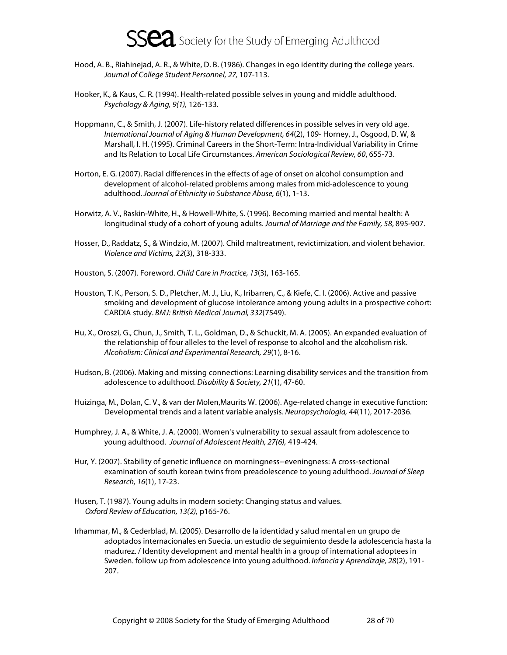- Hood, A. B., Riahinejad, A. R., & White, D. B. (1986). Changes in ego identity during the college years. Journal of College Student Personnel, 27, 107-113.
- Hooker, K., & Kaus, C. R. (1994). Health-related possible selves in young and middle adulthood. Psychology & Aging, 9(1), 126-133.
- Hoppmann, C., & Smith, J. (2007). Life-history related differences in possible selves in very old age. International Journal of Aging & Human Development, 64(2), 109- Horney, J., Osgood, D. W, & Marshall, I. H. (1995). Criminal Careers in the Short-Term: Intra-Individual Variability in Crime and Its Relation to Local Life Circumstances. American Sociological Review, 60, 655-73.
- Horton, E. G. (2007). Racial differences in the effects of age of onset on alcohol consumption and development of alcohol-related problems among males from mid-adolescence to young adulthood. Journal of Ethnicity in Substance Abuse, 6(1), 1-13.
- Horwitz, A. V., Raskin-White, H., & Howell-White, S. (1996). Becoming married and mental health: A longitudinal study of a cohort of young adults. Journal of Marriage and the Family, 58, 895-907.
- Hosser, D., Raddatz, S., & Windzio, M. (2007). Child maltreatment, revictimization, and violent behavior. Violence and Victims, 22(3), 318-333.
- Houston, S. (2007). Foreword. Child Care in Practice, 13(3), 163-165.
- Houston, T. K., Person, S. D., Pletcher, M. J., Liu, K., Iribarren, C., & Kiefe, C. I. (2006). Active and passive smoking and development of glucose intolerance among young adults in a prospective cohort: CARDIA study. BMJ: British Medical Journal, 332(7549).
- Hu, X., Oroszi, G., Chun, J., Smith, T. L., Goldman, D., & Schuckit, M. A. (2005). An expanded evaluation of the relationship of four alleles to the level of response to alcohol and the alcoholism risk. Alcoholism: Clinical and Experimental Research, 29(1), 8-16.
- Hudson, B. (2006). Making and missing connections: Learning disability services and the transition from adolescence to adulthood. Disability & Society, 21(1), 47-60.
- Huizinga, M., Dolan, C. V., & van der Molen,Maurits W. (2006). Age-related change in executive function: Developmental trends and a latent variable analysis. Neuropsychologia, 44(11), 2017-2036.
- Humphrey, J. A., & White, J. A. (2000). Women's vulnerability to sexual assault from adolescence to young adulthood. Journal of Adolescent Health, 27(6), 419-424.
- Hur, Y. (2007). Stability of genetic influence on morningness--eveningness: A cross-sectional examination of south korean twins from preadolescence to young adulthood. Journal of Sleep Research, 16(1), 17-23.
- Husen, T. (1987). Young adults in modern society: Changing status and values. Oxford Review of Education, 13(2), p165-76.
- Irhammar, M., & Cederblad, M. (2005). Desarrollo de la identidad y salud mental en un grupo de adoptados internacionales en Suecia. un estudio de seguimiento desde la adolescencia hasta la madurez. / Identity development and mental health in a group of international adoptees in Sweden. follow up from adolescence into young adulthood. Infancia y Aprendizaje, 28(2), 191- 207.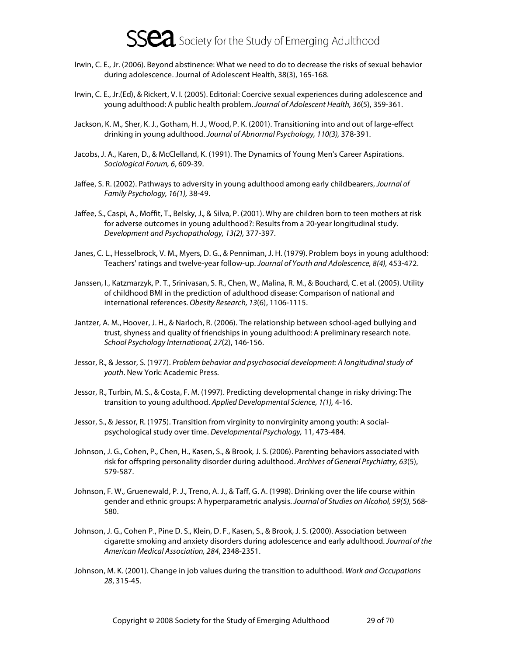

- Irwin, C. E., Jr. (2006). Beyond abstinence: What we need to do to decrease the risks of sexual behavior during adolescence. Journal of Adolescent Health, 38(3), 165-168.
- Irwin, C. E., Jr.(Ed), & Rickert, V. I. (2005). Editorial: Coercive sexual experiences during adolescence and young adulthood: A public health problem. Journal of Adolescent Health, 36(5), 359-361.
- Jackson, K. M., Sher, K. J., Gotham, H. J., Wood, P. K. (2001). Transitioning into and out of large-effect drinking in young adulthood. Journal of Abnormal Psychology, 110(3), 378-391.
- Jacobs, J. A., Karen, D., & McClelland, K. (1991). The Dynamics of Young Men's Career Aspirations. Sociological Forum, 6, 609-39.
- Jaffee, S. R. (2002). Pathways to adversity in young adulthood among early childbearers, Journal of Family Psychology, 16(1), 38-49.
- Jaffee, S., Caspi, A., Moffit, T., Belsky, J., & Silva, P. (2001). Why are children born to teen mothers at risk for adverse outcomes in young adulthood?: Results from a 20-year longitudinal study. Development and Psychopathology, 13(2), 377-397.
- Janes, C. L., Hesselbrock, V. M., Myers, D. G., & Penniman, J. H. (1979). Problem boys in young adulthood: Teachers' ratings and twelve-year follow-up. Journal of Youth and Adolescence, 8(4), 453-472.
- Janssen, I., Katzmarzyk, P. T., Srinivasan, S. R., Chen, W., Malina, R. M., & Bouchard, C. et al. (2005). Utility of childhood BMI in the prediction of adulthood disease: Comparison of national and international references. Obesity Research, 13(6), 1106-1115.
- Jantzer, A. M., Hoover, J. H., & Narloch, R. (2006). The relationship between school-aged bullying and trust, shyness and quality of friendships in young adulthood: A preliminary research note. School Psychology International, 27(2), 146-156.
- Jessor, R., & Jessor, S. (1977). Problem behavior and psychosocial development: A longitudinal study of youth. New York: Academic Press.
- Jessor, R., Turbin, M. S., & Costa, F. M. (1997). Predicting developmental change in risky driving: The transition to young adulthood. Applied Developmental Science, 1(1), 4-16.
- Jessor, S., & Jessor, R. (1975). Transition from virginity to nonvirginity among youth: A socialpsychological study over time. Developmental Psychology, 11, 473-484.
- Johnson, J. G., Cohen, P., Chen, H., Kasen, S., & Brook, J. S. (2006). Parenting behaviors associated with risk for offspring personality disorder during adulthood. Archives of General Psychiatry, 63(5), 579-587.
- Johnson, F. W., Gruenewald, P. J., Treno, A. J., & Taff, G. A. (1998). Drinking over the life course within gender and ethnic groups: A hyperparametric analysis. Journal of Studies on Alcohol, 59(5), 568- 580.
- Johnson, J. G., Cohen P., Pine D. S., Klein, D. F., Kasen, S., & Brook, J. S. (2000). Association between cigarette smoking and anxiety disorders during adolescence and early adulthood. Journal of the American Medical Association, 284, 2348-2351.
- Johnson, M. K. (2001). Change in job values during the transition to adulthood. Work and Occupations 28, 315-45.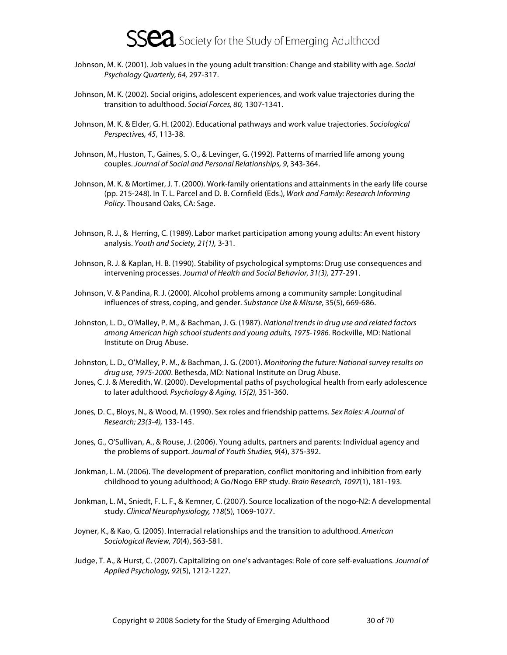- Johnson, M. K. (2001). Job values in the young adult transition: Change and stability with age. Social Psychology Quarterly, 64, 297-317.
- Johnson, M. K. (2002). Social origins, adolescent experiences, and work value trajectories during the transition to adulthood. Social Forces, 80, 1307-1341.
- Johnson, M. K. & Elder, G. H. (2002). Educational pathways and work value trajectories. Sociological Perspectives, 45, 113-38.
- Johnson, M., Huston, T., Gaines, S. O., & Levinger, G. (1992). Patterns of married life among young couples. Journal of Social and Personal Relationships, 9, 343-364.
- Johnson, M. K. & Mortimer, J. T. (2000). Work-family orientations and attainments in the early life course (pp. 215-248). In T. L. Parcel and D. B. Cornfield (Eds.), Work and Family: Research Informing Policy. Thousand Oaks, CA: Sage.
- Johnson, R. J., & Herring, C. (1989). Labor market participation among young adults: An event history analysis. Youth and Society, 21(1), 3-31.
- Johnson, R. J. & Kaplan, H. B. (1990). Stability of psychological symptoms: Drug use consequences and intervening processes. Journal of Health and Social Behavior, 31(3), 277-291.
- Johnson, V. & Pandina, R. J. (2000). Alcohol problems among a community sample: Longitudinal influences of stress, coping, and gender. Substance Use & Misuse, 35(5), 669-686.
- Johnston, L. D., O'Malley, P. M., & Bachman, J. G. (1987). National trends in drug use and related factors among American high school students and young adults, 1975-1986. Rockville, MD: National Institute on Drug Abuse.
- Johnston, L. D., O'Malley, P. M., & Bachman, J. G. (2001). Monitoring the future: National survey results on drug use, 1975-2000. Bethesda, MD: National Institute on Drug Abuse.
- Jones, C. J. & Meredith, W. (2000). Developmental paths of psychological health from early adolescence to later adulthood. Psychology & Aging, 15(2), 351-360.
- Jones, D. C., Bloys, N., & Wood, M. (1990). Sex roles and friendship patterns. Sex Roles: A Journal of Research; 23(3-4), 133-145.
- Jones, G., O'Sullivan, A., & Rouse, J. (2006). Young adults, partners and parents: Individual agency and the problems of support. Journal of Youth Studies, 9(4), 375-392.
- Jonkman, L. M. (2006). The development of preparation, conflict monitoring and inhibition from early childhood to young adulthood; A Go/Nogo ERP study. Brain Research, 1097(1), 181-193.
- Jonkman, L. M., Sniedt, F. L. F., & Kemner, C. (2007). Source localization of the nogo-N2: A developmental study. Clinical Neurophysiology, 118(5), 1069-1077.
- Joyner, K., & Kao, G. (2005). Interracial relationships and the transition to adulthood. American Sociological Review, 70(4), 563-581.
- Judge, T. A., & Hurst, C. (2007). Capitalizing on one's advantages: Role of core self-evaluations. Journal of Applied Psychology, 92(5), 1212-1227.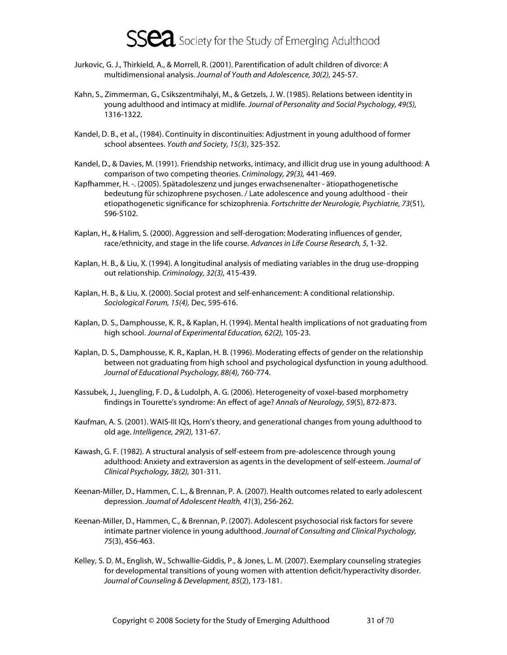

- Jurkovic, G. J., Thirkield, A., & Morrell, R. (2001). Parentification of adult children of divorce: A multidimensional analysis. Journal of Youth and Adolescence, 30(2), 245-57.
- Kahn, S., Zimmerman, G., Csikszentmihalyi, M., & Getzels, J. W. (1985). Relations between identity in young adulthood and intimacy at midlife. Journal of Personality and Social Psychology, 49(5), 1316-1322.
- Kandel, D. B., et al., (1984). Continuity in discontinuities: Adjustment in young adulthood of former school absentees. Youth and Society, 15(3), 325-352.
- Kandel, D., & Davies, M. (1991). Friendship networks, intimacy, and illicit drug use in young adulthood: A comparison of two competing theories. Criminology, 29(3), 441-469.
- Kapfhammer, H. -. (2005). Spätadoleszenz und junges erwachsenenalter ätiopathogenetische bedeutung für schizophrene psychosen. / Late adolescence and young adulthood - their etiopathogenetic significance for schizophrenia. Fortschritte der Neurologie, Psychiatrie, 73(S1), S96-S102.
- Kaplan, H., & Halim, S. (2000). Aggression and self-derogation: Moderating influences of gender, race/ethnicity, and stage in the life course. Advances in Life Course Research, 5, 1-32.
- Kaplan, H. B., & Liu, X. (1994). A longitudinal analysis of mediating variables in the drug use-dropping out relationship. Criminology, 32(3), 415-439.
- Kaplan, H. B., & Liu, X. (2000). Social protest and self-enhancement: A conditional relationship. Sociological Forum, 15(4), Dec, 595-616.
- Kaplan, D. S., Damphousse, K. R., & Kaplan, H. (1994). Mental health implications of not graduating from high school. Journal of Experimental Education, 62(2), 105-23.
- Kaplan, D. S., Damphousse, K. R., Kaplan, H. B. (1996). Moderating effects of gender on the relationship between not graduating from high school and psychological dysfunction in young adulthood. Journal of Educational Psychology, 88(4), 760-774.
- Kassubek, J., Juengling, F. D., & Ludolph, A. G. (2006). Heterogeneity of voxel-based morphometry findings in Tourette's syndrome: An effect of age? Annals of Neurology, 59(5), 872-873.
- Kaufman, A. S. (2001). WAIS-III IQs, Horn's theory, and generational changes from young adulthood to old age. Intelligence, 29(2), 131-67.
- Kawash, G. F. (1982). A structural analysis of self-esteem from pre-adolescence through young adulthood: Anxiety and extraversion as agents in the development of self-esteem. Journal of Clinical Psychology, 38(2), 301-311.
- Keenan-Miller, D., Hammen, C. L., & Brennan, P. A. (2007). Health outcomes related to early adolescent depression. Journal of Adolescent Health, 41(3), 256-262.
- Keenan-Miller, D., Hammen, C., & Brennan, P. (2007). Adolescent psychosocial risk factors for severe intimate partner violence in young adulthood. Journal of Consulting and Clinical Psychology, 75(3), 456-463.
- Kelley, S. D. M., English, W., Schwallie-Giddis, P., & Jones, L. M. (2007). Exemplary counseling strategies for developmental transitions of young women with attention deficit/hyperactivity disorder. Journal of Counseling & Development, 85(2), 173-181.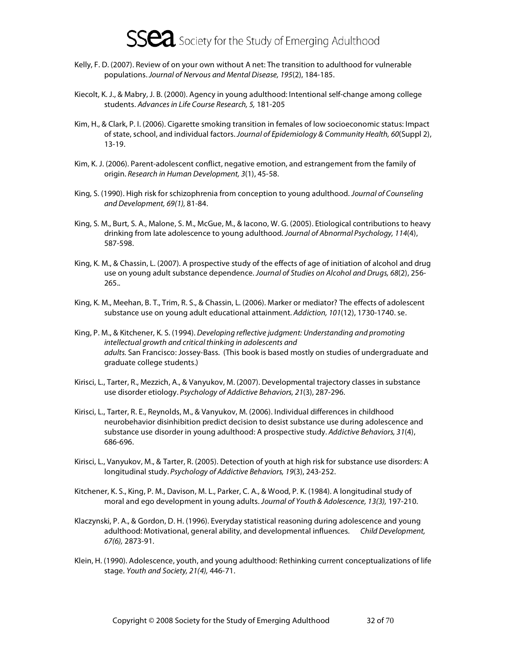

- Kelly, F. D. (2007). Review of on your own without A net: The transition to adulthood for vulnerable populations. Journal of Nervous and Mental Disease, 195(2), 184-185.
- Kiecolt, K. J., & Mabry, J. B. (2000). Agency in young adulthood: Intentional self-change among college students. Advances in Life Course Research, 5, 181-205
- Kim, H., & Clark, P. I. (2006). Cigarette smoking transition in females of low socioeconomic status: Impact of state, school, and individual factors. Journal of Epidemiology & Community Health, 60(Suppl 2), 13-19.
- Kim, K. J. (2006). Parent-adolescent conflict, negative emotion, and estrangement from the family of origin. Research in Human Development, 3(1), 45-58.
- King, S. (1990). High risk for schizophrenia from conception to young adulthood. Journal of Counseling and Development, 69(1), 81-84.
- King, S. M., Burt, S. A., Malone, S. M., McGue, M., & Iacono, W. G. (2005). Etiological contributions to heavy drinking from late adolescence to young adulthood. Journal of Abnormal Psychology, 114(4), 587-598.
- King, K. M., & Chassin, L. (2007). A prospective study of the effects of age of initiation of alcohol and drug use on young adult substance dependence. Journal of Studies on Alcohol and Drugs, 68(2), 256-265..
- King, K. M., Meehan, B. T., Trim, R. S., & Chassin, L. (2006). Marker or mediator? The effects of adolescent substance use on young adult educational attainment. Addiction, 101(12), 1730-1740. se.
- King, P. M., & Kitchener, K. S. (1994). Developing reflective judgment: Understanding and promoting intellectual growth and critical thinking in adolescents and adults. San Francisco: Jossey-Bass. (This book is based mostly on studies of undergraduate and graduate college students.)
- Kirisci, L., Tarter, R., Mezzich, A., & Vanyukov, M. (2007). Developmental trajectory classes in substance use disorder etiology. Psychology of Addictive Behaviors, 21(3), 287-296.
- Kirisci, L., Tarter, R. E., Reynolds, M., & Vanyukov, M. (2006). Individual differences in childhood neurobehavior disinhibition predict decision to desist substance use during adolescence and substance use disorder in young adulthood: A prospective study. Addictive Behaviors, 31(4), 686-696.
- Kirisci, L., Vanyukov, M., & Tarter, R. (2005). Detection of youth at high risk for substance use disorders: A longitudinal study. Psychology of Addictive Behaviors, 19(3), 243-252.
- Kitchener, K. S., King, P. M., Davison, M. L., Parker, C. A., & Wood, P. K. (1984). A longitudinal study of moral and ego development in young adults. Journal of Youth & Adolescence, 13(3), 197-210.
- Klaczynski, P. A., & Gordon, D. H. (1996). Everyday statistical reasoning during adolescence and young adulthood: Motivational, general ability, and developmental influences. Child Development, 67(6), 2873-91.
- Klein, H. (1990). Adolescence, youth, and young adulthood: Rethinking current conceptualizations of life stage. Youth and Society, 21(4), 446-71.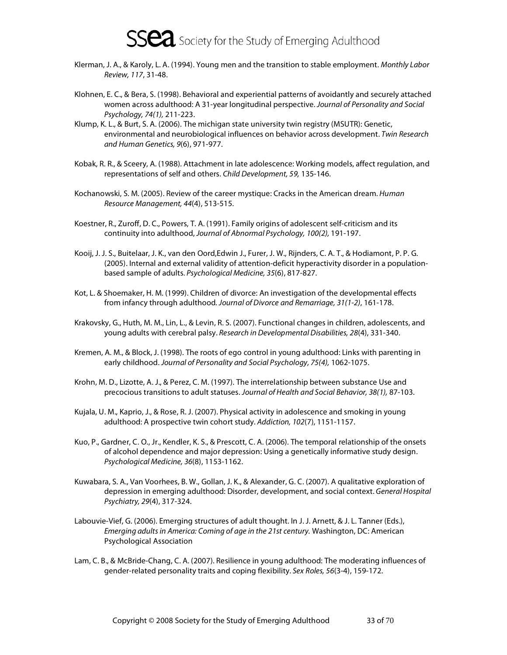- Klerman, J. A., & Karoly, L. A. (1994). Young men and the transition to stable employment. Monthly Labor Review, 117, 31-48.
- Klohnen, E. C., & Bera, S. (1998). Behavioral and experiential patterns of avoidantly and securely attached women across adulthood: A 31-year longitudinal perspective. Journal of Personality and Social Psychology, 74(1), 211-223.
- Klump, K. L., & Burt, S. A. (2006). The michigan state university twin registry (MSUTR): Genetic, environmental and neurobiological influences on behavior across development. Twin Research and Human Genetics, 9(6), 971-977.
- Kobak, R. R., & Sceery, A. (1988). Attachment in late adolescence: Working models, affect regulation, and representations of self and others. Child Development, 59, 135-146.
- Kochanowski, S. M. (2005). Review of the career mystique: Cracks in the American dream. Human Resource Management, 44(4), 513-515.
- Koestner, R., Zuroff, D. C., Powers, T. A. (1991). Family origins of adolescent self-criticism and its continuity into adulthood, Journal of Abnormal Psychology, 100(2), 191-197.
- Kooij, J. J. S., Buitelaar, J. K., van den Oord,Edwin J., Furer, J. W., Rijnders, C. A. T., & Hodiamont, P. P. G. (2005). Internal and external validity of attention-deficit hyperactivity disorder in a populationbased sample of adults. Psychological Medicine, 35(6), 817-827.
- Kot, L. & Shoemaker, H. M. (1999). Children of divorce: An investigation of the developmental effects from infancy through adulthood. Journal of Divorce and Remarriage, 31(1-2), 161-178.
- Krakovsky, G., Huth, M. M., Lin, L., & Levin, R. S. (2007). Functional changes in children, adolescents, and young adults with cerebral palsy. Research in Developmental Disabilities, 28(4), 331-340.
- Kremen, A. M., & Block, J. (1998). The roots of ego control in young adulthood: Links with parenting in early childhood. Journal of Personality and Social Psychology, 75(4), 1062-1075.
- Krohn, M. D., Lizotte, A. J., & Perez, C. M. (1997). The interrelationship between substance Use and precocious transitions to adult statuses. Journal of Health and Social Behavior, 38(1), 87-103.
- Kujala, U. M., Kaprio, J., & Rose, R. J. (2007). Physical activity in adolescence and smoking in young adulthood: A prospective twin cohort study. Addiction, 102(7), 1151-1157.
- Kuo, P., Gardner, C. O., Jr., Kendler, K. S., & Prescott, C. A. (2006). The temporal relationship of the onsets of alcohol dependence and major depression: Using a genetically informative study design. Psychological Medicine, 36(8), 1153-1162.
- Kuwabara, S. A., Van Voorhees, B. W., Gollan, J. K., & Alexander, G. C. (2007). A qualitative exploration of depression in emerging adulthood: Disorder, development, and social context. General Hospital Psychiatry, 29(4), 317-324.
- Labouvie-Vief, G. (2006). Emerging structures of adult thought. In J. J. Arnett, & J. L. Tanner (Eds.), Emerging adults in America: Coming of age in the 21st century. Washington, DC: American Psychological Association
- Lam, C. B., & McBride-Chang, C. A. (2007). Resilience in young adulthood: The moderating influences of gender-related personality traits and coping flexibility. Sex Roles, 56(3-4), 159-172.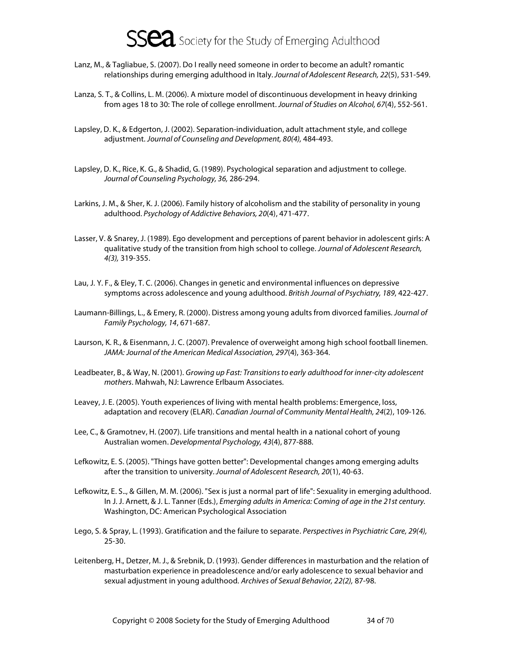- Lanz, M., & Tagliabue, S. (2007). Do I really need someone in order to become an adult? romantic relationships during emerging adulthood in Italy. Journal of Adolescent Research, 22(5), 531-549.
- Lanza, S. T., & Collins, L. M. (2006). A mixture model of discontinuous development in heavy drinking from ages 18 to 30: The role of college enrollment. Journal of Studies on Alcohol, 67(4), 552-561.
- Lapsley, D. K., & Edgerton, J. (2002). Separation-individuation, adult attachment style, and college adjustment. Journal of Counseling and Development, 80(4), 484-493.
- Lapsley, D. K., Rice, K. G., & Shadid, G. (1989). Psychological separation and adjustment to college. Journal of Counseling Psychology, 36, 286-294.
- Larkins, J. M., & Sher, K. J. (2006). Family history of alcoholism and the stability of personality in young adulthood. Psychology of Addictive Behaviors, 20(4), 471-477.
- Lasser, V. & Snarey, J. (1989). Ego development and perceptions of parent behavior in adolescent girls: A qualitative study of the transition from high school to college. Journal of Adolescent Research, 4(3), 319-355.
- Lau, J. Y. F., & Eley, T. C. (2006). Changes in genetic and environmental influences on depressive symptoms across adolescence and young adulthood. British Journal of Psychiatry, 189, 422-427.
- Laumann-Billings, L., & Emery, R. (2000). Distress among young adults from divorced families. Journal of Family Psychology, 14, 671-687.
- Laurson, K. R., & Eisenmann, J. C. (2007). Prevalence of overweight among high school football linemen. JAMA: Journal of the American Medical Association, 297(4), 363-364.
- Leadbeater, B., & Way, N. (2001). Growing up Fast: Transitions to early adulthood for inner-city adolescent mothers. Mahwah, NJ: Lawrence Erlbaum Associates.
- Leavey, J. E. (2005). Youth experiences of living with mental health problems: Emergence, loss, adaptation and recovery (ELAR). Canadian Journal of Community Mental Health, 24(2), 109-126.
- Lee, C., & Gramotnev, H. (2007). Life transitions and mental health in a national cohort of young Australian women. Developmental Psychology, 43(4), 877-888.
- Lefkowitz, E. S. (2005). "Things have gotten better": Developmental changes among emerging adults after the transition to university. Journal of Adolescent Research, 20(1), 40-63.
- Lefkowitz, E. S.., & Gillen, M. M. (2006). "Sex is just a normal part of life": Sexuality in emerging adulthood. In J. J. Arnett, & J. L. Tanner (Eds.), Emerging adults in America: Coming of age in the 21st century. Washington, DC: American Psychological Association
- Lego, S. & Spray, L. (1993). Gratification and the failure to separate. Perspectives in Psychiatric Care, 29(4), 25-30.
- Leitenberg, H., Detzer, M. J., & Srebnik, D. (1993). Gender differences in masturbation and the relation of masturbation experience in preadolescence and/or early adolescence to sexual behavior and sexual adjustment in young adulthood. Archives of Sexual Behavior, 22(2), 87-98.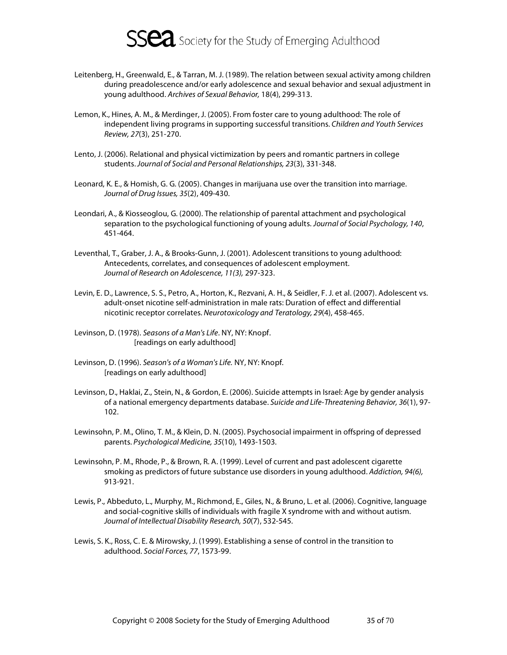

- Leitenberg, H., Greenwald, E., & Tarran, M. J. (1989). The relation between sexual activity among children during preadolescence and/or early adolescence and sexual behavior and sexual adjustment in young adulthood. Archives of Sexual Behavior, 18(4), 299-313.
- Lemon, K., Hines, A. M., & Merdinger, J. (2005). From foster care to young adulthood: The role of independent living programs in supporting successful transitions. Children and Youth Services Review, 27(3), 251-270.
- Lento, J. (2006). Relational and physical victimization by peers and romantic partners in college students. Journal of Social and Personal Relationships, 23(3), 331-348.
- Leonard, K. E., & Homish, G. G. (2005). Changes in marijuana use over the transition into marriage. Journal of Drug Issues, 35(2), 409-430.
- Leondari, A., & Kiosseoglou, G. (2000). The relationship of parental attachment and psychological separation to the psychological functioning of young adults. Journal of Social Psychology, 140, 451-464.
- Leventhal, T., Graber, J. A., & Brooks-Gunn, J. (2001). Adolescent transitions to young adulthood: Antecedents, correlates, and consequences of adolescent employment. Journal of Research on Adolescence, 11(3), 297-323.
- Levin, E. D., Lawrence, S. S., Petro, A., Horton, K., Rezvani, A. H., & Seidler, F. J. et al. (2007). Adolescent vs. adult-onset nicotine self-administration in male rats: Duration of effect and differential nicotinic receptor correlates. Neurotoxicology and Teratology, 29(4), 458-465.
- Levinson, D. (1978). Seasons of a Man's Life. NY, NY: Knopf. [readings on early adulthood]
- Levinson, D. (1996). Season's of a Woman's Life. NY, NY: Knopf. [readings on early adulthood]
- Levinson, D., Haklai, Z., Stein, N., & Gordon, E. (2006). Suicide attempts in Israel: Age by gender analysis of a national emergency departments database. Suicide and Life-Threatening Behavior, 36(1), 97- 102.
- Lewinsohn, P. M., Olino, T. M., & Klein, D. N. (2005). Psychosocial impairment in offspring of depressed parents. Psychological Medicine, 35(10), 1493-1503.
- Lewinsohn, P. M., Rhode, P., & Brown, R. A. (1999). Level of current and past adolescent cigarette smoking as predictors of future substance use disorders in young adulthood. Addiction, 94(6), 913-921.
- Lewis, P., Abbeduto, L., Murphy, M., Richmond, E., Giles, N., & Bruno, L. et al. (2006). Cognitive, language and social-cognitive skills of individuals with fragile X syndrome with and without autism. Journal of Intellectual Disability Research, 50(7), 532-545.
- Lewis, S. K., Ross, C. E. & Mirowsky, J. (1999). Establishing a sense of control in the transition to adulthood. Social Forces, 77, 1573-99.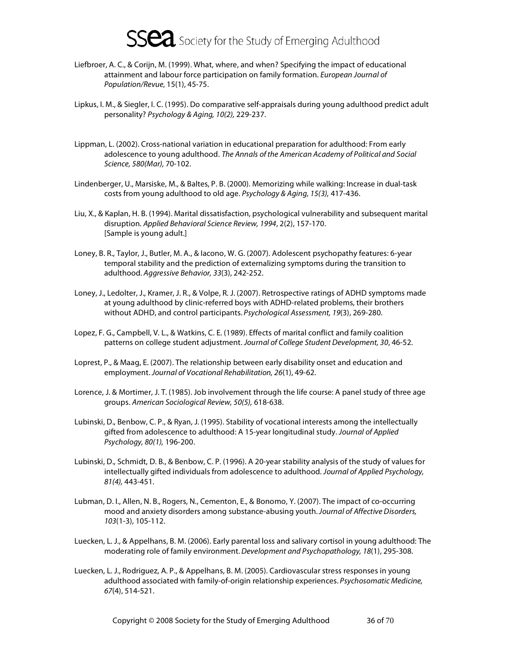- Liefbroer, A. C., & Corijn, M. (1999). What, where, and when? Specifying the impact of educational attainment and labour force participation on family formation. European Journal of Population/Revue, 15(1), 45-75.
- Lipkus, I. M., & Siegler, I. C. (1995). Do comparative self-appraisals during young adulthood predict adult personality? Psychology & Aging, 10(2), 229-237.
- Lippman, L. (2002). Cross-national variation in educational preparation for adulthood: From early adolescence to young adulthood. The Annals of the American Academy of Political and Social Science, 580(Mar), 70-102.
- Lindenberger, U., Marsiske, M., & Baltes, P. B. (2000). Memorizing while walking: Increase in dual-task costs from young adulthood to old age. Psychology & Aging, 15(3), 417-436.
- Liu, X., & Kaplan, H. B. (1994). Marital dissatisfaction, psychological vulnerability and subsequent marital disruption. Applied Behavioral Science Review, 1994, 2(2), 157-170. [Sample is young adult.]
- Loney, B. R., Taylor, J., Butler, M. A., & Iacono, W. G. (2007). Adolescent psychopathy features: 6-year temporal stability and the prediction of externalizing symptoms during the transition to adulthood. Aggressive Behavior, 33(3), 242-252.
- Loney, J., Ledolter, J., Kramer, J. R., & Volpe, R. J. (2007). Retrospective ratings of ADHD symptoms made at young adulthood by clinic-referred boys with ADHD-related problems, their brothers without ADHD, and control participants. Psychological Assessment, 19(3), 269-280.
- Lopez, F. G., Campbell, V. L., & Watkins, C. E. (1989). Effects of marital conflict and family coalition patterns on college student adjustment. Journal of College Student Development, 30, 46-52.
- Loprest, P., & Maag, E. (2007). The relationship between early disability onset and education and employment. Journal of Vocational Rehabilitation, 26(1), 49-62.
- Lorence, J. & Mortimer, J. T. (1985). Job involvement through the life course: A panel study of three age groups. American Sociological Review, 50(5), 618-638.
- Lubinski, D., Benbow, C. P., & Ryan, J. (1995). Stability of vocational interests among the intellectually gifted from adolescence to adulthood: A 15-year longitudinal study. Journal of Applied Psychology, 80(1), 196-200.
- Lubinski, D., Schmidt, D. B., & Benbow, C. P. (1996). A 20-year stability analysis of the study of values for intellectually gifted individuals from adolescence to adulthood. Journal of Applied Psychology, 81(4), 443-451.
- Lubman, D. I., Allen, N. B., Rogers, N., Cementon, E., & Bonomo, Y. (2007). The impact of co-occurring mood and anxiety disorders among substance-abusing youth. Journal of Affective Disorders, 103(1-3), 105-112.
- Luecken, L. J., & Appelhans, B. M. (2006). Early parental loss and salivary cortisol in young adulthood: The moderating role of family environment. Development and Psychopathology, 18(1), 295-308.
- Luecken, L. J., Rodriguez, A. P., & Appelhans, B. M. (2005). Cardiovascular stress responses in young adulthood associated with family-of-origin relationship experiences. Psychosomatic Medicine, 67(4), 514-521.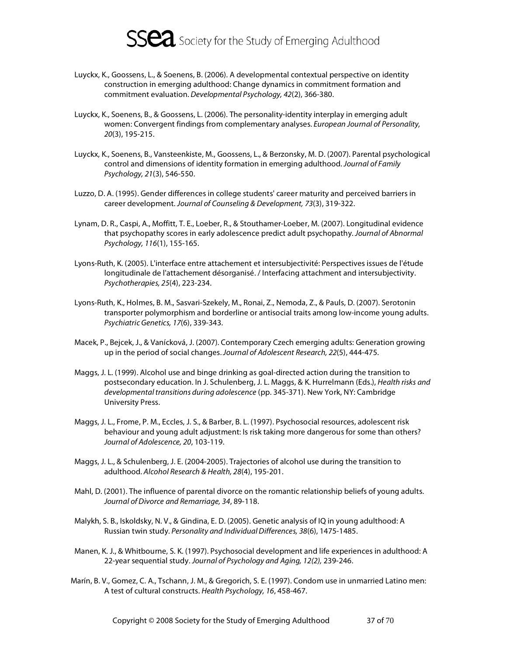

- Luyckx, K., Goossens, L., & Soenens, B. (2006). A developmental contextual perspective on identity construction in emerging adulthood: Change dynamics in commitment formation and commitment evaluation. Developmental Psychology, 42(2), 366-380.
- Luyckx, K., Soenens, B., & Goossens, L. (2006). The personality-identity interplay in emerging adult women: Convergent findings from complementary analyses. European Journal of Personality, 20(3), 195-215.
- Luyckx, K., Soenens, B., Vansteenkiste, M., Goossens, L., & Berzonsky, M. D. (2007). Parental psychological control and dimensions of identity formation in emerging adulthood. Journal of Family Psychology, 21(3), 546-550.
- Luzzo, D. A. (1995). Gender differences in college students' career maturity and perceived barriers in career development. Journal of Counseling & Development, 73(3), 319-322.
- Lynam, D. R., Caspi, A., Moffitt, T. E., Loeber, R., & Stouthamer-Loeber, M. (2007). Longitudinal evidence that psychopathy scores in early adolescence predict adult psychopathy. Journal of Abnormal Psychology, 116(1), 155-165.
- Lyons-Ruth, K. (2005). L'interface entre attachement et intersubjectivité: Perspectives issues de l'étude longitudinale de l'attachement désorganisé. / Interfacing attachment and intersubjectivity. Psychotherapies, 25(4), 223-234.
- Lyons-Ruth, K., Holmes, B. M., Sasvari-Szekely, M., Ronai, Z., Nemoda, Z., & Pauls, D. (2007). Serotonin transporter polymorphism and borderline or antisocial traits among low-income young adults. Psychiatric Genetics, 17(6), 339-343.
- Macek, P., Bejcek, J., & Vanícková, J. (2007). Contemporary Czech emerging adults: Generation growing up in the period of social changes. Journal of Adolescent Research, 22(5), 444-475.
- Maggs, J. L. (1999). Alcohol use and binge drinking as goal-directed action during the transition to postsecondary education. In J. Schulenberg, J. L. Maggs, & K. Hurrelmann (Eds.), Health risks and developmental transitions during adolescence (pp. 345-371). New York, NY: Cambridge University Press.
- Maggs, J. L., Frome, P. M., Eccles, J. S., & Barber, B. L. (1997). Psychosocial resources, adolescent risk behaviour and young adult adjustment: Is risk taking more dangerous for some than others? Journal of Adolescence, 20, 103-119.
- Maggs, J. L., & Schulenberg, J. E. (2004-2005). Trajectories of alcohol use during the transition to adulthood. Alcohol Research & Health, 28(4), 195-201.
- Mahl, D. (2001). The influence of parental divorce on the romantic relationship beliefs of young adults. Journal of Divorce and Remarriage, 34, 89-118.
- Malykh, S. B., Iskoldsky, N. V., & Gindina, E. D. (2005). Genetic analysis of IQ in young adulthood: A Russian twin study. Personality and Individual Differences, 38(6), 1475-1485.
- Manen, K. J., & Whitbourne, S. K. (1997). Psychosocial development and life experiences in adulthood: A 22-year sequential study. Journal of Psychology and Aging, 12(2), 239-246.
- Marín, B. V., Gomez, C. A., Tschann, J. M., & Gregorich, S. E. (1997). Condom use in unmarried Latino men: A test of cultural constructs. Health Psychology, 16, 458-467.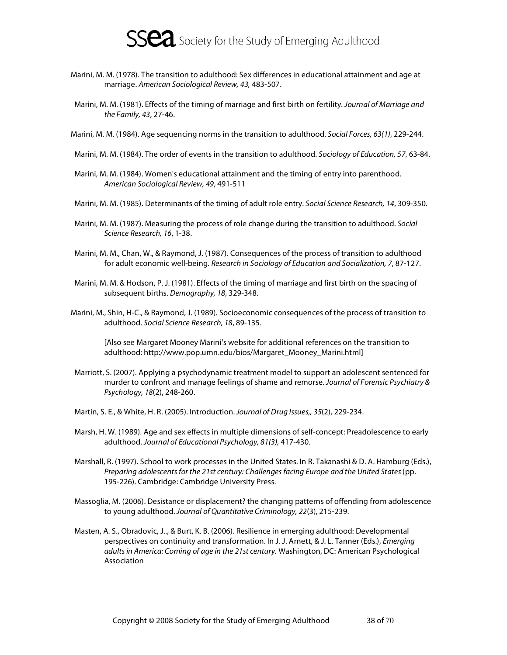

- Marini, M. M. (1978). The transition to adulthood: Sex differences in educational attainment and age at marriage. American Sociological Review, 43, 483-507.
- Marini, M. M. (1981). Effects of the timing of marriage and first birth on fertility. Journal of Marriage and the Family, 43, 27-46.
- Marini, M. M. (1984). Age sequencing norms in the transition to adulthood. Social Forces, 63(1), 229-244.
- Marini, M. M. (1984). The order of events in the transition to adulthood. Sociology of Education, 57, 63-84.
- Marini, M. M. (1984). Women's educational attainment and the timing of entry into parenthood. American Sociological Review, 49, 491-511
- Marini, M. M. (1985). Determinants of the timing of adult role entry. Social Science Research, 14, 309-350.
- Marini, M. M. (1987). Measuring the process of role change during the transition to adulthood. Social Science Research, 16, 1-38.
- Marini, M. M., Chan, W., & Raymond, J. (1987). Consequences of the process of transition to adulthood for adult economic well-being. Research in Sociology of Education and Socialization, 7, 87-127.
- Marini, M. M. & Hodson, P. J. (1981). Effects of the timing of marriage and first birth on the spacing of subsequent births. Demography, 18, 329-348.
- Marini, M., Shin, H-C., & Raymond, J. (1989). Socioeconomic consequences of the process of transition to adulthood. Social Science Research, 18, 89-135.

[Also see Margaret Mooney Marini's website for additional references on the transition to adulthood: http://www.pop.umn.edu/bios/Margaret\_Mooney\_Marini.html]

- Marriott, S. (2007). Applying a psychodynamic treatment model to support an adolescent sentenced for murder to confront and manage feelings of shame and remorse. Journal of Forensic Psychiatry & Psychology, 18(2), 248-260.
- Martin, S. E., & White, H. R. (2005). Introduction. Journal of Drug Issues,, 35(2), 229-234.
- Marsh, H. W. (1989). Age and sex effects in multiple dimensions of self-concept: Preadolescence to early adulthood. Journal of Educational Psychology, 81(3), 417-430.
- Marshall, R. (1997). School to work processes in the United States. In R. Takanashi & D. A. Hamburg (Eds.), Preparing adolescents for the 21st century: Challenges facing Europe and the United States (pp. 195-226). Cambridge: Cambridge University Press.
- Massoglia, M. (2006). Desistance or displacement? the changing patterns of offending from adolescence to young adulthood. Journal of Quantitative Criminology, 22(3), 215-239.
- Masten, A. S., Obradovic, J.., & Burt, K. B. (2006). Resilience in emerging adulthood: Developmental perspectives on continuity and transformation. In J. J. Arnett, & J. L. Tanner (Eds.), Emerging adults in America: Coming of age in the 21st century. Washington, DC: American Psychological Association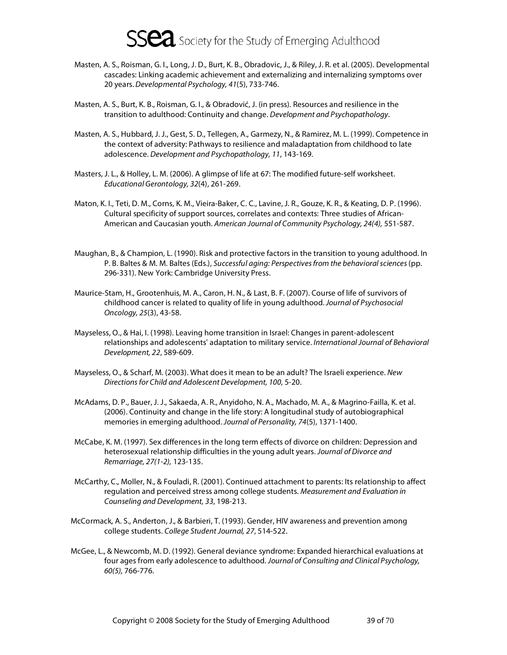- Masten, A. S., Roisman, G. I., Long, J. D., Burt, K. B., Obradovic, J., & Riley, J. R. et al. (2005). Developmental cascades: Linking academic achievement and externalizing and internalizing symptoms over 20 years. Developmental Psychology, 41(5), 733-746.
- Masten, A. S., Burt, K. B., Roisman, G. I., & Obradović, J. (in press). Resources and resilience in the transition to adulthood: Continuity and change. Development and Psychopathology.
- Masten, A. S., Hubbard, J. J., Gest, S. D., Tellegen, A., Garmezy, N., & Ramirez, M. L. (1999). Competence in the context of adversity: Pathways to resilience and maladaptation from childhood to late adolescence. Development and Psychopathology, 11, 143-169.
- Masters, J. L., & Holley, L. M. (2006). A glimpse of life at 67: The modified future-self worksheet. Educational Gerontology, 32(4), 261-269.
- Maton, K. I., Teti, D. M., Corns, K. M., Vieira-Baker, C. C., Lavine, J. R., Gouze, K. R., & Keating, D. P. (1996). Cultural specificity of support sources, correlates and contexts: Three studies of African-American and Caucasian youth. American Journal of Community Psychology, 24(4), 551-587.
- Maughan, B., & Champion, L. (1990). Risk and protective factors in the transition to young adulthood. In P. B. Baltes & M. M. Baltes (Eds.), Successful aging: Perspectives from the behavioral sciences (pp. 296-331). New York: Cambridge University Press.
- Maurice-Stam, H., Grootenhuis, M. A., Caron, H. N., & Last, B. F. (2007). Course of life of survivors of childhood cancer is related to quality of life in young adulthood. Journal of Psychosocial Oncology, 25(3), 43-58.
- Mayseless, O., & Hai, I. (1998). Leaving home transition in Israel: Changes in parent-adolescent relationships and adolescents' adaptation to military service. International Journal of Behavioral Development, 22, 589-609.
- Mayseless, O., & Scharf, M. (2003). What does it mean to be an adult? The Israeli experience. New Directions for Child and Adolescent Development, 100, 5-20.
- McAdams, D. P., Bauer, J. J., Sakaeda, A. R., Anyidoho, N. A., Machado, M. A., & Magrino-Failla, K. et al. (2006). Continuity and change in the life story: A longitudinal study of autobiographical memories in emerging adulthood. Journal of Personality, 74(5), 1371-1400.
- McCabe, K. M. (1997). Sex differences in the long term effects of divorce on children: Depression and heterosexual relationship difficulties in the young adult years. Journal of Divorce and Remarriage, 27(1-2), 123-135.
- McCarthy, C., Moller, N., & Fouladi, R. (2001). Continued attachment to parents: Its relationship to affect regulation and perceived stress among college students. Measurement and Evaluation in Counseling and Development, 33, 198-213.
- McCormack, A. S., Anderton, J., & Barbieri, T. (1993). Gender, HIV awareness and prevention among college students. College Student Journal, 27, 514-522.
- McGee, L., & Newcomb, M. D. (1992). General deviance syndrome: Expanded hierarchical evaluations at four ages from early adolescence to adulthood. Journal of Consulting and Clinical Psychology, 60(5), 766-776.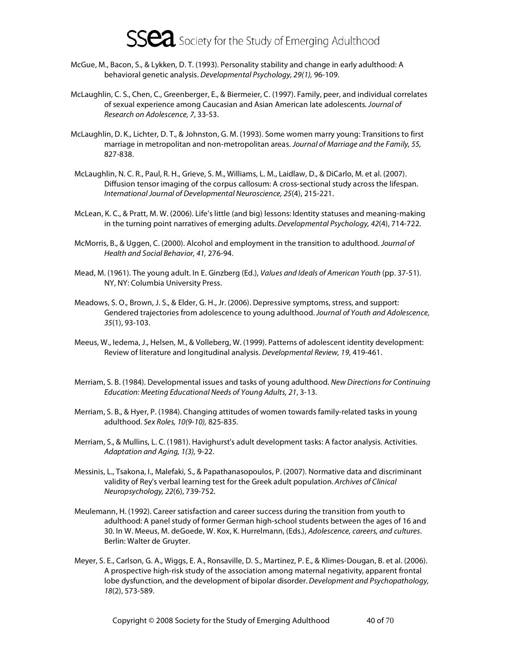- McGue, M., Bacon, S., & Lykken, D. T. (1993). Personality stability and change in early adulthood: A behavioral genetic analysis. Developmental Psychology, 29(1), 96-109.
- McLaughlin, C. S., Chen, C., Greenberger, E., & Biermeier, C. (1997). Family, peer, and individual correlates of sexual experience among Caucasian and Asian American late adolescents. Journal of Research on Adolescence, 7, 33-53.
- McLaughlin, D. K., Lichter, D. T., & Johnston, G. M. (1993). Some women marry young: Transitions to first marriage in metropolitan and non-metropolitan areas. Journal of Marriage and the Family, 55, 827-838.
- McLaughlin, N. C. R., Paul, R. H., Grieve, S. M., Williams, L. M., Laidlaw, D., & DiCarlo, M. et al. (2007). Diffusion tensor imaging of the corpus callosum: A cross-sectional study across the lifespan. International Journal of Developmental Neuroscience, 25(4), 215-221.
- McLean, K. C., & Pratt, M. W. (2006). Life's little (and big) lessons: Identity statuses and meaning-making in the turning point narratives of emerging adults. Developmental Psychology, 42(4), 714-722.
- McMorris, B., & Uggen, C. (2000). Alcohol and employment in the transition to adulthood. Journal of Health and Social Behavior, 41, 276-94.
- Mead, M. (1961). The young adult. In E. Ginzberg (Ed.), Values and Ideals of American Youth (pp. 37-51). NY, NY: Columbia University Press.
- Meadows, S. O., Brown, J. S., & Elder, G. H., Jr. (2006). Depressive symptoms, stress, and support: Gendered trajectories from adolescence to young adulthood. Journal of Youth and Adolescence, 35(1), 93-103.
- Meeus, W., Iedema, J., Helsen, M., & Volleberg, W. (1999). Patterns of adolescent identity development: Review of literature and longitudinal analysis. Developmental Review, 19, 419-461.
- Merriam, S. B. (1984). Developmental issues and tasks of young adulthood. New Directions for Continuing Education: Meeting Educational Needs of Young Adults, 21, 3-13.
- Merriam, S. B., & Hyer, P. (1984). Changing attitudes of women towards family-related tasks in young adulthood. Sex Roles, 10(9-10), 825-835.
- Merriam, S., & Mullins, L. C. (1981). Havighurst's adult development tasks: A factor analysis. Activities. Adaptation and Aging, 1(3), 9-22.
- Messinis, L., Tsakona, I., Malefaki, S., & Papathanasopoulos, P. (2007). Normative data and discriminant validity of Rey's verbal learning test for the Greek adult population. Archives of Clinical Neuropsychology, 22(6), 739-752.
- Meulemann, H. (1992). Career satisfaction and career success during the transition from youth to adulthood: A panel study of former German high-school students between the ages of 16 and 30. In W. Meeus, M. deGoede, W. Kox, K. Hurrelmann, (Eds.), Adolescence, careers, and cultures. Berlin: Walter de Gruyter.
- Meyer, S. E., Carlson, G. A., Wiggs, E. A., Ronsaville, D. S., Martinez, P. E., & Klimes-Dougan, B. et al. (2006). A prospective high-risk study of the association among maternal negativity, apparent frontal lobe dysfunction, and the development of bipolar disorder. Development and Psychopathology, 18(2), 573-589.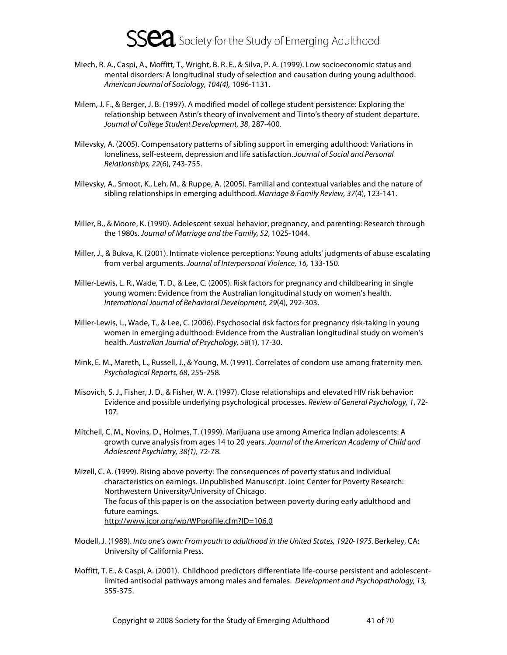- Miech, R. A., Caspi, A., Moffitt, T., Wright, B. R. E., & Silva, P. A. (1999). Low socioeconomic status and mental disorders: A longitudinal study of selection and causation during young adulthood. American Journal of Sociology, 104(4), 1096-1131.
- Milem, J. F., & Berger, J. B. (1997). A modified model of college student persistence: Exploring the relationship between Astin's theory of involvement and Tinto's theory of student departure. Journal of College Student Development, 38, 287-400.
- Milevsky, A. (2005). Compensatory patterns of sibling support in emerging adulthood: Variations in loneliness, self-esteem, depression and life satisfaction. Journal of Social and Personal Relationships, 22(6), 743-755.
- Milevsky, A., Smoot, K., Leh, M., & Ruppe, A. (2005). Familial and contextual variables and the nature of sibling relationships in emerging adulthood. Marriage & Family Review, 37(4), 123-141.
- Miller, B., & Moore, K. (1990). Adolescent sexual behavior, pregnancy, and parenting: Research through the 1980s. Journal of Marriage and the Family, 52, 1025-1044.
- Miller, J., & Bukva, K. (2001). Intimate violence perceptions: Young adults' judgments of abuse escalating from verbal arguments. Journal of Interpersonal Violence, 16, 133-150.
- Miller-Lewis, L. R., Wade, T. D., & Lee, C. (2005). Risk factors for pregnancy and childbearing in single young women: Evidence from the Australian longitudinal study on women's health. International Journal of Behavioral Development, 29(4), 292-303.
- Miller-Lewis, L., Wade, T., & Lee, C. (2006). Psychosocial risk factors for pregnancy risk-taking in young women in emerging adulthood: Evidence from the Australian longitudinal study on women's health. Australian Journal of Psychology, 58(1), 17-30.
- Mink, E. M., Mareth, L., Russell, J., & Young, M. (1991). Correlates of condom use among fraternity men. Psychological Reports, 68, 255-258.
- Misovich, S. J., Fisher, J. D., & Fisher, W. A. (1997). Close relationships and elevated HIV risk behavior: Evidence and possible underlying psychological processes. Review of General Psychology, 1, 72- 107.
- Mitchell, C. M., Novins, D., Holmes, T. (1999). Marijuana use among America Indian adolescents: A growth curve analysis from ages 14 to 20 years. Journal of the American Academy of Child and Adolescent Psychiatry, 38(1), 72-78.
- Mizell, C. A. (1999). Rising above poverty: The consequences of poverty status and individual characteristics on earnings. Unpublished Manuscript. Joint Center for Poverty Research: Northwestern University/University of Chicago. The focus of this paper is on the association between poverty during early adulthood and future earnings. http://www.jcpr.org/wp/WPprofile.cfm?ID=106.0
- Modell, J. (1989). Into one's own: From youth to adulthood in the United States, 1920-1975. Berkeley, CA: University of California Press.
- Moffitt, T. E., & Caspi, A. (2001). Childhood predictors differentiate life-course persistent and adolescentlimited antisocial pathways among males and females. Development and Psychopathology, 13, 355-375.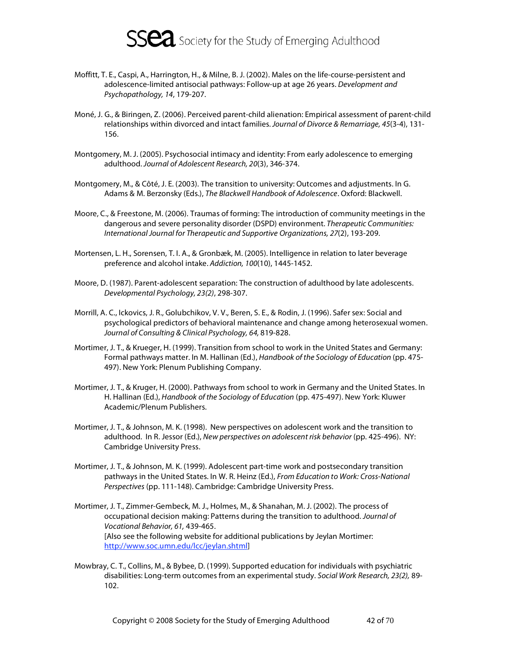

- Moffitt, T. E., Caspi, A., Harrington, H., & Milne, B. J. (2002). Males on the life-course-persistent and adolescence-limited antisocial pathways: Follow-up at age 26 years. Development and Psychopathology, 14, 179-207.
- Moné, J. G., & Biringen, Z. (2006). Perceived parent-child alienation: Empirical assessment of parent-child relationships within divorced and intact families. Journal of Divorce & Remarriage, 45(3-4), 131- 156.
- Montgomery, M. J. (2005). Psychosocial intimacy and identity: From early adolescence to emerging adulthood. Journal of Adolescent Research, 20(3), 346-374.
- Montgomery, M., & Côté, J. E. (2003). The transition to university: Outcomes and adjustments. In G. Adams & M. Berzonsky (Eds.), The Blackwell Handbook of Adolescence. Oxford: Blackwell.
- Moore, C., & Freestone, M. (2006). Traumas of forming: The introduction of community meetings in the dangerous and severe personality disorder (DSPD) environment. Therapeutic Communities: International Journal for Therapeutic and Supportive Organizations, 27(2), 193-209.
- Mortensen, L. H., Sorensen, T. I. A., & Gronbæk, M. (2005). Intelligence in relation to later beverage preference and alcohol intake. Addiction, 100(10), 1445-1452.
- Moore, D. (1987). Parent-adolescent separation: The construction of adulthood by late adolescents. Developmental Psychology, 23(2), 298-307.
- Morrill, A. C., Ickovics, J. R., Golubchikov, V. V., Beren, S. E., & Rodin, J. (1996). Safer sex: Social and psychological predictors of behavioral maintenance and change among heterosexual women. Journal of Consulting & Clinical Psychology, 64, 819-828.
- Mortimer, J. T., & Krueger, H. (1999). Transition from school to work in the United States and Germany: Formal pathways matter. In M. Hallinan (Ed.), Handbook of the Sociology of Education (pp. 475- 497). New York: Plenum Publishing Company.
- Mortimer, J. T., & Kruger, H. (2000). Pathways from school to work in Germany and the United States. In H. Hallinan (Ed.), Handbook of the Sociology of Education (pp. 475-497). New York: Kluwer Academic/Plenum Publishers.
- Mortimer, J. T., & Johnson, M. K. (1998). New perspectives on adolescent work and the transition to adulthood. In R. Jessor (Ed.), New perspectives on adolescent risk behavior (pp. 425-496). NY: Cambridge University Press.
- Mortimer, J. T., & Johnson, M. K. (1999). Adolescent part-time work and postsecondary transition pathways in the United States. In W. R. Heinz (Ed.), From Education to Work: Cross-National Perspectives (pp. 111-148). Cambridge: Cambridge University Press.
- Mortimer, J. T., Zimmer-Gembeck, M. J., Holmes, M., & Shanahan, M. J. (2002). The process of occupational decision making: Patterns during the transition to adulthood. Journal of Vocational Behavior, 61, 439-465. [Also see the following website for additional publications by Jeylan Mortimer: http://www.soc.umn.edu/lcc/jeylan.shtml]
- Mowbray, C. T., Collins, M., & Bybee, D. (1999). Supported education for individuals with psychiatric disabilities: Long-term outcomes from an experimental study. Social Work Research, 23(2), 89- 102.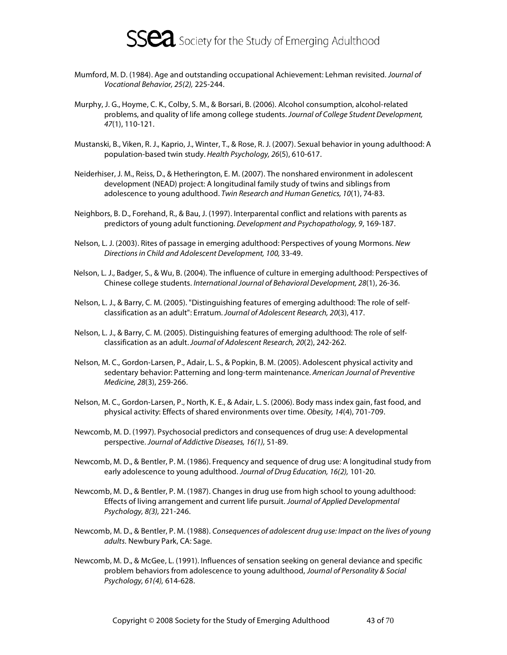

- Mumford, M. D. (1984). Age and outstanding occupational Achievement: Lehman revisited. Journal of Vocational Behavior, 25(2), 225-244.
- Murphy, J. G., Hoyme, C. K., Colby, S. M., & Borsari, B. (2006). Alcohol consumption, alcohol-related problems, and quality of life among college students. Journal of College Student Development, 47(1), 110-121.
- Mustanski, B., Viken, R. J., Kaprio, J., Winter, T., & Rose, R. J. (2007). Sexual behavior in young adulthood: A population-based twin study. Health Psychology, 26(5), 610-617.
- Neiderhiser, J. M., Reiss, D., & Hetherington, E. M. (2007). The nonshared environment in adolescent development (NEAD) project: A longitudinal family study of twins and siblings from adolescence to young adulthood. Twin Research and Human Genetics, 10(1), 74-83.
- Neighbors, B. D., Forehand, R., & Bau, J. (1997). Interparental conflict and relations with parents as predictors of young adult functioning. Development and Psychopathology, 9, 169-187.
- Nelson, L. J. (2003). Rites of passage in emerging adulthood: Perspectives of young Mormons. New Directions in Child and Adolescent Development, 100, 33-49.
- Nelson, L. J., Badger, S., & Wu, B. (2004). The influence of culture in emerging adulthood: Perspectives of Chinese college students. International Journal of Behavioral Development, 28(1), 26-36.
- Nelson, L. J., & Barry, C. M. (2005). "Distinguishing features of emerging adulthood: The role of selfclassification as an adult": Erratum. Journal of Adolescent Research, 20(3), 417.
- Nelson, L. J., & Barry, C. M. (2005). Distinguishing features of emerging adulthood: The role of selfclassification as an adult. Journal of Adolescent Research, 20(2), 242-262.
- Nelson, M. C., Gordon-Larsen, P., Adair, L. S., & Popkin, B. M. (2005). Adolescent physical activity and sedentary behavior: Patterning and long-term maintenance. American Journal of Preventive Medicine, 28(3), 259-266.
- Nelson, M. C., Gordon-Larsen, P., North, K. E., & Adair, L. S. (2006). Body mass index gain, fast food, and physical activity: Effects of shared environments over time. Obesity, 14(4), 701-709.
- Newcomb, M. D. (1997). Psychosocial predictors and consequences of drug use: A developmental perspective. Journal of Addictive Diseases, 16(1), 51-89.
- Newcomb, M. D., & Bentler, P. M. (1986). Frequency and sequence of drug use: A longitudinal study from early adolescence to young adulthood. Journal of Drug Education, 16(2), 101-20.
- Newcomb, M. D., & Bentler, P. M. (1987). Changes in drug use from high school to young adulthood: Effects of living arrangement and current life pursuit. Journal of Applied Developmental Psychology, 8(3), 221-246.
- Newcomb, M. D., & Bentler, P. M. (1988). Consequences of adolescent drug use: Impact on the lives of young adults. Newbury Park, CA: Sage.
- Newcomb, M. D., & McGee, L. (1991). Influences of sensation seeking on general deviance and specific problem behaviors from adolescence to young adulthood, Journal of Personality & Social Psychology, 61(4), 614-628.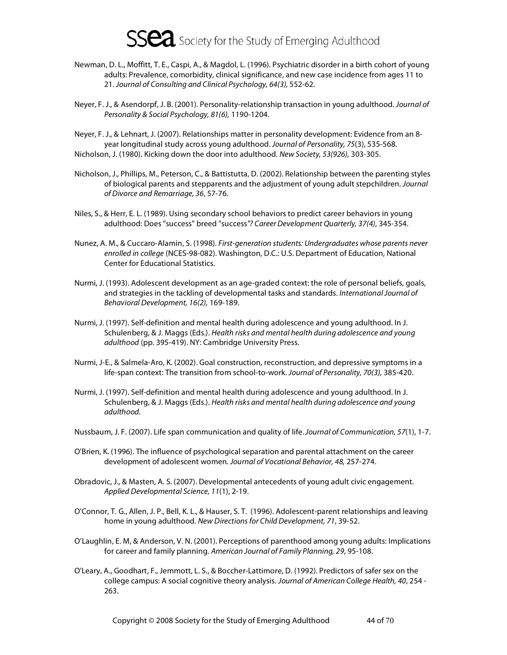- Newman, D. L., Moffitt, T. E., Caspi, A., & Magdol, L. (1996). Psychiatric disorder in a birth cohort of young adults: Prevalence, comorbidity, clinical significance, and new case incidence from ages 11 to 21. Journal of Consulting and Clinical Psychology, 64(3), 552-62.
- Neyer, F. J., & Asendorpf, J. B. (2001). Personality-relationship transaction in young adulthood. Journal of Personality & Social Psychology, 81(6), 1190-1204.
- Neyer, F. J., & Lehnart, J. (2007). Relationships matter in personality development: Evidence from an 8 year longitudinal study across young adulthood. Journal of Personality, 75(3), 535-568. Nicholson, J. (1980). Kicking down the door into adulthood. New Society, 53(926), 303-305.
- Nicholson, J., Phillips, M., Peterson, C., & Battistutta, D. (2002). Relationship between the parenting styles of biological parents and stepparents and the adjustment of young adult stepchildren. Journal of Divorce and Remarriage, 36, 57-76.
- Niles, S., & Herr, E. L. (1989). Using secondary school behaviors to predict career behaviors in young adulthood: Does "success" breed "success"? Career Development Quarterly, 37(4), 345-354.
- Nunez, A. M., & Cuccaro-Alamin, S. (1998). First-generation students: Undergraduates whose parents never enrolled in college (NCES-98-082). Washington, D.C.: U.S. Department of Education, National Center for Educational Statistics.
- Nurmi, J. (1993). Adolescent development as an age-graded context: the role of personal beliefs, goals, and strategies in the tackling of developmental tasks and standards. International Journal of Behavioral Development, 16(2), 169-189.
- Nurmi, J. (1997). Self-definition and mental health during adolescence and young adulthood. In J. Schulenberg, & J. Maggs (Eds.). Health risks and mental health during adolescence and young adulthood (pp. 395-419). NY: Cambridge University Press.
- Nurmi, J-E., & Salmela-Aro, K. (2002). Goal construction, reconstruction, and depressive symptoms in a life-span context: The transition from school-to-work. Journal of Personality, 70(3), 385-420.
- Nurmi, J. (1997). Self-definition and mental health during adolescence and young adulthood. In J. Schulenberg, & J. Maggs (Eds.). Health risks and mental health during adolescence and young adulthood.
- Nussbaum, J. F. (2007). Life span communication and quality of life. Journal of Communication, 57(1), 1-7.
- O'Brien, K. (1996). The influence of psychological separation and parental attachment on the career development of adolescent women. Journal of Vocational Behavior, 48, 257-274.
- Obradovic, J., & Masten, A. S. (2007). Developmental antecedents of young adult civic engagement. Applied Developmental Science, 11(1), 2-19.
- O'Connor, T. G., Allen, J. P., Bell, K. L., & Hauser, S. T. (1996). Adolescent-parent relationships and leaving home in young adulthood. New Directions for Child Development, 71, 39-52.
- O'Laughlin, E. M, & Anderson, V. N. (2001). Perceptions of parenthood among young adults: Implications for career and family planning. American Journal of Family Planning, 29, 95-108.
- O'Leary, A., Goodhart, F., Jemmott, L. S., & Boccher-Lattimore, D. (1992). Predictors of safer sex on the college campus: A social cognitive theory analysis. Journal of American College Health, 40, 254 - 263.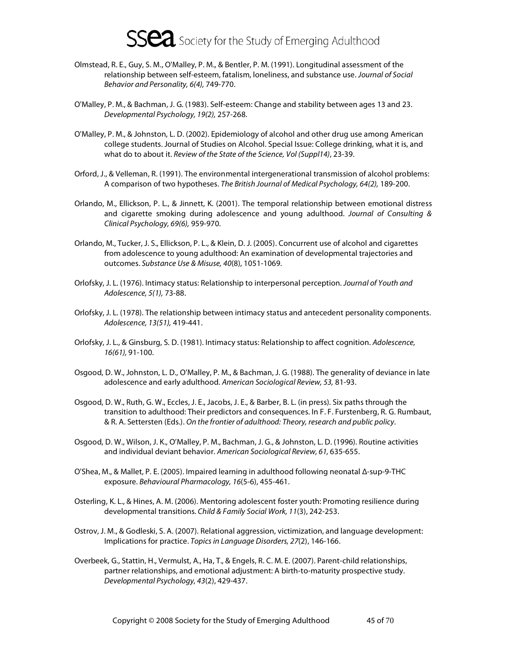- Olmstead, R. E., Guy, S. M., O'Malley, P. M., & Bentler, P. M. (1991). Longitudinal assessment of the relationship between self-esteem, fatalism, loneliness, and substance use. Journal of Social Behavior and Personality, 6(4), 749-770.
- O'Malley, P. M., & Bachman, J. G. (1983). Self-esteem: Change and stability between ages 13 and 23. Developmental Psychology, 19(2), 257-268.
- O'Malley, P. M., & Johnston, L. D. (2002). Epidemiology of alcohol and other drug use among American college students. Journal of Studies on Alcohol. Special Issue: College drinking, what it is, and what do to about it. Review of the State of the Science, Vol (Suppl14), 23-39.
- Orford, J., & Velleman, R. (1991). The environmental intergenerational transmission of alcohol problems: A comparison of two hypotheses. The British Journal of Medical Psychology, 64(2), 189-200.
- Orlando, M., Ellickson, P. L., & Jinnett, K. (2001). The temporal relationship between emotional distress and cigarette smoking during adolescence and young adulthood. Journal of Consulting & Clinical Psychology, 69(6), 959-970.
- Orlando, M., Tucker, J. S., Ellickson, P. L., & Klein, D. J. (2005). Concurrent use of alcohol and cigarettes from adolescence to young adulthood: An examination of developmental trajectories and outcomes. Substance Use & Misuse, 40(8), 1051-1069.
- Orlofsky, J. L. (1976). Intimacy status: Relationship to interpersonal perception. Journal of Youth and Adolescence, 5(1), 73-88.
- Orlofsky, J. L. (1978). The relationship between intimacy status and antecedent personality components. Adolescence, 13(51), 419-441.
- Orlofsky, J. L., & Ginsburg, S. D. (1981). Intimacy status: Relationship to affect cognition. Adolescence, 16(61), 91-100.
- Osgood, D. W., Johnston, L. D., O'Malley, P. M., & Bachman, J. G. (1988). The generality of deviance in late adolescence and early adulthood. American Sociological Review, 53, 81-93.
- Osgood, D. W., Ruth, G. W., Eccles, J. E., Jacobs, J. E., & Barber, B. L. (in press). Six paths through the transition to adulthood: Their predictors and consequences. In F. F. Furstenberg, R. G. Rumbaut, & R. A. Settersten (Eds.). On the frontier of adulthood: Theory, research and public policy.
- Osgood, D. W., Wilson, J. K., O'Malley, P. M., Bachman, J. G., & Johnston, L. D. (1996). Routine activities and individual deviant behavior. American Sociological Review, 61, 635-655.
- O'Shea, M., & Mallet, P. E. (2005). Impaired learning in adulthood following neonatal Δ-sup-9-THC exposure. Behavioural Pharmacology, 16(5-6), 455-461.
- Osterling, K. L., & Hines, A. M. (2006). Mentoring adolescent foster youth: Promoting resilience during developmental transitions. Child & Family Social Work, 11(3), 242-253.
- Ostrov, J. M., & Godleski, S. A. (2007). Relational aggression, victimization, and language development: Implications for practice. Topics in Language Disorders, 27(2), 146-166.
- Overbeek, G., Stattin, H., Vermulst, A., Ha, T., & Engels, R. C. M. E. (2007). Parent-child relationships, partner relationships, and emotional adjustment: A birth-to-maturity prospective study. Developmental Psychology, 43(2), 429-437.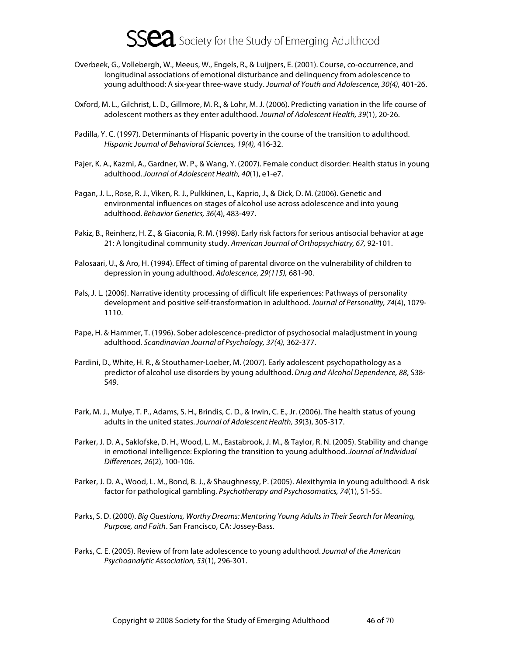- Overbeek, G., Vollebergh, W., Meeus, W., Engels, R., & Luijpers, E. (2001). Course, co-occurrence, and longitudinal associations of emotional disturbance and delinquency from adolescence to young adulthood: A six-year three-wave study. Journal of Youth and Adolescence, 30(4), 401-26.
- Oxford, M. L., Gilchrist, L. D., Gillmore, M. R., & Lohr, M. J. (2006). Predicting variation in the life course of adolescent mothers as they enter adulthood. Journal of Adolescent Health, 39(1), 20-26.
- Padilla, Y. C. (1997). Determinants of Hispanic poverty in the course of the transition to adulthood. Hispanic Journal of Behavioral Sciences, 19(4), 416-32.
- Pajer, K. A., Kazmi, A., Gardner, W. P., & Wang, Y. (2007). Female conduct disorder: Health status in young adulthood. Journal of Adolescent Health, 40(1), e1-e7.
- Pagan, J. L., Rose, R. J., Viken, R. J., Pulkkinen, L., Kaprio, J., & Dick, D. M. (2006). Genetic and environmental influences on stages of alcohol use across adolescence and into young adulthood. Behavior Genetics, 36(4), 483-497.
- Pakiz, B., Reinherz, H. Z., & Giaconia, R. M. (1998). Early risk factors for serious antisocial behavior at age 21: A longitudinal community study. American Journal of Orthopsychiatry, 67, 92-101.
- Palosaari, U., & Aro, H. (1994). Effect of timing of parental divorce on the vulnerability of children to depression in young adulthood. Adolescence, 29(115), 681-90.
- Pals, J. L. (2006). Narrative identity processing of difficult life experiences: Pathways of personality development and positive self-transformation in adulthood. Journal of Personality, 74(4), 1079- 1110.
- Pape, H. & Hammer, T. (1996). Sober adolescence-predictor of psychosocial maladjustment in young adulthood. Scandinavian Journal of Psychology, 37(4), 362-377.
- Pardini, D., White, H. R., & Stouthamer-Loeber, M. (2007). Early adolescent psychopathology as a predictor of alcohol use disorders by young adulthood. Drug and Alcohol Dependence, 88, S38-S49.
- Park, M. J., Mulye, T. P., Adams, S. H., Brindis, C. D., & Irwin, C. E., Jr. (2006). The health status of young adults in the united states. Journal of Adolescent Health, 39(3), 305-317.
- Parker, J. D. A., Saklofske, D. H., Wood, L. M., Eastabrook, J. M., & Taylor, R. N. (2005). Stability and change in emotional intelligence: Exploring the transition to young adulthood. Journal of Individual Differences, 26(2), 100-106.
- Parker, J. D. A., Wood, L. M., Bond, B. J., & Shaughnessy, P. (2005). Alexithymia in young adulthood: A risk factor for pathological gambling. Psychotherapy and Psychosomatics, 74(1), 51-55.
- Parks, S. D. (2000). Big Questions, Worthy Dreams: Mentoring Young Adults in Their Search for Meaning, Purpose, and Faith. San Francisco, CA: Jossey-Bass.
- Parks, C. E. (2005). Review of from late adolescence to young adulthood. Journal of the American Psychoanalytic Association, 53(1), 296-301.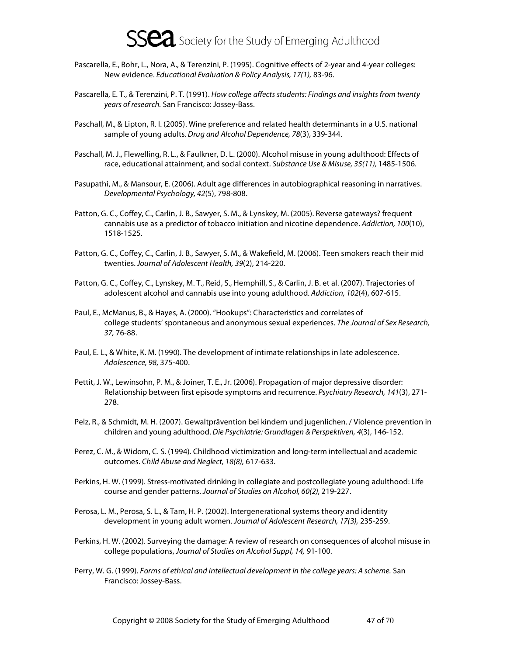

- Pascarella, E., Bohr, L., Nora, A., & Terenzini, P. (1995). Cognitive effects of 2-year and 4-year colleges: New evidence. Educational Evaluation & Policy Analysis, 17(1), 83-96.
- Pascarella, E. T., & Terenzini, P. T. (1991). How college affects students: Findings and insights from twenty years of research. San Francisco: Jossey-Bass.
- Paschall, M., & Lipton, R. I. (2005). Wine preference and related health determinants in a U.S. national sample of young adults. Drug and Alcohol Dependence, 78(3), 339-344.
- Paschall, M. J., Flewelling, R. L., & Faulkner, D. L. (2000). Alcohol misuse in young adulthood: Effects of race, educational attainment, and social context. Substance Use & Misuse, 35(11), 1485-1506.
- Pasupathi, M., & Mansour, E. (2006). Adult age differences in autobiographical reasoning in narratives. Developmental Psychology, 42(5), 798-808.
- Patton, G. C., Coffey, C., Carlin, J. B., Sawyer, S. M., & Lynskey, M. (2005). Reverse gateways? frequent cannabis use as a predictor of tobacco initiation and nicotine dependence. Addiction, 100(10), 1518-1525.
- Patton, G. C., Coffey, C., Carlin, J. B., Sawyer, S. M., & Wakefield, M. (2006). Teen smokers reach their mid twenties. Journal of Adolescent Health, 39(2), 214-220.
- Patton, G. C., Coffey, C., Lynskey, M. T., Reid, S., Hemphill, S., & Carlin, J. B. et al. (2007). Trajectories of adolescent alcohol and cannabis use into young adulthood. Addiction, 102(4), 607-615.
- Paul, E., McManus, B., & Hayes, A. (2000). "Hookups": Characteristics and correlates of college students' spontaneous and anonymous sexual experiences. The Journal of Sex Research, 37, 76-88.
- Paul, E. L., & White, K. M. (1990). The development of intimate relationships in late adolescence. Adolescence, 98, 375-400.
- Pettit, J. W., Lewinsohn, P. M., & Joiner, T. E., Jr. (2006). Propagation of major depressive disorder: Relationship between first episode symptoms and recurrence. Psychiatry Research, 141(3), 271- 278.
- Pelz, R., & Schmidt, M. H. (2007). Gewaltprävention bei kindern und jugenlichen. / Violence prevention in children and young adulthood. Die Psychiatrie: Grundlagen & Perspektiven, 4(3), 146-152.
- Perez, C. M., & Widom, C. S. (1994). Childhood victimization and long-term intellectual and academic outcomes. Child Abuse and Neglect, 18(8), 617-633.
- Perkins, H. W. (1999). Stress-motivated drinking in collegiate and postcollegiate young adulthood: Life course and gender patterns. Journal of Studies on Alcohol, 60(2), 219-227.
- Perosa, L. M., Perosa, S. L., & Tam, H. P. (2002). Intergenerational systems theory and identity development in young adult women. Journal of Adolescent Research, 17(3), 235-259.
- Perkins, H. W. (2002). Surveying the damage: A review of research on consequences of alcohol misuse in college populations, Journal of Studies on Alcohol Suppl, 14, 91-100.
- Perry, W. G. (1999). Forms of ethical and intellectual development in the college years: A scheme. San Francisco: Jossey-Bass.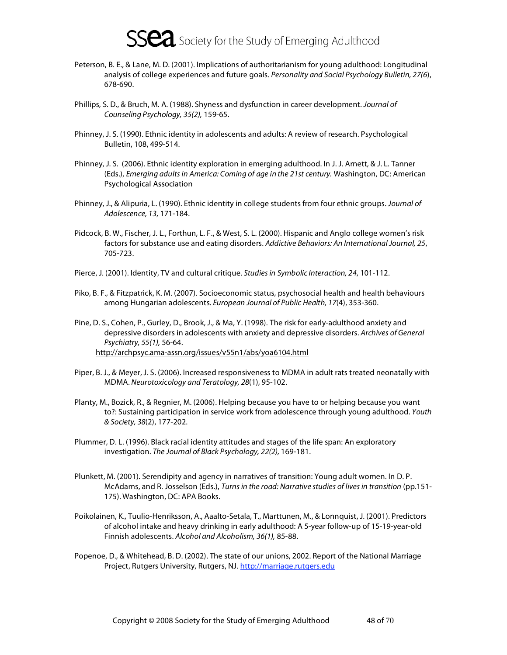- Peterson, B. E., & Lane, M. D. (2001). Implications of authoritarianism for young adulthood: Longitudinal analysis of college experiences and future goals. Personality and Social Psychology Bulletin, 27(6), 678-690.
- Phillips, S. D., & Bruch, M. A. (1988). Shyness and dysfunction in career development. Journal of Counseling Psychology, 35(2), 159-65.
- Phinney, J. S. (1990). Ethnic identity in adolescents and adults: A review of research. Psychological Bulletin, 108, 499-514.
- Phinney, J. S. (2006). Ethnic identity exploration in emerging adulthood. In J. J. Arnett, & J. L. Tanner (Eds.), Emerging adults in America: Coming of age in the 21st century. Washington, DC: American Psychological Association
- Phinney, J., & Alipuria, L. (1990). Ethnic identity in college students from four ethnic groups. Journal of Adolescence, 13, 171-184.
- Pidcock, B. W., Fischer, J. L., Forthun, L. F., & West, S. L. (2000). Hispanic and Anglo college women's risk factors for substance use and eating disorders. Addictive Behaviors: An International Journal, 25, 705-723.
- Pierce, J. (2001). Identity, TV and cultural critique. Studies in Symbolic Interaction, 24, 101-112.
- Piko, B. F., & Fitzpatrick, K. M. (2007). Socioeconomic status, psychosocial health and health behaviours among Hungarian adolescents. European Journal of Public Health, 17(4), 353-360.
- Pine, D. S., Cohen, P., Gurley, D., Brook, J., & Ma, Y. (1998). The risk for early-adulthood anxiety and depressive disorders in adolescents with anxiety and depressive disorders. Archives of General Psychiatry, 55(1), 56-64. http://archpsyc.ama-assn.org/issues/v55n1/abs/yoa6104.html
- Piper, B. J., & Meyer, J. S. (2006). Increased responsiveness to MDMA in adult rats treated neonatally with MDMA. Neurotoxicology and Teratology, 28(1), 95-102.
- Planty, M., Bozick, R., & Regnier, M. (2006). Helping because you have to or helping because you want to?: Sustaining participation in service work from adolescence through young adulthood. Youth & Society, 38(2), 177-202.
- Plummer, D. L. (1996). Black racial identity attitudes and stages of the life span: An exploratory investigation. The Journal of Black Psychology, 22(2), 169-181.
- Plunkett, M. (2001). Serendipity and agency in narratives of transition: Young adult women. In D. P. McAdams, and R. Josselson (Eds.), Turns in the road: Narrative studies of lives in transition (pp.151-175). Washington, DC: APA Books.
- Poikolainen, K., Tuulio-Henriksson, A., Aaalto-Setala, T., Marttunen, M., & Lonnquist, J. (2001). Predictors of alcohol intake and heavy drinking in early adulthood: A 5-year follow-up of 15-19-year-old Finnish adolescents. Alcohol and Alcoholism, 36(1), 85-88.
- Popenoe, D., & Whitehead, B. D. (2002). The state of our unions, 2002. Report of the National Marriage Project, Rutgers University, Rutgers, NJ. http://marriage.rutgers.edu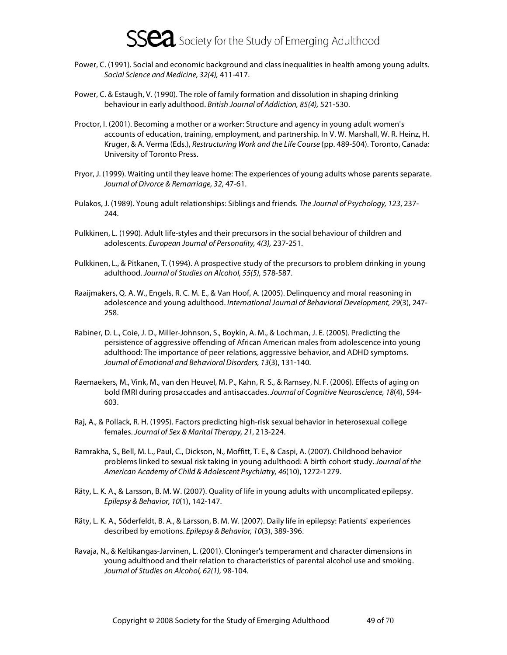

- Power, C. (1991). Social and economic background and class inequalities in health among young adults. Social Science and Medicine, 32(4), 411-417.
- Power, C. & Estaugh, V. (1990). The role of family formation and dissolution in shaping drinking behaviour in early adulthood. British Journal of Addiction, 85(4), 521-530.
- Proctor, I. (2001). Becoming a mother or a worker: Structure and agency in young adult women's accounts of education, training, employment, and partnership. In V. W. Marshall, W. R. Heinz, H. Kruger, & A. Verma (Eds.), Restructuring Work and the Life Course (pp. 489-504). Toronto, Canada: University of Toronto Press.
- Pryor, J. (1999). Waiting until they leave home: The experiences of young adults whose parents separate. Journal of Divorce & Remarriage, 32, 47-61.
- Pulakos, J. (1989). Young adult relationships: Siblings and friends. The Journal of Psychology, 123, 237- 244.
- Pulkkinen, L. (1990). Adult life-styles and their precursors in the social behaviour of children and adolescents. European Journal of Personality, 4(3), 237-251.
- Pulkkinen, L., & Pitkanen, T. (1994). A prospective study of the precursors to problem drinking in young adulthood. Journal of Studies on Alcohol, 55(5), 578-587.
- Raaijmakers, Q. A. W., Engels, R. C. M. E., & Van Hoof, A. (2005). Delinquency and moral reasoning in adolescence and young adulthood. International Journal of Behavioral Development, 29(3), 247- 258.
- Rabiner, D. L., Coie, J. D., Miller-Johnson, S., Boykin, A. M., & Lochman, J. E. (2005). Predicting the persistence of aggressive offending of African American males from adolescence into young adulthood: The importance of peer relations, aggressive behavior, and ADHD symptoms. Journal of Emotional and Behavioral Disorders, 13(3), 131-140.
- Raemaekers, M., Vink, M., van den Heuvel, M. P., Kahn, R. S., & Ramsey, N. F. (2006). Effects of aging on bold fMRI during prosaccades and antisaccades. Journal of Cognitive Neuroscience, 18(4), 594- 603.
- Raj, A., & Pollack, R. H. (1995). Factors predicting high-risk sexual behavior in heterosexual college females. Journal of Sex & Marital Therapy, 21, 213-224.
- Ramrakha, S., Bell, M. L., Paul, C., Dickson, N., Moffitt, T. E., & Caspi, A. (2007). Childhood behavior problems linked to sexual risk taking in young adulthood: A birth cohort study. Journal of the American Academy of Child & Adolescent Psychiatry, 46(10), 1272-1279.
- Räty, L. K. A., & Larsson, B. M. W. (2007). Quality of life in young adults with uncomplicated epilepsy. Epilepsy & Behavior, 10(1), 142-147.
- Räty, L. K. A., Söderfeldt, B. A., & Larsson, B. M. W. (2007). Daily life in epilepsy: Patients' experiences described by emotions. Epilepsy & Behavior, 10(3), 389-396.
- Ravaja, N., & Keltikangas-Jarvinen, L. (2001). Cloninger's temperament and character dimensions in young adulthood and their relation to characteristics of parental alcohol use and smoking. Journal of Studies on Alcohol, 62(1), 98-104.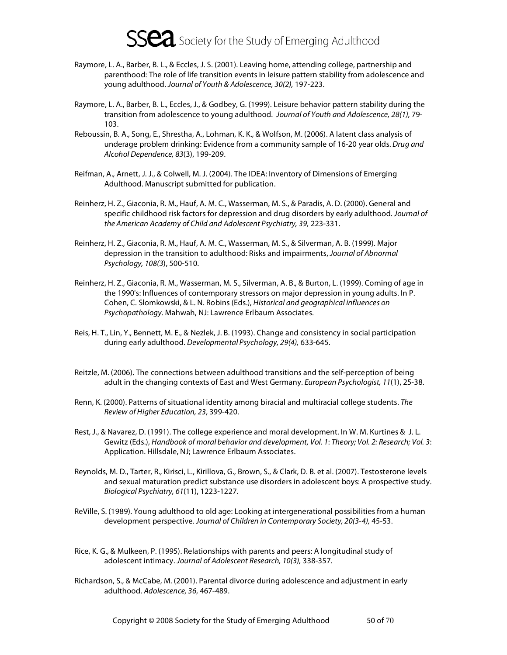- Raymore, L. A., Barber, B. L., & Eccles, J. S. (2001). Leaving home, attending college, partnership and parenthood: The role of life transition events in leisure pattern stability from adolescence and young adulthood. Journal of Youth & Adolescence, 30(2), 197-223.
- Raymore, L. A., Barber, B. L., Eccles, J., & Godbey, G. (1999). Leisure behavior pattern stability during the transition from adolescence to young adulthood. Journal of Youth and Adolescence, 28(1), 79- 103.
- Reboussin, B. A., Song, E., Shrestha, A., Lohman, K. K., & Wolfson, M. (2006). A latent class analysis of underage problem drinking: Evidence from a community sample of 16-20 year olds. Drug and Alcohol Dependence, 83(3), 199-209.
- Reifman, A., Arnett, J. J., & Colwell, M. J. (2004). The IDEA: Inventory of Dimensions of Emerging Adulthood. Manuscript submitted for publication.
- Reinherz, H. Z., Giaconia, R. M., Hauf, A. M. C., Wasserman, M. S., & Paradis, A. D. (2000). General and specific childhood risk factors for depression and drug disorders by early adulthood. Journal of the American Academy of Child and Adolescent Psychiatry, 39, 223-331.
- Reinherz, H. Z., Giaconia, R. M., Hauf, A. M. C., Wasserman, M. S., & Silverman, A. B. (1999). Major depression in the transition to adulthood: Risks and impairments, Journal of Abnormal Psychology, 108(3), 500-510.
- Reinherz, H. Z., Giaconia, R. M., Wasserman, M. S., Silverman, A. B., & Burton, L. (1999). Coming of age in the 1990's: Influences of contemporary stressors on major depression in young adults. In P. Cohen, C. Slomkowski, & L. N. Robins (Eds.), Historical and geographical influences on Psychopathology. Mahwah, NJ: Lawrence Erlbaum Associates.
- Reis, H. T., Lin, Y., Bennett, M. E., & Nezlek, J. B. (1993). Change and consistency in social participation during early adulthood. Developmental Psychology, 29(4), 633-645.
- Reitzle, M. (2006). The connections between adulthood transitions and the self-perception of being adult in the changing contexts of East and West Germany. European Psychologist, 11(1), 25-38.
- Renn, K. (2000). Patterns of situational identity among biracial and multiracial college students. The Review of Higher Education, 23, 399-420.
- Rest, J., & Navarez, D. (1991). The college experience and moral development. In W. M. Kurtines & J. L. Gewitz (Eds.), Handbook of moral behavior and development, Vol. 1: Theory; Vol. 2: Research; Vol. 3: Application. Hillsdale, NJ; Lawrence Erlbaum Associates.
- Reynolds, M. D., Tarter, R., Kirisci, L., Kirillova, G., Brown, S., & Clark, D. B. et al. (2007). Testosterone levels and sexual maturation predict substance use disorders in adolescent boys: A prospective study. Biological Psychiatry, 61(11), 1223-1227.
- ReVille, S. (1989). Young adulthood to old age: Looking at intergenerational possibilities from a human development perspective. Journal of Children in Contemporary Society, 20(3-4), 45-53.
- Rice, K. G., & Mulkeen, P. (1995). Relationships with parents and peers: A longitudinal study of adolescent intimacy. Journal of Adolescent Research, 10(3), 338-357.
- Richardson, S., & McCabe, M. (2001). Parental divorce during adolescence and adjustment in early adulthood. Adolescence, 36, 467-489.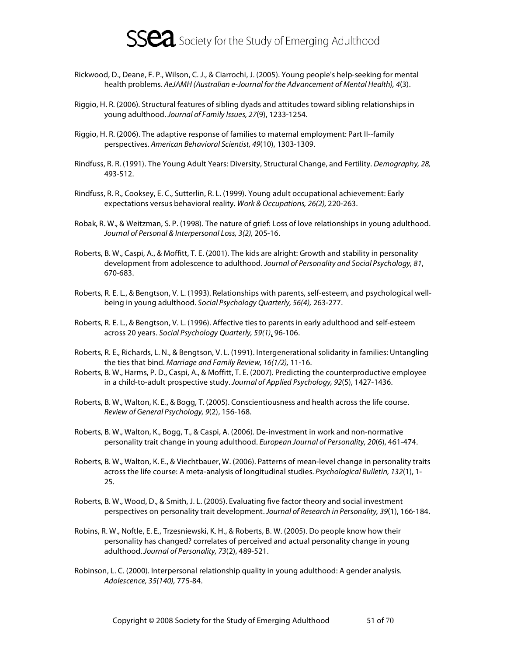

- Rickwood, D., Deane, F. P., Wilson, C. J., & Ciarrochi, J. (2005). Young people's help-seeking for mental health problems. AeJAMH (Australian e-Journal for the Advancement of Mental Health), 4(3).
- Riggio, H. R. (2006). Structural features of sibling dyads and attitudes toward sibling relationships in young adulthood. Journal of Family Issues, 27(9), 1233-1254.
- Riggio, H. R. (2006). The adaptive response of families to maternal employment: Part II--family perspectives. American Behavioral Scientist, 49(10), 1303-1309.
- Rindfuss, R. R. (1991). The Young Adult Years: Diversity, Structural Change, and Fertility. Demography, 28, 493-512.
- Rindfuss, R. R., Cooksey, E. C., Sutterlin, R. L. (1999). Young adult occupational achievement: Early expectations versus behavioral reality. Work & Occupations, 26(2), 220-263.
- Robak, R. W., & Weitzman, S. P. (1998). The nature of grief: Loss of love relationships in young adulthood. Journal of Personal & Interpersonal Loss, 3(2), 205-16.
- Roberts, B. W., Caspi, A., & Moffitt, T. E. (2001). The kids are alright: Growth and stability in personality development from adolescence to adulthood. Journal of Personality and Social Psychology, 81, 670-683.
- Roberts, R. E. L., & Bengtson, V. L. (1993). Relationships with parents, self-esteem, and psychological wellbeing in young adulthood. Social Psychology Quarterly, 56(4), 263-277.
- Roberts, R. E. L., & Bengtson, V. L. (1996). Affective ties to parents in early adulthood and self-esteem across 20 years. Social Psychology Quarterly, 59(1), 96-106.
- Roberts, R. E., Richards, L. N., & Bengtson, V. L. (1991). Intergenerational solidarity in families: Untangling the ties that bind. Marriage and Family Review, 16(1/2), 11-16.
- Roberts, B. W., Harms, P. D., Caspi, A., & Moffitt, T. E. (2007). Predicting the counterproductive employee in a child-to-adult prospective study. Journal of Applied Psychology, 92(5), 1427-1436.
- Roberts, B. W., Walton, K. E., & Bogg, T. (2005). Conscientiousness and health across the life course. Review of General Psychology, 9(2), 156-168.
- Roberts, B. W., Walton, K., Bogg, T., & Caspi, A. (2006). De-investment in work and non-normative personality trait change in young adulthood. European Journal of Personality, 20(6), 461-474.
- Roberts, B. W., Walton, K. E., & Viechtbauer, W. (2006). Patterns of mean-level change in personality traits across the life course: A meta-analysis of longitudinal studies. Psychological Bulletin, 132(1), 1- 25.
- Roberts, B. W., Wood, D., & Smith, J. L. (2005). Evaluating five factor theory and social investment perspectives on personality trait development. Journal of Research in Personality, 39(1), 166-184.
- Robins, R. W., Noftle, E. E., Trzesniewski, K. H., & Roberts, B. W. (2005). Do people know how their personality has changed? correlates of perceived and actual personality change in young adulthood. Journal of Personality, 73(2), 489-521.
- Robinson, L. C. (2000). Interpersonal relationship quality in young adulthood: A gender analysis. Adolescence, 35(140), 775-84.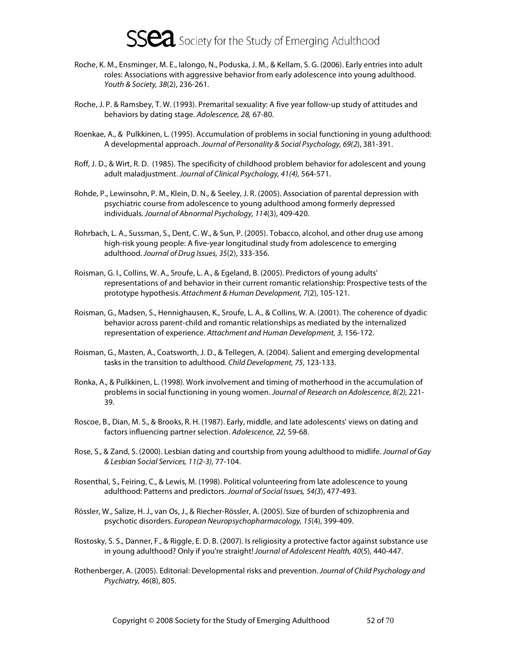- Roche, K. M., Ensminger, M. E., Ialongo, N., Poduska, J. M., & Kellam, S. G. (2006). Early entries into adult roles: Associations with aggressive behavior from early adolescence into young adulthood. Youth & Society, 38(2), 236-261.
- Roche, J. P. & Ramsbey, T. W. (1993). Premarital sexuality: A five year follow-up study of attitudes and behaviors by dating stage. Adolescence, 28, 67-80.
- Roenkae, A., & Pulkkinen, L. (1995). Accumulation of problems in social functioning in young adulthood: A developmental approach. Journal of Personality & Social Psychology, 69(2), 381-391.
- Roff, J. D., & Wirt, R. D. (1985). The specificity of childhood problem behavior for adolescent and young adult maladjustment. Journal of Clinical Psychology, 41(4), 564-571.
- Rohde, P., Lewinsohn, P. M., Klein, D. N., & Seeley, J. R. (2005). Association of parental depression with psychiatric course from adolescence to young adulthood among formerly depressed individuals. Journal of Abnormal Psychology, 114(3), 409-420.
- Rohrbach, L. A., Sussman, S., Dent, C. W., & Sun, P. (2005). Tobacco, alcohol, and other drug use among high-risk young people: A five-year longitudinal study from adolescence to emerging adulthood. Journal of Drug Issues, 35(2), 333-356.
- Roisman, G. I., Collins, W. A., Sroufe, L. A., & Egeland, B. (2005). Predictors of young adults' representations of and behavior in their current romantic relationship: Prospective tests of the prototype hypothesis. Attachment & Human Development, 7(2), 105-121.
- Roisman, G., Madsen, S., Hennighausen, K., Sroufe, L. A., & Collins, W. A. (2001). The coherence of dyadic behavior across parent-child and romantic relationships as mediated by the internalized representation of experience. Attachment and Human Development, 3, 156-172.
- Roisman, G., Masten, A., Coatsworth, J. D., & Tellegen, A. (2004). Salient and emerging developmental tasks in the transition to adulthood. Child Development, 75, 123-133.
- Ronka, A., & Pulkkinen, L. (1998). Work involvement and timing of motherhood in the accumulation of problems in social functioning in young women. Journal of Research on Adolescence, 8(2), 221-39.
- Roscoe, B., Dian, M. S., & Brooks, R. H. (1987). Early, middle, and late adolescents' views on dating and factors influencing partner selection. Adolescence, 22, 59-68.
- Rose, S., & Zand, S. (2000). Lesbian dating and courtship from young adulthood to midlife. Journal of Gay & Lesbian Social Services, 11(2-3), 77-104.
- Rosenthal, S., Feiring, C., & Lewis, M. (1998). Political volunteering from late adolescence to young adulthood: Patterns and predictors. Journal of Social Issues, 54(3), 477-493.
- Rössler, W., Salize, H. J., van Os, J., & Riecher-Rössler, A. (2005). Size of burden of schizophrenia and psychotic disorders. European Neuropsychopharmacology, 15(4), 399-409.
- Rostosky, S. S., Danner, F., & Riggle, E. D. B. (2007). Is religiosity a protective factor against substance use in young adulthood? Only if you're straight! Journal of Adolescent Health, 40(5), 440-447.
- Rothenberger, A. (2005). Editorial: Developmental risks and prevention. Journal of Child Psychology and Psychiatry, 46(8), 805.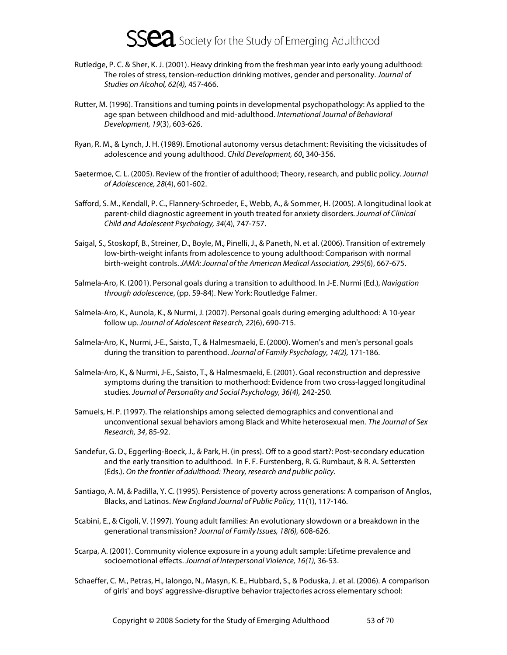- Rutledge, P. C. & Sher, K. J. (2001). Heavy drinking from the freshman year into early young adulthood: The roles of stress, tension-reduction drinking motives, gender and personality. Journal of Studies on Alcohol, 62(4), 457-466.
- Rutter, M. (1996). Transitions and turning points in developmental psychopathology: As applied to the age span between childhood and mid-adulthood. International Journal of Behavioral Development, 19(3), 603-626.
- Ryan, R. M., & Lynch, J. H. (1989). Emotional autonomy versus detachment: Revisiting the vicissitudes of adolescence and young adulthood. Child Development, 60, 340-356.
- Saetermoe, C. L. (2005). Review of the frontier of adulthood; Theory, research, and public policy. Journal of Adolescence, 28(4), 601-602.
- Safford, S. M., Kendall, P. C., Flannery-Schroeder, E., Webb, A., & Sommer, H. (2005). A longitudinal look at parent-child diagnostic agreement in youth treated for anxiety disorders. Journal of Clinical Child and Adolescent Psychology, 34(4), 747-757.
- Saigal, S., Stoskopf, B., Streiner, D., Boyle, M., Pinelli, J., & Paneth, N. et al. (2006). Transition of extremely low-birth-weight infants from adolescence to young adulthood: Comparison with normal birth-weight controls. JAMA: Journal of the American Medical Association, 295(6), 667-675.
- Salmela-Aro, K. (2001). Personal goals during a transition to adulthood. In J-E. Nurmi (Ed.), Navigation through adolescence, (pp. 59-84). New York: Routledge Falmer.
- Salmela-Aro, K., Aunola, K., & Nurmi, J. (2007). Personal goals during emerging adulthood: A 10-year follow up. Journal of Adolescent Research, 22(6), 690-715.
- Salmela-Aro, K., Nurmi, J-E., Saisto, T., & Halmesmaeki, E. (2000). Women's and men's personal goals during the transition to parenthood. Journal of Family Psychology, 14(2), 171-186.
- Salmela-Aro, K., & Nurmi, J-E., Saisto, T., & Halmesmaeki, E. (2001). Goal reconstruction and depressive symptoms during the transition to motherhood: Evidence from two cross-lagged longitudinal studies. Journal of Personality and Social Psychology, 36(4), 242-250.
- Samuels, H. P. (1997). The relationships among selected demographics and conventional and unconventional sexual behaviors among Black and White heterosexual men. The Journal of Sex Research, 34, 85-92.
- Sandefur, G. D., Eggerling-Boeck, J., & Park, H. (in press). Off to a good start?: Post-secondary education and the early transition to adulthood. In F. F. Furstenberg, R. G. Rumbaut, & R. A. Settersten (Eds.). On the frontier of adulthood: Theory, research and public policy.
- Santiago, A. M, & Padilla, Y. C. (1995). Persistence of poverty across generations: A comparison of Anglos, Blacks, and Latinos. New England Journal of Public Policy, 11(1), 117-146.
- Scabini, E., & Cigoli, V. (1997). Young adult families: An evolutionary slowdown or a breakdown in the generational transmission? Journal of Family Issues, 18(6), 608-626.
- Scarpa, A. (2001). Community violence exposure in a young adult sample: Lifetime prevalence and socioemotional effects. Journal of Interpersonal Violence, 16(1), 36-53.
- Schaeffer, C. M., Petras, H., Ialongo, N., Masyn, K. E., Hubbard, S., & Poduska, J. et al. (2006). A comparison of girls' and boys' aggressive-disruptive behavior trajectories across elementary school: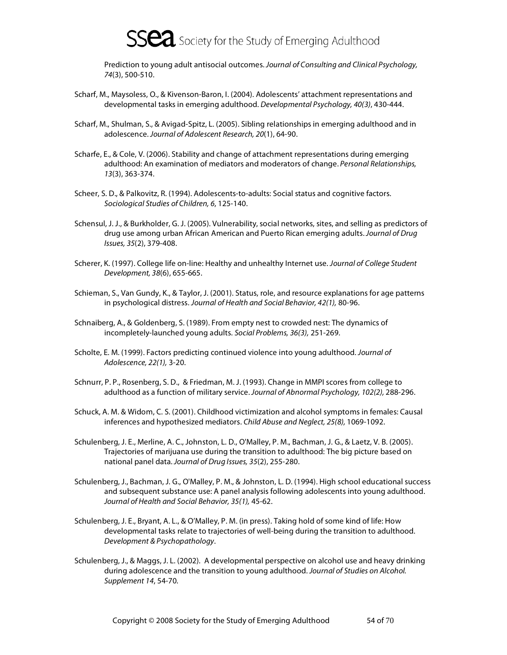Prediction to young adult antisocial outcomes. Journal of Consulting and Clinical Psychology, 74(3), 500-510.

- Scharf, M., Maysoless, O., & Kivenson-Baron, I. (2004). Adolescents' attachment representations and developmental tasks in emerging adulthood. Developmental Psychology, 40(3), 430-444.
- Scharf, M., Shulman, S., & Avigad-Spitz, L. (2005). Sibling relationships in emerging adulthood and in adolescence. Journal of Adolescent Research, 20(1), 64-90.
- Scharfe, E., & Cole, V. (2006). Stability and change of attachment representations during emerging adulthood: An examination of mediators and moderators of change. Personal Relationships, 13(3), 363-374.
- Scheer, S. D., & Palkovitz, R. (1994). Adolescents-to-adults: Social status and cognitive factors. Sociological Studies of Children, 6, 125-140.
- Schensul, J. J., & Burkholder, G. J. (2005). Vulnerability, social networks, sites, and selling as predictors of drug use among urban African American and Puerto Rican emerging adults. Journal of Drug Issues, 35(2), 379-408.
- Scherer, K. (1997). College life on-line: Healthy and unhealthy Internet use. Journal of College Student Development, 38(6), 655-665.
- Schieman, S., Van Gundy, K., & Taylor, J. (2001). Status, role, and resource explanations for age patterns in psychological distress. Journal of Health and Social Behavior, 42(1), 80-96.
- Schnaiberg, A., & Goldenberg, S. (1989). From empty nest to crowded nest: The dynamics of incompletely-launched young adults. Social Problems, 36(3), 251-269.
- Scholte, E. M. (1999). Factors predicting continued violence into young adulthood. Journal of Adolescence, 22(1), 3-20.
- Schnurr, P. P., Rosenberg, S. D., & Friedman, M. J. (1993). Change in MMPI scores from college to adulthood as a function of military service. Journal of Abnormal Psychology, 102(2), 288-296.
- Schuck, A. M. & Widom, C. S. (2001). Childhood victimization and alcohol symptoms in females: Causal inferences and hypothesized mediators. Child Abuse and Neglect, 25(8), 1069-1092.
- Schulenberg, J. E., Merline, A. C., Johnston, L. D., O'Malley, P. M., Bachman, J. G., & Laetz, V. B. (2005). Trajectories of marijuana use during the transition to adulthood: The big picture based on national panel data. Journal of Drug Issues, 35(2), 255-280.
- Schulenberg, J., Bachman, J. G., O'Malley, P. M., & Johnston, L. D. (1994). High school educational success and subsequent substance use: A panel analysis following adolescents into young adulthood. Journal of Health and Social Behavior, 35(1), 45-62.
- Schulenberg, J. E., Bryant, A. L., & O'Malley, P. M. (in press). Taking hold of some kind of life: How developmental tasks relate to trajectories of well-being during the transition to adulthood. Development & Psychopathology.
- Schulenberg, J., & Maggs, J. L. (2002). A developmental perspective on alcohol use and heavy drinking during adolescence and the transition to young adulthood. Journal of Studies on Alcohol. Supplement 14, 54-70.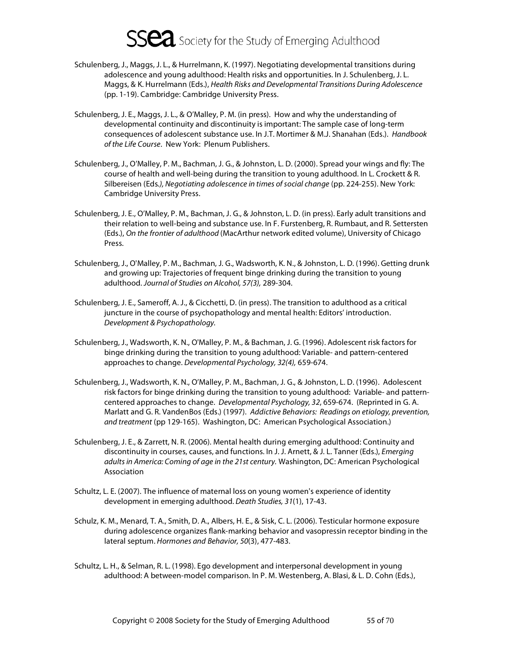- Schulenberg, J., Maggs, J. L., & Hurrelmann, K. (1997). Negotiating developmental transitions during adolescence and young adulthood: Health risks and opportunities. In J. Schulenberg, J. L. Maggs, & K. Hurrelmann (Eds.), Health Risks and Developmental Transitions During Adolescence (pp. 1-19). Cambridge: Cambridge University Press.
- Schulenberg, J. E., Maggs, J. L., & O'Malley, P. M. (in press). How and why the understanding of developmental continuity and discontinuity is important: The sample case of long-term consequences of adolescent substance use. In J.T. Mortimer & M.J. Shanahan (Eds.). Handbook of the Life Course. New York: Plenum Publishers.
- Schulenberg, J., O'Malley, P. M., Bachman, J. G., & Johnston, L. D. (2000). Spread your wings and fly: The course of health and well-being during the transition to young adulthood. In L. Crockett & R. Silbereisen (Eds.), Negotiating adolescence in times of social change (pp. 224-255). New York: Cambridge University Press.
- Schulenberg, J. E., O'Malley, P. M., Bachman, J. G., & Johnston, L. D. (in press). Early adult transitions and their relation to well-being and substance use. In F. Furstenberg, R. Rumbaut, and R. Settersten (Eds.), On the frontier of adulthood (MacArthur network edited volume), University of Chicago Press.
- Schulenberg, J., O'Malley, P. M., Bachman, J. G., Wadsworth, K. N., & Johnston, L. D. (1996). Getting drunk and growing up: Trajectories of frequent binge drinking during the transition to young adulthood. Journal of Studies on Alcohol, 57(3), 289-304.
- Schulenberg, J. E., Sameroff, A. J., & Cicchetti, D. (in press). The transition to adulthood as a critical juncture in the course of psychopathology and mental health: Editors' introduction. Development & Psychopathology.
- Schulenberg, J., Wadsworth, K. N., O'Malley, P. M., & Bachman, J. G. (1996). Adolescent risk factors for binge drinking during the transition to young adulthood: Variable- and pattern-centered approaches to change. Developmental Psychology, 32(4), 659-674.
- Schulenberg, J., Wadsworth, K. N., O'Malley, P. M., Bachman, J. G., & Johnston, L. D. (1996). Adolescent risk factors for binge drinking during the transition to young adulthood: Variable- and patterncentered approaches to change. Developmental Psychology, 32, 659-674. (Reprinted in G. A. Marlatt and G. R. VandenBos (Eds.) (1997). Addictive Behaviors: Readings on etiology, prevention, and treatment (pp 129-165). Washington, DC: American Psychological Association.)
- Schulenberg, J. E., & Zarrett, N. R. (2006). Mental health during emerging adulthood: Continuity and discontinuity in courses, causes, and functions. In J. J. Arnett, & J. L. Tanner (Eds.), Emerging adults in America: Coming of age in the 21st century. Washington, DC: American Psychological Association
- Schultz, L. E. (2007). The influence of maternal loss on young women's experience of identity development in emerging adulthood. Death Studies, 31(1), 17-43.
- Schulz, K. M., Menard, T. A., Smith, D. A., Albers, H. E., & Sisk, C. L. (2006). Testicular hormone exposure during adolescence organizes flank-marking behavior and vasopressin receptor binding in the lateral septum. Hormones and Behavior, 50(3), 477-483.
- Schultz, L. H., & Selman, R. L. (1998). Ego development and interpersonal development in young adulthood: A between-model comparison. In P. M. Westenberg, A. Blasi, & L. D. Cohn (Eds.),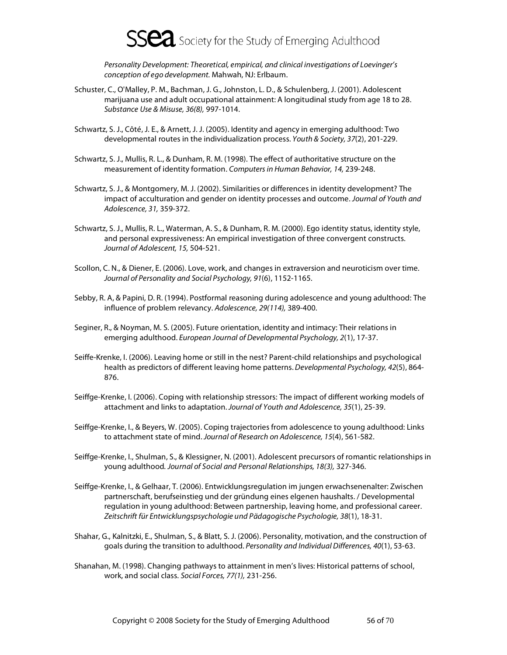

Personality Development: Theoretical, empirical, and clinical investigations of Loevinger's conception of ego development. Mahwah, NJ: Erlbaum.

- Schuster, C., O'Malley, P. M., Bachman, J. G., Johnston, L. D., & Schulenberg, J. (2001). Adolescent marijuana use and adult occupational attainment: A longitudinal study from age 18 to 28. Substance Use & Misuse, 36(8), 997-1014.
- Schwartz, S. J., Côté, J. E., & Arnett, J. J. (2005). Identity and agency in emerging adulthood: Two developmental routes in the individualization process. Youth & Society, 37(2), 201-229.
- Schwartz, S. J., Mullis, R. L., & Dunham, R. M. (1998). The effect of authoritative structure on the measurement of identity formation. Computers in Human Behavior, 14, 239-248.
- Schwartz, S. J., & Montgomery, M. J. (2002). Similarities or differences in identity development? The impact of acculturation and gender on identity processes and outcome. Journal of Youth and Adolescence, 31, 359-372.
- Schwartz, S. J., Mullis, R. L., Waterman, A. S., & Dunham, R. M. (2000). Ego identity status, identity style, and personal expressiveness: An empirical investigation of three convergent constructs. Journal of Adolescent, 15, 504-521.
- Scollon, C. N., & Diener, E. (2006). Love, work, and changes in extraversion and neuroticism over time. Journal of Personality and Social Psychology, 91(6), 1152-1165.
- Sebby, R. A, & Papini, D. R. (1994). Postformal reasoning during adolescence and young adulthood: The influence of problem relevancy. Adolescence, 29(114), 389-400.
- Seginer, R., & Noyman, M. S. (2005). Future orientation, identity and intimacy: Their relations in emerging adulthood. European Journal of Developmental Psychology, 2(1), 17-37.
- Seiffe-Krenke, I. (2006). Leaving home or still in the nest? Parent-child relationships and psychological health as predictors of different leaving home patterns. Developmental Psychology, 42(5), 864-876.
- Seiffge-Krenke, I. (2006). Coping with relationship stressors: The impact of different working models of attachment and links to adaptation. Journal of Youth and Adolescence, 35(1), 25-39.
- Seiffge-Krenke, I., & Beyers, W. (2005). Coping trajectories from adolescence to young adulthood: Links to attachment state of mind. Journal of Research on Adolescence, 15(4), 561-582.
- Seiffge-Krenke, I., Shulman, S., & Klessigner, N. (2001). Adolescent precursors of romantic relationships in young adulthood. Journal of Social and Personal Relationships, 18(3), 327-346.
- Seiffge-Krenke, I., & Gelhaar, T. (2006). Entwicklungsregulation im jungen erwachsenenalter: Zwischen partnerschaft, berufseinstieg und der gründung eines elgenen haushalts. / Developmental regulation in young adulthood: Between partnership, leaving home, and professional career. Zeitschrift für Entwicklungspsychologie und Pädagogische Psychologie, 38(1), 18-31.
- Shahar, G., Kalnitzki, E., Shulman, S., & Blatt, S. J. (2006). Personality, motivation, and the construction of goals during the transition to adulthood. Personality and Individual Differences, 40(1), 53-63.
- Shanahan, M. (1998). Changing pathways to attainment in men's lives: Historical patterns of school, work, and social class. Social Forces, 77(1), 231-256.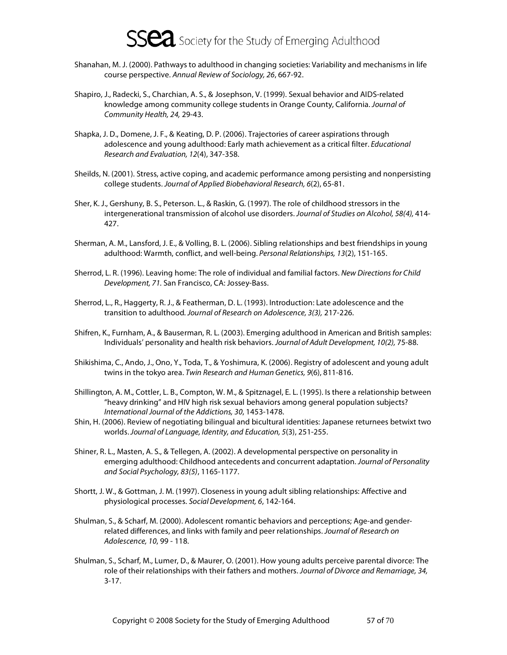- Shanahan, M. J. (2000). Pathways to adulthood in changing societies: Variability and mechanisms in life course perspective. Annual Review of Sociology, 26, 667-92.
- Shapiro, J., Radecki, S., Charchian, A. S., & Josephson, V. (1999). Sexual behavior and AIDS-related knowledge among community college students in Orange County, California. Journal of Community Health, 24, 29-43.
- Shapka, J. D., Domene, J. F., & Keating, D. P. (2006). Trajectories of career aspirations through adolescence and young adulthood: Early math achievement as a critical filter. Educational Research and Evaluation, 12(4), 347-358.
- Sheilds, N. (2001). Stress, active coping, and academic performance among persisting and nonpersisting college students. Journal of Applied Biobehavioral Research, 6(2), 65-81.
- Sher, K. J., Gershuny, B. S., Peterson. L., & Raskin, G. (1997). The role of childhood stressors in the intergenerational transmission of alcohol use disorders. Journal of Studies on Alcohol, 58(4), 414- 427.
- Sherman, A. M., Lansford, J. E., & Volling, B. L. (2006). Sibling relationships and best friendships in young adulthood: Warmth, conflict, and well-being. Personal Relationships, 13(2), 151-165.
- Sherrod, L. R. (1996). Leaving home: The role of individual and familial factors. New Directions for Child Development, 71. San Francisco, CA: Jossey-Bass.
- Sherrod, L., R., Haggerty, R. J., & Featherman, D. L. (1993). Introduction: Late adolescence and the transition to adulthood. Journal of Research on Adolescence, 3(3), 217-226.
- Shifren, K., Furnham, A., & Bauserman, R. L. (2003). Emerging adulthood in American and British samples: Individuals' personality and health risk behaviors. Journal of Adult Development, 10(2), 75-88.
- Shikishima, C., Ando, J., Ono, Y., Toda, T., & Yoshimura, K. (2006). Registry of adolescent and young adult twins in the tokyo area. Twin Research and Human Genetics, 9(6), 811-816.
- Shillington, A. M., Cottler, L. B., Compton, W. M., & Spitznagel, E. L. (1995). Is there a relationship between "heavy drinking" and HIV high risk sexual behaviors among general population subjects? International Journal of the Addictions, 30, 1453-1478.
- Shin, H. (2006). Review of negotiating bilingual and bicultural identities: Japanese returnees betwixt two worlds. Journal of Language, Identity, and Education, 5(3), 251-255.
- Shiner, R. L., Masten, A. S., & Tellegen, A. (2002). A developmental perspective on personality in emerging adulthood: Childhood antecedents and concurrent adaptation. Journal of Personality and Social Psychology, 83(5), 1165-1177.
- Shortt, J. W., & Gottman, J. M. (1997). Closeness in young adult sibling relationships: Affective and physiological processes. Social Development, 6, 142-164.
- Shulman, S., & Scharf, M. (2000). Adolescent romantic behaviors and perceptions; Age-and genderrelated differences, and links with family and peer relationships. Journal of Research on Adolescence, 10, 99 - 118.
- Shulman, S., Scharf, M., Lumer, D., & Maurer, O. (2001). How young adults perceive parental divorce: The role of their relationships with their fathers and mothers. Journal of Divorce and Remarriage, 34, 3-17.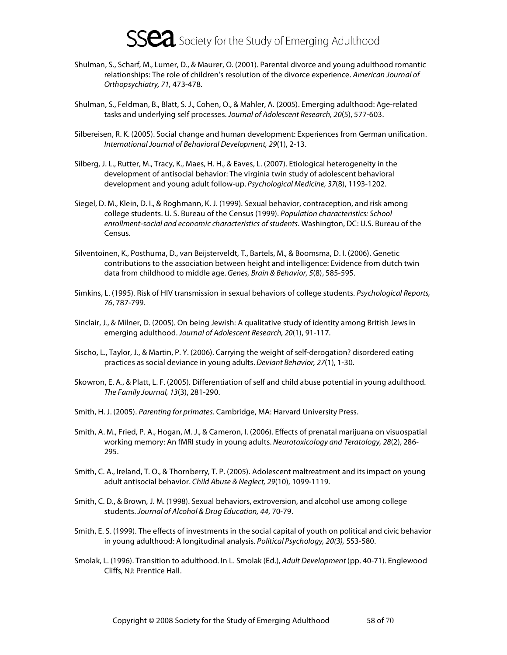- Shulman, S., Scharf, M., Lumer, D., & Maurer, O. (2001). Parental divorce and young adulthood romantic relationships: The role of children's resolution of the divorce experience. American Journal of Orthopsychiatry, 71, 473-478.
- Shulman, S., Feldman, B., Blatt, S. J., Cohen, O., & Mahler, A. (2005). Emerging adulthood: Age-related tasks and underlying self processes. Journal of Adolescent Research, 20(5), 577-603.
- Silbereisen, R. K. (2005). Social change and human development: Experiences from German unification. International Journal of Behavioral Development, 29(1), 2-13.
- Silberg, J. L., Rutter, M., Tracy, K., Maes, H. H., & Eaves, L. (2007). Etiological heterogeneity in the development of antisocial behavior: The virginia twin study of adolescent behavioral development and young adult follow-up. Psychological Medicine, 37(8), 1193-1202.
- Siegel, D. M., Klein, D. I., & Roghmann, K. J. (1999). Sexual behavior, contraception, and risk among college students. U. S. Bureau of the Census (1999). Population characteristics: School enrollment-social and economic characteristics of students. Washington, DC: U.S. Bureau of the Census.
- Silventoinen, K., Posthuma, D., van Beijsterveldt, T., Bartels, M., & Boomsma, D. I. (2006). Genetic contributions to the association between height and intelligence: Evidence from dutch twin data from childhood to middle age. Genes, Brain & Behavior, 5(8), 585-595.
- Simkins, L. (1995). Risk of HIV transmission in sexual behaviors of college students. Psychological Reports, 76, 787-799.
- Sinclair, J., & Milner, D. (2005). On being Jewish: A qualitative study of identity among British Jews in emerging adulthood. Journal of Adolescent Research, 20(1), 91-117.
- Sischo, L., Taylor, J., & Martin, P. Y. (2006). Carrying the weight of self-derogation? disordered eating practices as social deviance in young adults. Deviant Behavior, 27(1), 1-30.
- Skowron, E. A., & Platt, L. F. (2005). Differentiation of self and child abuse potential in young adulthood. The Family Journal, 13(3), 281-290.
- Smith, H. J. (2005). Parenting for primates. Cambridge, MA: Harvard University Press.
- Smith, A. M., Fried, P. A., Hogan, M. J., & Cameron, I. (2006). Effects of prenatal marijuana on visuospatial working memory: An fMRI study in young adults. Neurotoxicology and Teratology, 28(2), 286- 295.
- Smith, C. A., Ireland, T. O., & Thornberry, T. P. (2005). Adolescent maltreatment and its impact on young adult antisocial behavior. Child Abuse & Neglect, 29(10), 1099-1119.
- Smith, C. D., & Brown, J. M. (1998). Sexual behaviors, extroversion, and alcohol use among college students. Journal of Alcohol & Drug Education, 44, 70-79.
- Smith, E. S. (1999). The effects of investments in the social capital of youth on political and civic behavior in young adulthood: A longitudinal analysis. Political Psychology, 20(3), 553-580.
- Smolak, L. (1996). Transition to adulthood. In L. Smolak (Ed.), Adult Development (pp. 40-71). Englewood Cliffs, NJ: Prentice Hall.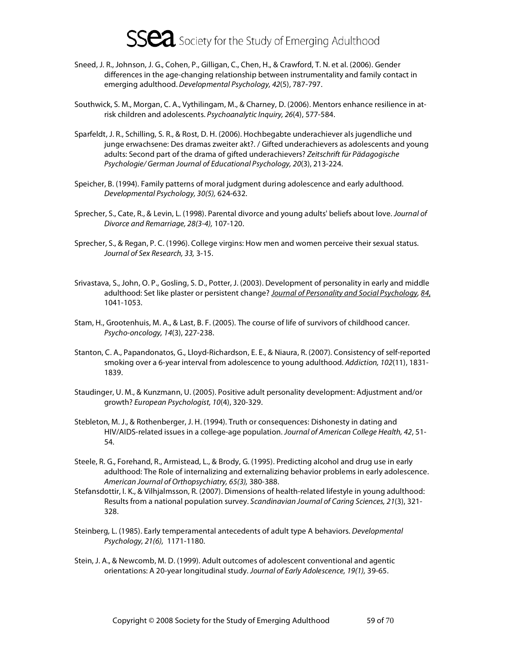- Sneed, J. R., Johnson, J. G., Cohen, P., Gilligan, C., Chen, H., & Crawford, T. N. et al. (2006). Gender differences in the age-changing relationship between instrumentality and family contact in emerging adulthood. Developmental Psychology, 42(5), 787-797.
- Southwick, S. M., Morgan, C. A., Vythilingam, M., & Charney, D. (2006). Mentors enhance resilience in atrisk children and adolescents. Psychoanalytic Inquiry, 26(4), 577-584.
- Sparfeldt, J. R., Schilling, S. R., & Rost, D. H. (2006). Hochbegabte underachiever als jugendliche und junge erwachsene: Des dramas zweiter akt?. / Gifted underachievers as adolescents and young adults: Second part of the drama of gifted underachievers? Zeitschrift für Pädagogische Psychologie/ German Journal of Educational Psychology, 20(3), 213-224.
- Speicher, B. (1994). Family patterns of moral judgment during adolescence and early adulthood. Developmental Psychology, 30(5), 624-632.
- Sprecher, S., Cate, R., & Levin, L. (1998). Parental divorce and young adults' beliefs about love. Journal of Divorce and Remarriage, 28(3-4), 107-120.
- Sprecher, S., & Regan, P. C. (1996). College virgins: How men and women perceive their sexual status. Journal of Sex Research, 33, 3-15.
- Srivastava, S., John, O. P., Gosling, S. D., Potter, J. (2003). Development of personality in early and middle adulthood: Set like plaster or persistent change? Journal of Personality and Social Psychology, 84, 1041-1053.
- Stam, H., Grootenhuis, M. A., & Last, B. F. (2005). The course of life of survivors of childhood cancer. Psycho-oncology, 14(3), 227-238.
- Stanton, C. A., Papandonatos, G., Lloyd-Richardson, E. E., & Niaura, R. (2007). Consistency of self-reported smoking over a 6-year interval from adolescence to young adulthood. Addiction, 102(11), 1831- 1839.
- Staudinger, U. M., & Kunzmann, U. (2005). Positive adult personality development: Adjustment and/or growth? European Psychologist, 10(4), 320-329.
- Stebleton, M. J., & Rothenberger, J. H. (1994). Truth or consequences: Dishonesty in dating and HIV/AIDS-related issues in a college-age population. Journal of American College Health, 42, 51- 54.
- Steele, R. G., Forehand, R., Armistead, L., & Brody, G. (1995). Predicting alcohol and drug use in early adulthood: The Role of internalizing and externalizing behavior problems in early adolescence. American Journal of Orthopsychiatry, 65(3), 380-388.
- Stefansdottir, I. K., & Vilhjalmsson, R. (2007). Dimensions of health-related lifestyle in young adulthood: Results from a national population survey. Scandinavian Journal of Caring Sciences, 21(3), 321- 328.
- Steinberg, L. (1985). Early temperamental antecedents of adult type A behaviors. Developmental Psychology, 21(6), 1171-1180.
- Stein, J. A., & Newcomb, M. D. (1999). Adult outcomes of adolescent conventional and agentic orientations: A 20-year longitudinal study. Journal of Early Adolescence, 19(1), 39-65.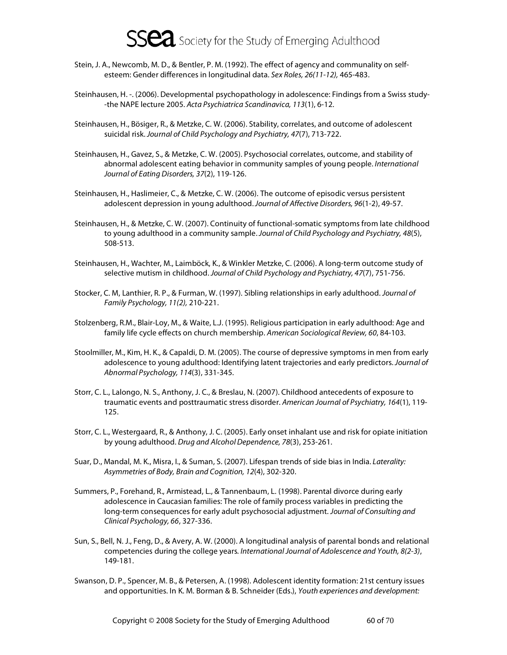- Stein, J. A., Newcomb, M. D., & Bentler, P. M. (1992). The effect of agency and communality on selfesteem: Gender differences in longitudinal data. Sex Roles, 26(11-12), 465-483.
- Steinhausen, H. -. (2006). Developmental psychopathology in adolescence: Findings from a Swiss study- -the NAPE lecture 2005. Acta Psychiatrica Scandinavica, 113(1), 6-12.
- Steinhausen, H., Bösiger, R., & Metzke, C. W. (2006). Stability, correlates, and outcome of adolescent suicidal risk. Journal of Child Psychology and Psychiatry, 47(7), 713-722.
- Steinhausen, H., Gavez, S., & Metzke, C. W. (2005). Psychosocial correlates, outcome, and stability of abnormal adolescent eating behavior in community samples of young people. International Journal of Eating Disorders, 37(2), 119-126.
- Steinhausen, H., Haslimeier, C., & Metzke, C. W. (2006). The outcome of episodic versus persistent adolescent depression in young adulthood. Journal of Affective Disorders, 96(1-2), 49-57.
- Steinhausen, H., & Metzke, C. W. (2007). Continuity of functional-somatic symptoms from late childhood to young adulthood in a community sample. Journal of Child Psychology and Psychiatry, 48(5), 508-513.
- Steinhausen, H., Wachter, M., Laimböck, K., & Winkler Metzke, C. (2006). A long-term outcome study of selective mutism in childhood. Journal of Child Psychology and Psychiatry, 47(7), 751-756.
- Stocker, C. M, Lanthier, R. P., & Furman, W. (1997). Sibling relationships in early adulthood. Journal of Family Psychology, 11(2), 210-221.
- Stolzenberg, R.M., Blair-Loy, M., & Waite, L.J. (1995). Religious participation in early adulthood: Age and family life cycle effects on church membership. American Sociological Review, 60, 84-103.
- Stoolmiller, M., Kim, H. K., & Capaldi, D. M. (2005). The course of depressive symptoms in men from early adolescence to young adulthood: Identifying latent trajectories and early predictors. Journal of Abnormal Psychology, 114(3), 331-345.
- Storr, C. L., Lalongo, N. S., Anthony, J. C., & Breslau, N. (2007). Childhood antecedents of exposure to traumatic events and posttraumatic stress disorder. American Journal of Psychiatry, 164(1), 119- 125.
- Storr, C. L., Westergaard, R., & Anthony, J. C. (2005). Early onset inhalant use and risk for opiate initiation by young adulthood. Drug and Alcohol Dependence, 78(3), 253-261.
- Suar, D., Mandal, M. K., Misra, I., & Suman, S. (2007). Lifespan trends of side bias in India. Laterality: Asymmetries of Body, Brain and Cognition, 12(4), 302-320.
- Summers, P., Forehand, R., Armistead, L., & Tannenbaum, L. (1998). Parental divorce during early adolescence in Caucasian families: The role of family process variables in predicting the long-term consequences for early adult psychosocial adjustment. Journal of Consulting and Clinical Psychology, 66, 327-336.
- Sun, S., Bell, N. J., Feng, D., & Avery, A. W. (2000). A longitudinal analysis of parental bonds and relational competencies during the college years. International Journal of Adolescence and Youth, 8(2-3), 149-181.
- Swanson, D. P., Spencer, M. B., & Petersen, A. (1998). Adolescent identity formation: 21st century issues and opportunities. In K. M. Borman & B. Schneider (Eds.), Youth experiences and development: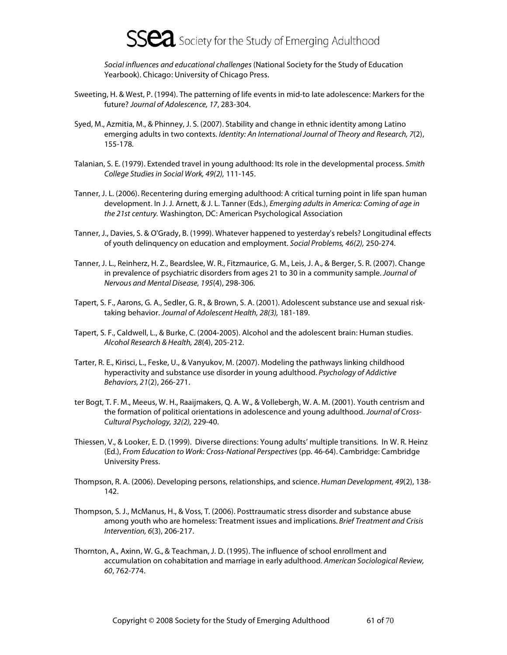

Social influences and educational challenges (National Society for the Study of Education Yearbook). Chicago: University of Chicago Press.

- Sweeting, H. & West, P. (1994). The patterning of life events in mid-to late adolescence: Markers for the future? Journal of Adolescence, 17, 283-304.
- Syed, M., Azmitia, M., & Phinney, J. S. (2007). Stability and change in ethnic identity among Latino emerging adults in two contexts. Identity: An International Journal of Theory and Research, 7(2), 155-178.
- Talanian, S. E. (1979). Extended travel in young adulthood: Its role in the developmental process. Smith College Studies in Social Work, 49(2), 111-145.
- Tanner, J. L. (2006). Recentering during emerging adulthood: A critical turning point in life span human development. In J. J. Arnett, & J. L. Tanner (Eds.), Emerging adults in America: Coming of age in the 21st century. Washington, DC: American Psychological Association
- Tanner, J., Davies, S. & O'Grady, B. (1999). Whatever happened to yesterday's rebels? Longitudinal effects of youth delinquency on education and employment. Social Problems, 46(2), 250-274.
- Tanner, J. L., Reinherz, H. Z., Beardslee, W. R., Fitzmaurice, G. M., Leis, J. A., & Berger, S. R. (2007). Change in prevalence of psychiatric disorders from ages 21 to 30 in a community sample. Journal of Nervous and Mental Disease, 195(4), 298-306.
- Tapert, S. F., Aarons, G. A., Sedler, G. R., & Brown, S. A. (2001). Adolescent substance use and sexual risktaking behavior. Journal of Adolescent Health, 28(3), 181-189.
- Tapert, S. F., Caldwell, L., & Burke, C. (2004-2005). Alcohol and the adolescent brain: Human studies. Alcohol Research & Health, 28(4), 205-212.
- Tarter, R. E., Kirisci, L., Feske, U., & Vanyukov, M. (2007). Modeling the pathways linking childhood hyperactivity and substance use disorder in young adulthood. Psychology of Addictive Behaviors, 21(2), 266-271.
- ter Bogt, T. F. M., Meeus, W. H., Raaijmakers, Q. A. W., & Vollebergh, W. A. M. (2001). Youth centrism and the formation of political orientations in adolescence and young adulthood. Journal of Cross-Cultural Psychology, 32(2), 229-40.
- Thiessen, V., & Looker, E. D. (1999). Diverse directions: Young adults' multiple transitions. In W. R. Heinz (Ed.), From Education to Work: Cross-National Perspectives (pp. 46-64). Cambridge: Cambridge University Press.
- Thompson, R. A. (2006). Developing persons, relationships, and science. Human Development, 49(2), 138-142.
- Thompson, S. J., McManus, H., & Voss, T. (2006). Posttraumatic stress disorder and substance abuse among youth who are homeless: Treatment issues and implications. Brief Treatment and Crisis Intervention, 6(3), 206-217.
- Thornton, A., Axinn, W. G., & Teachman, J. D. (1995). The influence of school enrollment and accumulation on cohabitation and marriage in early adulthood. American Sociological Review, 60, 762-774.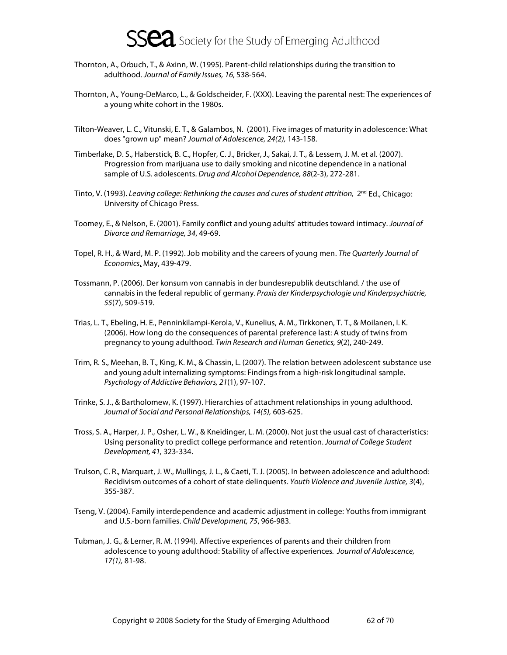

- Thornton, A., Orbuch, T., & Axinn, W. (1995). Parent-child relationships during the transition to adulthood. Journal of Family Issues, 16, 538-564.
- Thornton, A., Young-DeMarco, L., & Goldscheider, F. (XXX). Leaving the parental nest: The experiences of a young white cohort in the 1980s.
- Tilton-Weaver, L. C., Vitunski, E. T., & Galambos, N. (2001). Five images of maturity in adolescence: What does "grown up" mean? Journal of Adolescence, 24(2), 143-158.
- Timberlake, D. S., Haberstick, B. C., Hopfer, C. J., Bricker, J., Sakai, J. T., & Lessem, J. M. et al. (2007). Progression from marijuana use to daily smoking and nicotine dependence in a national sample of U.S. adolescents. Drug and Alcohol Dependence, 88(2-3), 272-281.
- Tinto, V. (1993). Leaving college: Rethinking the causes and cures of student attrition,  $2^{nd}$  Ed., Chicago: University of Chicago Press.
- Toomey, E., & Nelson, E. (2001). Family conflict and young adults' attitudes toward intimacy. Journal of Divorce and Remarriage, 34, 49-69.
- Topel, R. H., & Ward, M. P. (1992). Job mobility and the careers of young men. The Quarterly Journal of Economics, May, 439-479.
- Tossmann, P. (2006). Der konsum von cannabis in der bundesrepublik deutschland. / the use of cannabis in the federal republic of germany. Praxis der Kinderpsychologie und Kinderpsychiatrie, 55(7), 509-519.
- Trias, L. T., Ebeling, H. E., Penninkilampi-Kerola, V., Kunelius, A. M., Tirkkonen, T. T., & Moilanen, I. K. (2006). How long do the consequences of parental preference last: A study of twins from pregnancy to young adulthood. Twin Research and Human Genetics, 9(2), 240-249.
- Trim, R. S., Meehan, B. T., King, K. M., & Chassin, L. (2007). The relation between adolescent substance use and young adult internalizing symptoms: Findings from a high-risk longitudinal sample. Psychology of Addictive Behaviors, 21(1), 97-107.
- Trinke, S. J., & Bartholomew, K. (1997). Hierarchies of attachment relationships in young adulthood. Journal of Social and Personal Relationships, 14(5), 603-625.
- Tross, S. A., Harper, J. P., Osher, L. W., & Kneidinger, L. M. (2000). Not just the usual cast of characteristics: Using personality to predict college performance and retention. Journal of College Student Development, 41, 323-334.
- Trulson, C. R., Marquart, J. W., Mullings, J. L., & Caeti, T. J. (2005). In between adolescence and adulthood: Recidivism outcomes of a cohort of state delinquents. Youth Violence and Juvenile Justice, 3(4), 355-387.
- Tseng, V. (2004). Family interdependence and academic adjustment in college: Youths from immigrant and U.S.-born families. Child Development, 75, 966-983.
- Tubman, J. G., & Lerner, R. M. (1994). Affective experiences of parents and their children from adolescence to young adulthood: Stability of affective experiences. Journal of Adolescence, 17(1), 81-98.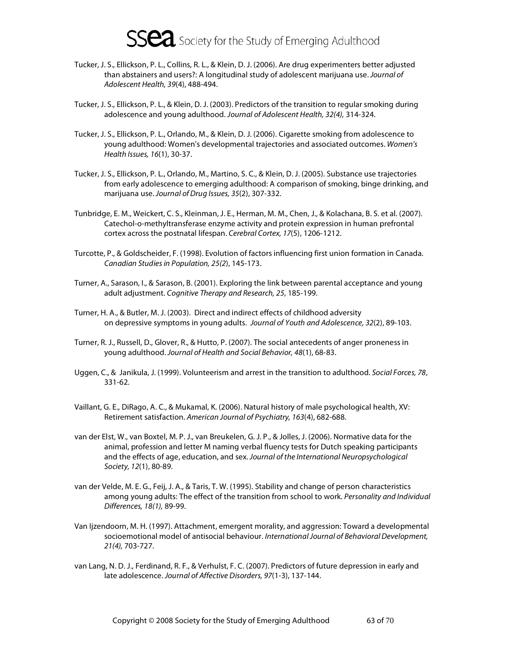- Tucker, J. S., Ellickson, P. L., Collins, R. L., & Klein, D. J. (2006). Are drug experimenters better adjusted than abstainers and users?: A longitudinal study of adolescent marijuana use. Journal of Adolescent Health, 39(4), 488-494.
- Tucker, J. S., Ellickson, P. L., & Klein, D. J. (2003). Predictors of the transition to regular smoking during adolescence and young adulthood. Journal of Adolescent Health, 32(4), 314-324.
- Tucker, J. S., Ellickson, P. L., Orlando, M., & Klein, D. J. (2006). Cigarette smoking from adolescence to young adulthood: Women's developmental trajectories and associated outcomes. Women's Health Issues, 16(1), 30-37.
- Tucker, J. S., Ellickson, P. L., Orlando, M., Martino, S. C., & Klein, D. J. (2005). Substance use trajectories from early adolescence to emerging adulthood: A comparison of smoking, binge drinking, and marijuana use. Journal of Drug Issues, 35(2), 307-332.
- Tunbridge, E. M., Weickert, C. S., Kleinman, J. E., Herman, M. M., Chen, J., & Kolachana, B. S. et al. (2007). Catechol-o-methyltransferase enzyme activity and protein expression in human prefrontal cortex across the postnatal lifespan. Cerebral Cortex, 17(5), 1206-1212.
- Turcotte, P., & Goldscheider, F. (1998). Evolution of factors influencing first union formation in Canada. Canadian Studies in Population, 25(2), 145-173.
- Turner, A., Sarason, I., & Sarason, B. (2001). Exploring the link between parental acceptance and young adult adjustment. Cognitive Therapy and Research, 25, 185-199.
- Turner, H. A., & Butler, M. J. (2003). Direct and indirect effects of childhood adversity on depressive symptoms in young adults. Journal of Youth and Adolescence, 32(2), 89-103.
- Turner, R. J., Russell, D., Glover, R., & Hutto, P. (2007). The social antecedents of anger proneness in young adulthood. Journal of Health and Social Behavior, 48(1), 68-83.
- Uggen, C., & Janikula, J. (1999). Volunteerism and arrest in the transition to adulthood. Social Forces, 78, 331-62.
- Vaillant, G. E., DiRago, A. C., & Mukamal, K. (2006). Natural history of male psychological health, XV: Retirement satisfaction. American Journal of Psychiatry, 163(4), 682-688.
- van der Elst, W., van Boxtel, M. P. J., van Breukelen, G. J. P., & Jolles, J. (2006). Normative data for the animal, profession and letter M naming verbal fluency tests for Dutch speaking participants and the effects of age, education, and sex. Journal of the International Neuropsychological Society, 12(1), 80-89.
- van der Velde, M. E. G., Feij, J. A., & Taris, T. W. (1995). Stability and change of person characteristics among young adults: The effect of the transition from school to work. Personality and Individual Differences, 18(1), 89-99.
- Van Ijzendoorn, M. H. (1997). Attachment, emergent morality, and aggression: Toward a developmental socioemotional model of antisocial behaviour. International Journal of Behavioral Development, 21(4), 703-727.
- van Lang, N. D. J., Ferdinand, R. F., & Verhulst, F. C. (2007). Predictors of future depression in early and late adolescence. Journal of Affective Disorders, 97(1-3), 137-144.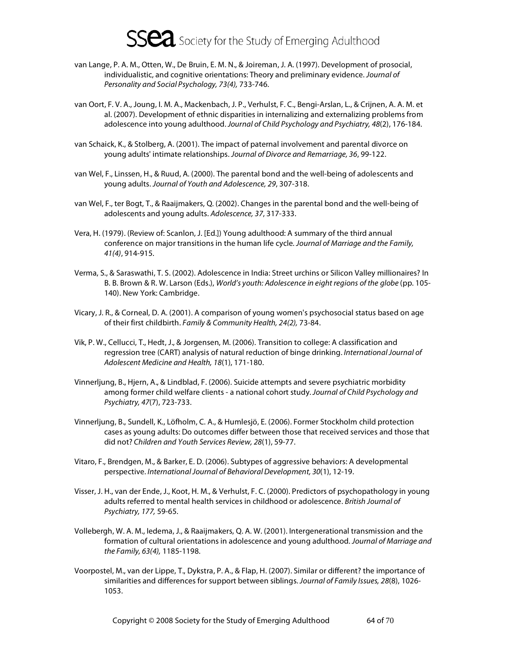- van Lange, P. A. M., Otten, W., De Bruin, E. M. N., & Joireman, J. A. (1997). Development of prosocial, individualistic, and cognitive orientations: Theory and preliminary evidence. Journal of Personality and Social Psychology, 73(4), 733-746.
- van Oort, F. V. A., Joung, I. M. A., Mackenbach, J. P., Verhulst, F. C., Bengi-Arslan, L., & Crijnen, A. A. M. et al. (2007). Development of ethnic disparities in internalizing and externalizing problems from adolescence into young adulthood. Journal of Child Psychology and Psychiatry, 48(2), 176-184.
- van Schaick, K., & Stolberg, A. (2001). The impact of paternal involvement and parental divorce on young adults' intimate relationships. Journal of Divorce and Remarriage, 36, 99-122.
- van Wel, F., Linssen, H., & Ruud, A. (2000). The parental bond and the well-being of adolescents and young adults. Journal of Youth and Adolescence, 29, 307-318.
- van Wel, F., ter Bogt, T., & Raaijmakers, Q. (2002). Changes in the parental bond and the well-being of adolescents and young adults. Adolescence, 37, 317-333.
- Vera, H. (1979). (Review of: Scanlon, J. [Ed.]) Young adulthood: A summary of the third annual conference on major transitions in the human life cycle. Journal of Marriage and the Family, 41(4), 914-915.
- Verma, S., & Saraswathi, T. S. (2002). Adolescence in India: Street urchins or Silicon Valley millionaires? In B. B. Brown & R. W. Larson (Eds.), World's youth: Adolescence in eight regions of the globe (pp. 105- 140). New York: Cambridge.
- Vicary, J. R., & Corneal, D. A. (2001). A comparison of young women's psychosocial status based on age of their first childbirth. Family & Community Health, 24(2), 73-84.
- Vik, P. W., Cellucci, T., Hedt, J., & Jorgensen, M. (2006). Transition to college: A classification and regression tree (CART) analysis of natural reduction of binge drinking. International Journal of Adolescent Medicine and Health, 18(1), 171-180.
- Vinnerljung, B., Hjern, A., & Lindblad, F. (2006). Suicide attempts and severe psychiatric morbidity among former child welfare clients - a national cohort study. Journal of Child Psychology and Psychiatry, 47(7), 723-733.
- Vinnerljung, B., Sundell, K., Löfholm, C. A., & Humlesjö, E. (2006). Former Stockholm child protection cases as young adults: Do outcomes differ between those that received services and those that did not? Children and Youth Services Review, 28(1), 59-77.
- Vitaro, F., Brendgen, M., & Barker, E. D. (2006). Subtypes of aggressive behaviors: A developmental perspective. International Journal of Behavioral Development, 30(1), 12-19.
- Visser, J. H., van der Ende, J., Koot, H. M., & Verhulst, F. C. (2000). Predictors of psychopathology in young adults referred to mental health services in childhood or adolescence. British Journal of Psychiatry, 177, 59-65.
- Vollebergh, W. A. M., Iedema, J., & Raaijmakers, Q. A. W. (2001). Intergenerational transmission and the formation of cultural orientations in adolescence and young adulthood. Journal of Marriage and the Family, 63(4), 1185-1198.
- Voorpostel, M., van der Lippe, T., Dykstra, P. A., & Flap, H. (2007). Similar or different? the importance of similarities and differences for support between siblings. Journal of Family Issues, 28(8), 1026-1053.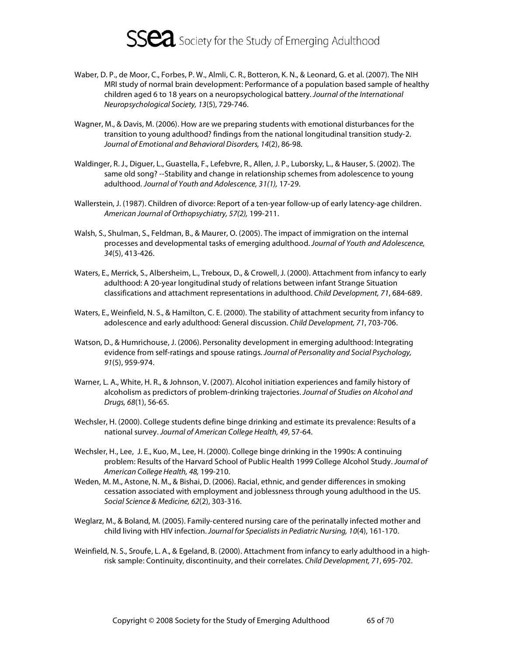

- Waber, D. P., de Moor, C., Forbes, P. W., Almli, C. R., Botteron, K. N., & Leonard, G. et al. (2007). The NIH MRI study of normal brain development: Performance of a population based sample of healthy children aged 6 to 18 years on a neuropsychological battery. Journal of the International Neuropsychological Society, 13(5), 729-746.
- Wagner, M., & Davis, M. (2006). How are we preparing students with emotional disturbances for the transition to young adulthood? findings from the national longitudinal transition study-2. Journal of Emotional and Behavioral Disorders, 14(2), 86-98.
- Waldinger, R. J., Diguer, L., Guastella, F., Lefebvre, R., Allen, J. P., Luborsky, L., & Hauser, S. (2002). The same old song? --Stability and change in relationship schemes from adolescence to young adulthood. Journal of Youth and Adolescence, 31(1), 17-29.
- Wallerstein, J. (1987). Children of divorce: Report of a ten-year follow-up of early latency-age children. American Journal of Orthopsychiatry, 57(2), 199-211.
- Walsh, S., Shulman, S., Feldman, B., & Maurer, O. (2005). The impact of immigration on the internal processes and developmental tasks of emerging adulthood. Journal of Youth and Adolescence, 34(5), 413-426.
- Waters, E., Merrick, S., Albersheim, L., Treboux, D., & Crowell, J. (2000). Attachment from infancy to early adulthood: A 20-year longitudinal study of relations between infant Strange Situation classifications and attachment representations in adulthood. Child Development, 71, 684-689.
- Waters, E., Weinfield, N. S., & Hamilton, C. E. (2000). The stability of attachment security from infancy to adolescence and early adulthood: General discussion. Child Development, 71, 703-706.
- Watson, D., & Humrichouse, J. (2006). Personality development in emerging adulthood: Integrating evidence from self-ratings and spouse ratings. Journal of Personality and Social Psychology, 91(5), 959-974.
- Warner, L. A., White, H. R., & Johnson, V. (2007). Alcohol initiation experiences and family history of alcoholism as predictors of problem-drinking trajectories. Journal of Studies on Alcohol and Drugs, 68(1), 56-65.
- Wechsler, H. (2000). College students define binge drinking and estimate its prevalence: Results of a national survey. Journal of American College Health, 49, 57-64.
- Wechsler, H., Lee, J. E., Kuo, M., Lee, H. (2000). College binge drinking in the 1990s: A continuing problem: Results of the Harvard School of Public Health 1999 College Alcohol Study. Journal of American College Health, 48, 199-210.
- Weden, M. M., Astone, N. M., & Bishai, D. (2006). Racial, ethnic, and gender differences in smoking cessation associated with employment and joblessness through young adulthood in the US. Social Science & Medicine, 62(2), 303-316.
- Weglarz, M., & Boland, M. (2005). Family-centered nursing care of the perinatally infected mother and child living with HIV infection. Journal for Specialists in Pediatric Nursing, 10(4), 161-170.
- Weinfield, N. S., Sroufe, L. A., & Egeland, B. (2000). Attachment from infancy to early adulthood in a highrisk sample: Continuity, discontinuity, and their correlates. Child Development, 71, 695-702.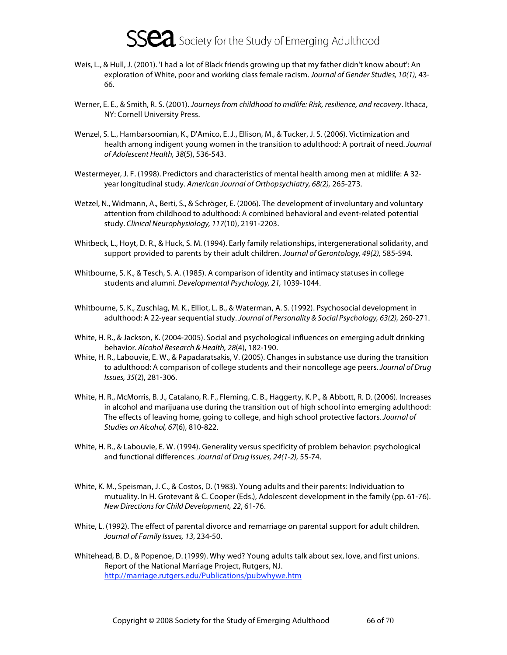- Weis, L., & Hull, J. (2001). 'I had a lot of Black friends growing up that my father didn't know about': An exploration of White, poor and working class female racism. Journal of Gender Studies, 10(1), 43-66.
- Werner, E. E., & Smith, R. S. (2001). Journeys from childhood to midlife: Risk, resilience, and recovery. Ithaca, NY: Cornell University Press.
- Wenzel, S. L., Hambarsoomian, K., D'Amico, E. J., Ellison, M., & Tucker, J. S. (2006). Victimization and health among indigent young women in the transition to adulthood: A portrait of need. Journal of Adolescent Health, 38(5), 536-543.
- Westermeyer, J. F. (1998). Predictors and characteristics of mental health among men at midlife: A 32 year longitudinal study. American Journal of Orthopsychiatry, 68(2), 265-273.
- Wetzel, N., Widmann, A., Berti, S., & Schröger, E. (2006). The development of involuntary and voluntary attention from childhood to adulthood: A combined behavioral and event-related potential study. Clinical Neurophysiology, 117(10), 2191-2203.
- Whitbeck, L., Hoyt, D. R., & Huck, S. M. (1994). Early family relationships, intergenerational solidarity, and support provided to parents by their adult children. Journal of Gerontology, 49(2), 585-594.
- Whitbourne, S. K., & Tesch, S. A. (1985). A comparison of identity and intimacy statuses in college students and alumni. Developmental Psychology, 21, 1039-1044.
- Whitbourne, S. K., Zuschlag, M. K., Elliot, L. B., & Waterman, A. S. (1992). Psychosocial development in adulthood: A 22-year sequential study. Journal of Personality & Social Psychology, 63(2), 260-271.
- White, H. R., & Jackson, K. (2004-2005). Social and psychological influences on emerging adult drinking behavior. Alcohol Research & Health, 28(4), 182-190.
- White, H. R., Labouvie, E. W., & Papadaratsakis, V. (2005). Changes in substance use during the transition to adulthood: A comparison of college students and their noncollege age peers. Journal of Drug Issues, 35(2), 281-306.
- White, H. R., McMorris, B. J., Catalano, R. F., Fleming, C. B., Haggerty, K. P., & Abbott, R. D. (2006). Increases in alcohol and marijuana use during the transition out of high school into emerging adulthood: The effects of leaving home, going to college, and high school protective factors. Journal of Studies on Alcohol, 67(6), 810-822.
- White, H. R., & Labouvie, E. W. (1994). Generality versus specificity of problem behavior: psychological and functional differences. Journal of Drug Issues, 24(1-2), 55-74.
- White, K. M., Speisman, J. C., & Costos, D. (1983). Young adults and their parents: Individuation to mutuality. In H. Grotevant & C. Cooper (Eds.), Adolescent development in the family (pp. 61-76). New Directions for Child Development, 22, 61-76.
- White, L. (1992). The effect of parental divorce and remarriage on parental support for adult children. Journal of Family Issues, 13, 234-50.
- Whitehead, B. D., & Popenoe, D. (1999). Why wed? Young adults talk about sex, love, and first unions. Report of the National Marriage Project, Rutgers, NJ. http://marriage.rutgers.edu/Publications/pubwhywe.htm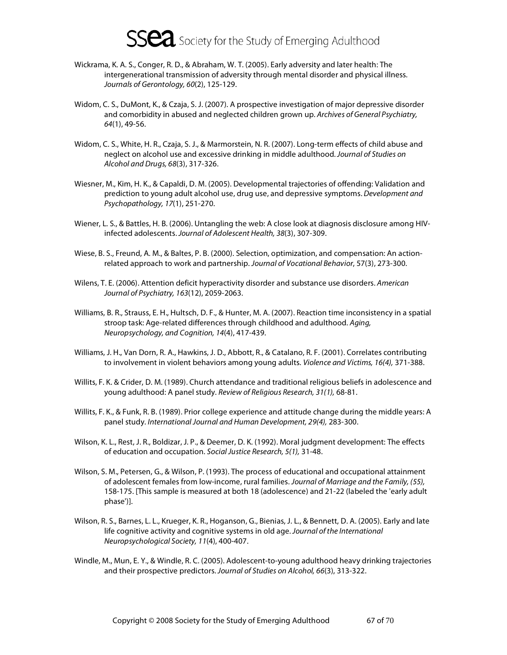- Wickrama, K. A. S., Conger, R. D., & Abraham, W. T. (2005). Early adversity and later health: The intergenerational transmission of adversity through mental disorder and physical illness. Journals of Gerontology, 60(2), 125-129.
- Widom, C. S., DuMont, K., & Czaja, S. J. (2007). A prospective investigation of major depressive disorder and comorbidity in abused and neglected children grown up. Archives of General Psychiatry, 64(1), 49-56.
- Widom, C. S., White, H. R., Czaja, S. J., & Marmorstein, N. R. (2007). Long-term effects of child abuse and neglect on alcohol use and excessive drinking in middle adulthood. Journal of Studies on Alcohol and Drugs, 68(3), 317-326.
- Wiesner, M., Kim, H. K., & Capaldi, D. M. (2005). Developmental trajectories of offending: Validation and prediction to young adult alcohol use, drug use, and depressive symptoms. Development and Psychopathology, 17(1), 251-270.
- Wiener, L. S., & Battles, H. B. (2006). Untangling the web: A close look at diagnosis disclosure among HIVinfected adolescents. Journal of Adolescent Health, 38(3), 307-309.
- Wiese, B. S., Freund, A. M., & Baltes, P. B. (2000). Selection, optimization, and compensation: An actionrelated approach to work and partnership. Journal of Vocational Behavior, 57(3), 273-300.
- Wilens, T. E. (2006). Attention deficit hyperactivity disorder and substance use disorders. American Journal of Psychiatry, 163(12), 2059-2063.
- Williams, B. R., Strauss, E. H., Hultsch, D. F., & Hunter, M. A. (2007). Reaction time inconsistency in a spatial stroop task: Age-related differences through childhood and adulthood. Aging, Neuropsychology, and Cognition, 14(4), 417-439.
- Williams, J. H., Van Dorn, R. A., Hawkins, J. D., Abbott, R., & Catalano, R. F. (2001). Correlates contributing to involvement in violent behaviors among young adults. Violence and Victims, 16(4), 371-388.
- Willits, F. K. & Crider, D. M. (1989). Church attendance and traditional religious beliefs in adolescence and young adulthood: A panel study. Review of Religious Research, 31(1), 68-81.
- Willits, F. K., & Funk, R. B. (1989). Prior college experience and attitude change during the middle years: A panel study. International Journal and Human Development, 29(4), 283-300.
- Wilson, K. L., Rest, J. R., Boldizar, J. P., & Deemer, D. K. (1992). Moral judgment development: The effects of education and occupation. Social Justice Research, 5(1), 31-48.
- Wilson, S. M., Petersen, G., & Wilson, P. (1993). The process of educational and occupational attainment of adolescent females from low-income, rural families. Journal of Marriage and the Family, (55), 158-175. [This sample is measured at both 18 (adolescence) and 21-22 (labeled the 'early adult phase')].
- Wilson, R. S., Barnes, L. L., Krueger, K. R., Hoganson, G., Bienias, J. L., & Bennett, D. A. (2005). Early and late life cognitive activity and cognitive systems in old age. Journal of the International Neuropsychological Society, 11(4), 400-407.
- Windle, M., Mun, E. Y., & Windle, R. C. (2005). Adolescent-to-young adulthood heavy drinking trajectories and their prospective predictors. Journal of Studies on Alcohol, 66(3), 313-322.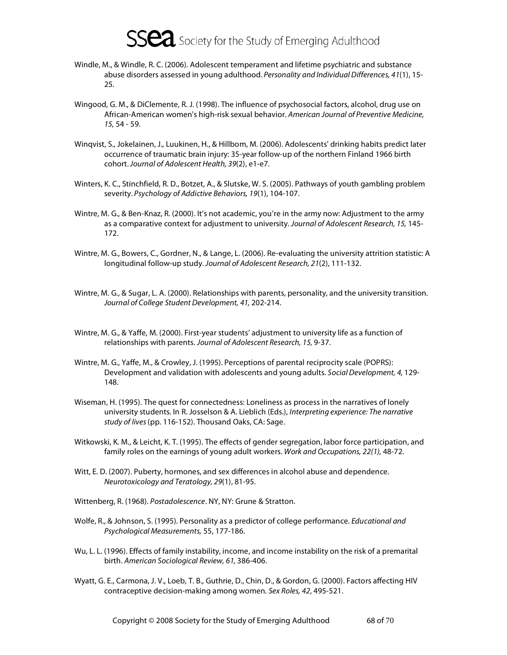- Windle, M., & Windle, R. C. (2006). Adolescent temperament and lifetime psychiatric and substance abuse disorders assessed in young adulthood. Personality and Individual Differences, 41(1), 15-25.
- Wingood, G. M., & DiClemente, R. J. (1998). The influence of psychosocial factors, alcohol, drug use on African-American women's high-risk sexual behavior. American Journal of Preventive Medicine, 15, 54 - 59.
- Winqvist, S., Jokelainen, J., Luukinen, H., & Hillbom, M. (2006). Adolescents' drinking habits predict later occurrence of traumatic brain injury: 35-year follow-up of the northern Finland 1966 birth cohort. Journal of Adolescent Health, 39(2), e1-e7.
- Winters, K. C., Stinchfield, R. D., Botzet, A., & Slutske, W. S. (2005). Pathways of youth gambling problem severity. Psychology of Addictive Behaviors, 19(1), 104-107.
- Wintre, M. G., & Ben-Knaz, R. (2000). It's not academic, you're in the army now: Adjustment to the army as a comparative context for adjustment to university. Journal of Adolescent Research, 15, 145- 172.
- Wintre, M. G., Bowers, C., Gordner, N., & Lange, L. (2006). Re-evaluating the university attrition statistic: A longitudinal follow-up study. Journal of Adolescent Research, 21(2), 111-132.
- Wintre, M. G., & Sugar, L. A. (2000). Relationships with parents, personality, and the university transition. Journal of College Student Development, 41, 202-214.
- Wintre, M. G., & Yaffe, M. (2000). First-year students' adjustment to university life as a function of relationships with parents. Journal of Adolescent Research, 15, 9-37.
- Wintre, M. G., Yaffe, M., & Crowley, J. (1995). Perceptions of parental reciprocity scale (POPRS): Development and validation with adolescents and young adults. Social Development, 4, 129- 148.
- Wiseman, H. (1995). The quest for connectedness: Loneliness as process in the narratives of lonely university students. In R. Josselson & A. Lieblich (Eds.), Interpreting experience: The narrative study of lives (pp. 116-152). Thousand Oaks, CA: Sage.
- Witkowski, K. M., & Leicht, K. T. (1995). The effects of gender segregation, labor force participation, and family roles on the earnings of young adult workers. Work and Occupations, 22(1), 48-72.
- Witt, E. D. (2007). Puberty, hormones, and sex differences in alcohol abuse and dependence. Neurotoxicology and Teratology, 29(1), 81-95.
- Wittenberg, R. (1968). Postadolescence. NY, NY: Grune & Stratton.
- Wolfe, R., & Johnson, S. (1995). Personality as a predictor of college performance. *Educational and* Psychological Measurements, 55, 177-186.
- Wu, L. L. (1996). Effects of family instability, income, and income instability on the risk of a premarital birth. American Sociological Review, 61, 386-406.
- Wyatt, G. E., Carmona, J. V., Loeb, T. B., Guthrie, D., Chin, D., & Gordon, G. (2000). Factors affecting HIV contraceptive decision-making among women. Sex Roles, 42, 495-521.